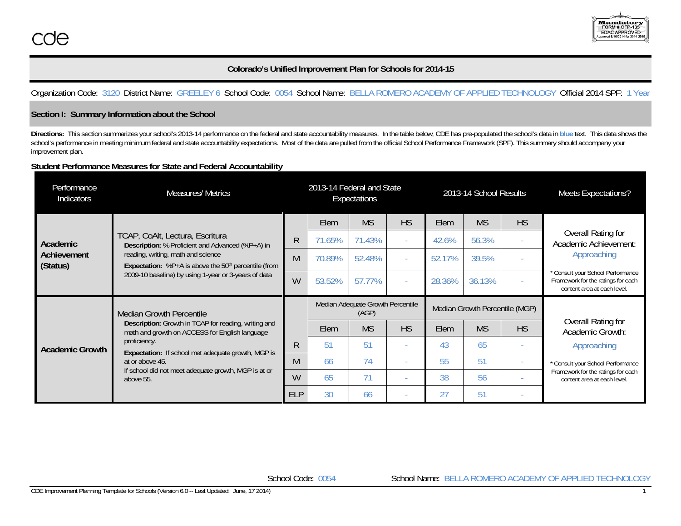

# **Colorado's Unified Improvement Plan for Schools for 2014-15**

# Organization Code: 3120 District Name: GREELEY 6 School Code: 0054 School Name: BELLA ROMERO ACADEMY OF APPLIED TECHNOLOGY Official 2014 SPF: 1 Year

### **Section I: Summary Information about the School**

Directions: This section summarizes your school's 2013-14 performance on the federal and state accountability measures. In the table below, CDE has pre-populated the school's data in blue text. This data shows the school's performance in meeting minimum federal and state accountability expectations. Most of the data are pulled from the official School Performance Framework (SPF). This summary should accompany your improvement plan.

## **Student Performance Measures for State and Federal Accountability**

| Performance<br>Indicators | <b>Measures/ Metrics</b>                                                                                                                                                                                                           |            | 2013-14 Federal and State                  | Expectations |           |                                | 2013-14 School Results |           | Meets Expectations?                                                                                    |
|---------------------------|------------------------------------------------------------------------------------------------------------------------------------------------------------------------------------------------------------------------------------|------------|--------------------------------------------|--------------|-----------|--------------------------------|------------------------|-----------|--------------------------------------------------------------------------------------------------------|
|                           |                                                                                                                                                                                                                                    |            | Elem                                       | <b>MS</b>    | <b>HS</b> | Elem                           | <b>MS</b>              | <b>HS</b> |                                                                                                        |
| Academic                  | TCAP, CoAlt, Lectura, Escritura<br>Description: % Proficient and Advanced (%P+A) in                                                                                                                                                | R          | 71.65%                                     | 71.43%       | $\sim$    | 42.6%                          | 56.3%                  |           | Overall Rating for<br>Academic Achievement:                                                            |
| Achievement<br>(Status)   | reading, writing, math and science<br><b>Expectation:</b> %P+A is above the $50th$ percentile (from<br>2009-10 baseline) by using 1-year or 3-years of data                                                                        | M          | 70.89%                                     | 52.48%       |           | 52.17%                         | 39.5%                  |           | Approaching                                                                                            |
|                           |                                                                                                                                                                                                                                    | W          | 53.52%                                     | 57.77%       |           | 28.36%                         | 36.13%                 |           | * Consult your School Performance<br>Framework for the ratings for each<br>content area at each level. |
| <b>Academic Growth</b>    | <b>Median Growth Percentile</b><br>Description: Growth in TCAP for reading, writing and<br>math and growth on ACCESS for English language<br>proficiency.<br>Expectation: If school met adequate growth, MGP is<br>at or above 45. |            | Median Adequate Growth Percentile<br>(AGP) |              |           | Median Growth Percentile (MGP) |                        |           |                                                                                                        |
|                           |                                                                                                                                                                                                                                    |            | <b>Elem</b>                                | <b>MS</b>    | <b>HS</b> | <b>Elem</b>                    | <b>MS</b>              | <b>HS</b> | Overall Rating for<br>Academic Growth:                                                                 |
|                           |                                                                                                                                                                                                                                    | R          | 51                                         | 51           |           | 43                             | 65                     |           | Approaching                                                                                            |
|                           |                                                                                                                                                                                                                                    | M          | 66                                         | 74           |           | 55                             | 51                     |           | * Consult your School Performance                                                                      |
|                           | If school did not meet adequate growth, MGP is at or<br>above 55.                                                                                                                                                                  | W          | 65                                         | 71           |           | 38                             | 56                     |           | Framework for the ratings for each<br>content area at each level.                                      |
|                           |                                                                                                                                                                                                                                    | <b>ELP</b> | 30                                         | 66           |           | 27                             | 51                     |           |                                                                                                        |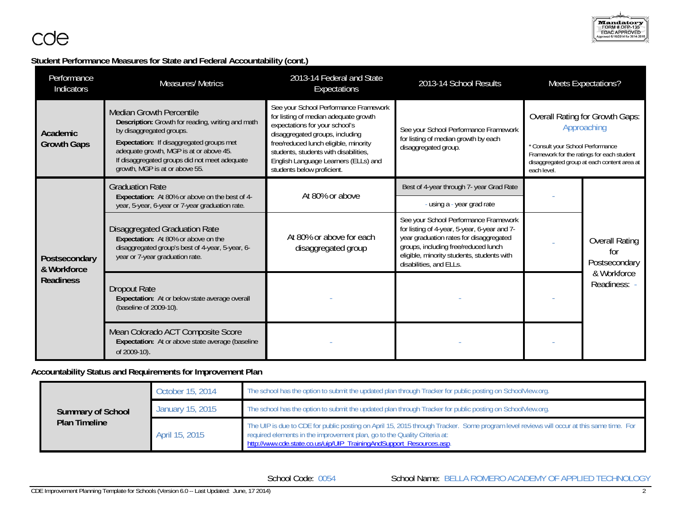# **Student Performance Measures for State and Federal Accountability (cont.)**

| Performance<br>Indicators                        | <b>Measures/ Metrics</b>                                                                                                                                                                                                                                                                   | 2013-14 Federal and State<br>Expectations                                                                                                                                                                                                                                                                   | 2013-14 School Results                                                                                                                                                                                                                            |  | <b>Meets Expectations?</b>                                                                                                                                                              |
|--------------------------------------------------|--------------------------------------------------------------------------------------------------------------------------------------------------------------------------------------------------------------------------------------------------------------------------------------------|-------------------------------------------------------------------------------------------------------------------------------------------------------------------------------------------------------------------------------------------------------------------------------------------------------------|---------------------------------------------------------------------------------------------------------------------------------------------------------------------------------------------------------------------------------------------------|--|-----------------------------------------------------------------------------------------------------------------------------------------------------------------------------------------|
| Academic<br><b>Growth Gaps</b>                   | <b>Median Growth Percentile</b><br>Description: Growth for reading, writing and math<br>by disaggregated groups.<br>Expectation: If disaggregated groups met<br>adequate growth, MGP is at or above 45.<br>If disaggregated groups did not meet adequate<br>growth, MGP is at or above 55. | See your School Performance Framework<br>for listing of median adequate growth<br>expectations for your school's<br>disaggregated groups, including<br>free/reduced lunch eligible, minority<br>students, students with disabilities,<br>English Language Learners (ELLs) and<br>students below proficient. | See your School Performance Framework<br>for listing of median growth by each<br>disaggregated group.<br>each level.                                                                                                                              |  | <b>Overall Rating for Growth Gaps:</b><br>Approaching<br>* Consult your School Performance<br>Framework for the ratings for each student<br>disaggregated group at each content area at |
|                                                  | <b>Graduation Rate</b><br>Expectation: At 80% or above on the best of 4-                                                                                                                                                                                                                   | At 80% or above                                                                                                                                                                                                                                                                                             | Best of 4-year through 7- year Grad Rate                                                                                                                                                                                                          |  |                                                                                                                                                                                         |
|                                                  | year, 5-year, 6-year or 7-year graduation rate.                                                                                                                                                                                                                                            |                                                                                                                                                                                                                                                                                                             | - using a - year grad rate                                                                                                                                                                                                                        |  |                                                                                                                                                                                         |
| Postsecondary<br>& Workforce<br><b>Readiness</b> | Disaggregated Graduation Rate<br>Expectation: At 80% or above on the<br>disaggregated group's best of 4-year, 5-year, 6-<br>year or 7-year graduation rate.                                                                                                                                | At 80% or above for each<br>disaggregated group                                                                                                                                                                                                                                                             | See your School Performance Framework<br>for listing of 4-year, 5-year, 6-year and 7-<br>year graduation rates for disaggregated<br>groups, including free/reduced lunch<br>eligible, minority students, students with<br>disabilities, and ELLs. |  | <b>Overall Rating</b><br>for<br>Postsecondary                                                                                                                                           |
|                                                  | Dropout Rate<br>Expectation: At or below state average overall<br>(baseline of 2009-10).                                                                                                                                                                                                   |                                                                                                                                                                                                                                                                                                             |                                                                                                                                                                                                                                                   |  | & Workforce<br>Readiness: -                                                                                                                                                             |
|                                                  | Mean Colorado ACT Composite Score<br>Expectation: At or above state average (baseline<br>of 2009-10).                                                                                                                                                                                      |                                                                                                                                                                                                                                                                                                             |                                                                                                                                                                                                                                                   |  |                                                                                                                                                                                         |

# **Accountability Status and Requirements for Improvement Plan**

|                          | October 15, 2014 | The school has the option to submit the updated plan through Tracker for public posting on SchoolView.org.                                                                                                                                                                                    |
|--------------------------|------------------|-----------------------------------------------------------------------------------------------------------------------------------------------------------------------------------------------------------------------------------------------------------------------------------------------|
| <b>Summary of School</b> | January 15, 2015 | The school has the option to submit the updated plan through Tracker for public posting on SchoolView.org.                                                                                                                                                                                    |
| <b>Plan Timeline</b>     | April 15, 2015   | The UIP is due to CDE for public posting on April 15, 2015 through Tracker. Some program level reviews will occur at this same time. For<br>required elements in the improvement plan, go to the Quality Criteria at:<br>http://www.cde.state.co.us/uip/UIP_TrainingAndSupport_Resources.asp. |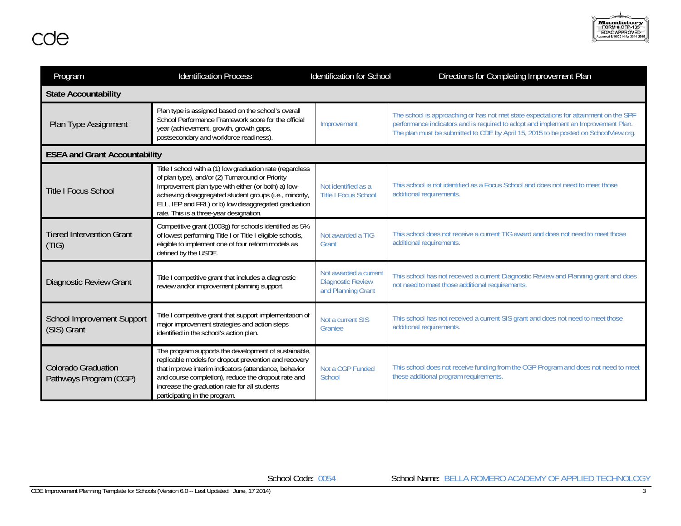

| Program                                              | <b>Identification Process</b>                                                                                                                                                                                                                                                                                                      | <b>Identification for School</b>                                        | Directions for Completing Improvement Plan                                                                                                                                                                                                                         |
|------------------------------------------------------|------------------------------------------------------------------------------------------------------------------------------------------------------------------------------------------------------------------------------------------------------------------------------------------------------------------------------------|-------------------------------------------------------------------------|--------------------------------------------------------------------------------------------------------------------------------------------------------------------------------------------------------------------------------------------------------------------|
| <b>State Accountability</b>                          |                                                                                                                                                                                                                                                                                                                                    |                                                                         |                                                                                                                                                                                                                                                                    |
| Plan Type Assignment                                 | Plan type is assigned based on the school's overall<br>School Performance Framework score for the official<br>year (achievement, growth, growth gaps,<br>postsecondary and workforce readiness).                                                                                                                                   | Improvement                                                             | The school is approaching or has not met state expectations for attainment on the SPF<br>performance indicators and is required to adopt and implement an Improvement Plan.<br>The plan must be submitted to CDE by April 15, 2015 to be posted on SchoolView.org. |
| <b>ESEA and Grant Accountability</b>                 |                                                                                                                                                                                                                                                                                                                                    |                                                                         |                                                                                                                                                                                                                                                                    |
| <b>Title I Focus School</b>                          | Title I school with a (1) low graduation rate (regardless<br>of plan type), and/or (2) Turnaround or Priority<br>Improvement plan type with either (or both) a) low-<br>achieving disaggregated student groups (i.e., minority,<br>ELL, IEP and FRL) or b) low disaggregated graduation<br>rate. This is a three-year designation. | Not identified as a<br><b>Title I Focus School</b>                      | This school is not identified as a Focus School and does not need to meet those<br>additional requirements.                                                                                                                                                        |
| <b>Tiered Intervention Grant</b><br>(TIG)            | Competitive grant (1003g) for schools identified as 5%<br>of lowest performing Title I or Title I eligible schools,<br>eligible to implement one of four reform models as<br>defined by the USDE.                                                                                                                                  | Not awarded a TIG<br>Grant                                              | This school does not receive a current TIG award and does not need to meet those<br>additional requirements.                                                                                                                                                       |
| <b>Diagnostic Review Grant</b>                       | Title I competitive grant that includes a diagnostic<br>review and/or improvement planning support.                                                                                                                                                                                                                                | Not awarded a current<br><b>Diagnostic Review</b><br>and Planning Grant | This school has not received a current Diagnostic Review and Planning grant and does<br>not need to meet those additional requirements.                                                                                                                            |
| <b>School Improvement Support</b><br>(SIS) Grant     | Title I competitive grant that support implementation of<br>major improvement strategies and action steps<br>identified in the school's action plan.                                                                                                                                                                               | Not a current SIS<br>Grantee                                            | This school has not received a current SIS grant and does not need to meet those<br>additional requirements.                                                                                                                                                       |
| <b>Colorado Graduation</b><br>Pathways Program (CGP) | The program supports the development of sustainable,<br>replicable models for dropout prevention and recovery<br>that improve interim indicators (attendance, behavior<br>and course completion), reduce the dropout rate and<br>increase the graduation rate for all students<br>participating in the program.                    | Not a CGP Funded<br>School                                              | This school does not receive funding from the CGP Program and does not need to meet<br>these additional program requirements.                                                                                                                                      |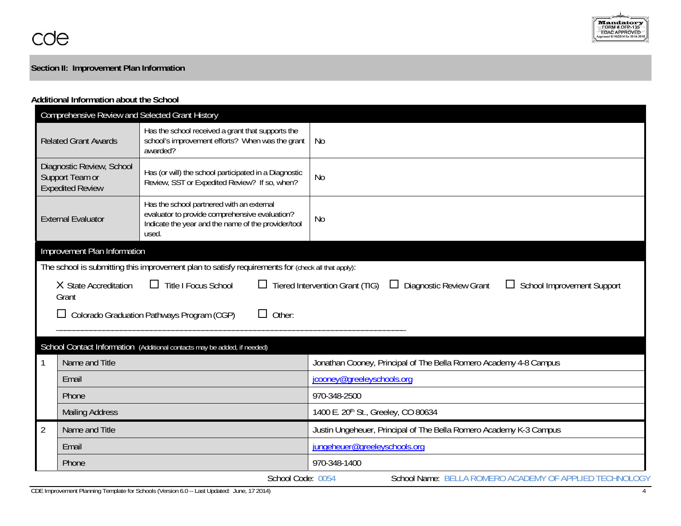

# **Section II: Improvement Plan Information**

### **Additional Information about the School**

|                |                                                                                                                                                                                          | Comprehensive Review and Selected Grant History                                                                                                             |                                                                    |  |  |
|----------------|------------------------------------------------------------------------------------------------------------------------------------------------------------------------------------------|-------------------------------------------------------------------------------------------------------------------------------------------------------------|--------------------------------------------------------------------|--|--|
|                | <b>Related Grant Awards</b>                                                                                                                                                              | Has the school received a grant that supports the<br>school's improvement efforts? When was the grant<br>awarded?                                           | No                                                                 |  |  |
|                | Diagnostic Review, School<br>Support Team or<br><b>Expedited Review</b>                                                                                                                  | Has (or will) the school participated in a Diagnostic<br>Review, SST or Expedited Review? If so, when?                                                      | <b>No</b>                                                          |  |  |
|                | <b>External Evaluator</b>                                                                                                                                                                | Has the school partnered with an external<br>evaluator to provide comprehensive evaluation?<br>Indicate the year and the name of the provider/tool<br>used. | <b>No</b>                                                          |  |  |
|                | Improvement Plan Information                                                                                                                                                             |                                                                                                                                                             |                                                                    |  |  |
|                |                                                                                                                                                                                          | The school is submitting this improvement plan to satisfy requirements for (check all that apply):                                                          |                                                                    |  |  |
|                | X State Accreditation<br>$\Box$ Title I Focus School<br>$\Box$ Tiered Intervention Grant (TIG)<br><b>Diagnostic Review Grant</b><br><b>School Improvement Support</b><br>$\Box$<br>Grant |                                                                                                                                                             |                                                                    |  |  |
|                |                                                                                                                                                                                          | Other:<br>Colorado Graduation Pathways Program (CGP)                                                                                                        |                                                                    |  |  |
|                |                                                                                                                                                                                          |                                                                                                                                                             |                                                                    |  |  |
|                |                                                                                                                                                                                          | School Contact Information (Additional contacts may be added, if needed)                                                                                    |                                                                    |  |  |
|                | Name and Title                                                                                                                                                                           |                                                                                                                                                             | Jonathan Cooney, Principal of The Bella Romero Academy 4-8 Campus  |  |  |
|                | Email                                                                                                                                                                                    |                                                                                                                                                             | jcooney@greeleyschools.org                                         |  |  |
|                | Phone                                                                                                                                                                                    |                                                                                                                                                             | 970-348-2500                                                       |  |  |
|                | <b>Mailing Address</b>                                                                                                                                                                   |                                                                                                                                                             | 1400 E. 20th St., Greeley, CO 80634                                |  |  |
| $\overline{2}$ | Name and Title                                                                                                                                                                           |                                                                                                                                                             | Justin Ungeheuer, Principal of The Bella Romero Academy K-3 Campus |  |  |
|                | Email                                                                                                                                                                                    |                                                                                                                                                             | jungeheuer@greeleyschools.org                                      |  |  |
|                | Phone                                                                                                                                                                                    |                                                                                                                                                             | 970-348-1400                                                       |  |  |
|                |                                                                                                                                                                                          | School Code: 0054                                                                                                                                           | School Name: BELLA ROMERO ACADEMY OF APPLIED TECHNOLOGY            |  |  |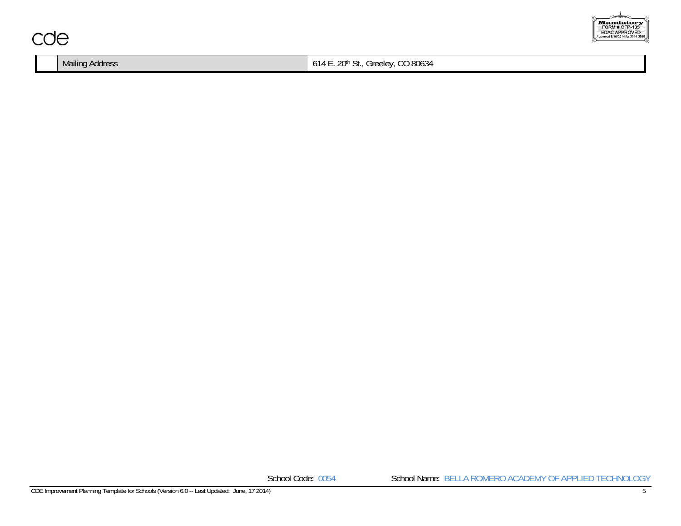

|  | Mailing Address | CO 80634<br>$\sim$<br>$\bigcap_{\Lambda}$<br>reelev.<br>∼<br>6 I 4<br>71 IU<br>ັ<br>ັບ. |
|--|-----------------|-----------------------------------------------------------------------------------------|
|--|-----------------|-----------------------------------------------------------------------------------------|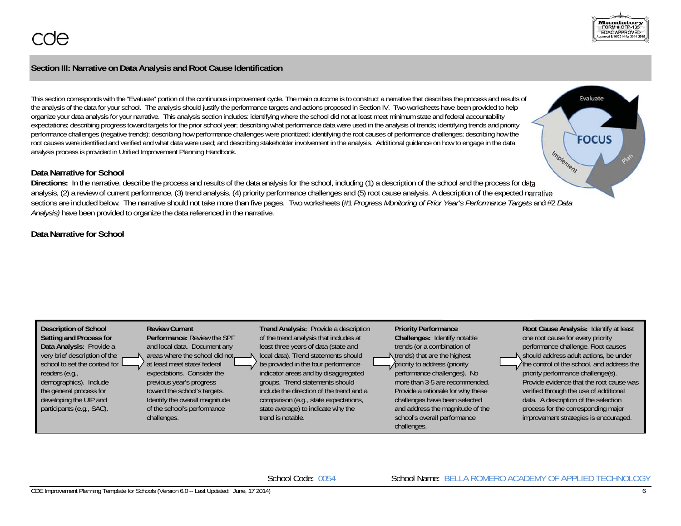## **Section III: Narrative on Data Analysis and Root Cause Identification**

This section corresponds with the "Evaluate" portion of the continuous improvement cycle. The main outcome is to construct a narrative that describes the process and results of the analysis of the data for your school. The analysis should justify the performance targets and actions proposed in Section IV. Two worksheets have been provided to help organize your data analysis for your narrative. This analysis section includes: identifying where the school did not at least meet minimum state and federal accountability expectations; describing progress toward targets for the prior school year; describing what performance data were used in the analysis of trends; identifying trends and priority performance challenges (negative trends); describing how performance challenges were prioritized; identifying the root causes of performance challenges; describing how the root causes were identified and verified and what data were used; and describing stakeholder involvement in the analysis. Additional guidance on how to engage in the data analysis process is provided in Unified Improvement Planning Handbook.

### **Data Narrative for School**

**Directions:** In the narrative, describe the process and results of the data analysis for the school, including (1) a description of the school and the process for data analysis, (2) a review of current performance, (3) trend analysis, (4) priority performance challenges and (5) root cause analysis. A description of the expected narrative sections are included below. The narrative should not take more than five pages. Two worksheets (#1 *Progress Monitoring of Prior Year's Performance Targets* and #2 *Data Analysis)* have been provided to organize the data referenced in the narrative.

## **Data Narrative for School**





Evaluate

**FOCUS** 

Implement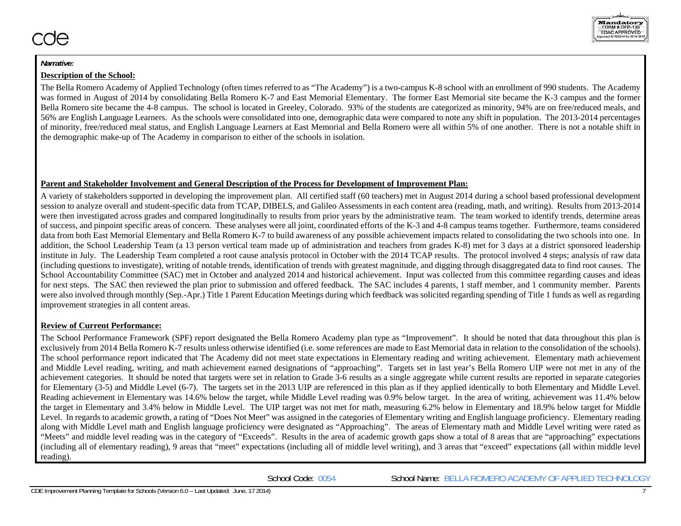### **Description of the School:**

The Bella Romero Academy of Applied Technology (often times referred to as "The Academy") is a two-campus K-8 school with an enrollment of 990 students. The Academy was formed in August of 2014 by consolidating Bella Romero K-7 and East Memorial Elementary. The former East Memorial site became the K-3 campus and the former Bella Romero site became the 4-8 campus. The school is located in Greeley, Colorado. 93% of the students are categorized as minority, 94% are on free/reduced meals, and 56% are English Language Learners. As the schools were consolidated into one, demographic data were compared to note any shift in population. The 2013-2014 percentages of minority, free/reduced meal status, and English Language Learners at East Memorial and Bella Romero were all within 5% of one another. There is not a notable shift in the demographic make-up of The Academy in comparison to either of the schools in isolation.

### **Parent and Stakeholder Involvement and General Description of the Process for Development of Improvement Plan:**

A variety of stakeholders supported in developing the improvement plan. All certified staff (60 teachers) met in August 2014 during a school based professional development session to analyze overall and student-specific data from TCAP, DIBELS, and Galileo Assessments in each content area (reading, math, and writing). Results from 2013-2014 were then investigated across grades and compared longitudinally to results from prior years by the administrative team. The team worked to identify trends, determine areas of success, and pinpoint specific areas of concern. These analyses were all joint, coordinated efforts of the K-3 and 4-8 campus teams together. Furthermore, teams considered data from both East Memorial Elementary and Bella Romero K-7 to build awareness of any possible achievement impacts related to consolidating the two schools into one. In addition, the School Leadership Team (a 13 person vertical team made up of administration and teachers from grades K-8) met for 3 days at a district sponsored leadership institute in July. The Leadership Team completed a root cause analysis protocol in October with the 2014 TCAP results. The protocol involved 4 steps; analysis of raw data (including questions to investigate), writing of notable trends, identification of trends with greatest magnitude, and digging through disaggregated data to find root causes. The School Accountability Committee (SAC) met in October and analyzed 2014 and historical achievement. Input was collected from this committee regarding causes and ideas for next steps. The SAC then reviewed the plan prior to submission and offered feedback. The SAC includes 4 parents, 1 staff member, and 1 community member. Parents were also involved through monthly (Sep.-Apr.) Title 1 Parent Education Meetings during which feedback was solicited regarding spending of Title 1 funds as well as regarding improvement strategies in all content areas.

## **Review of Current Performance:**

The School Performance Framework (SPF) report designated the Bella Romero Academy plan type as "Improvement". It should be noted that data throughout this plan is exclusively from 2014 Bella Romero K-7 results unless otherwise identified (i.e. some references are made to East Memorial data in relation to the consolidation of the schools). The school performance report indicated that The Academy did not meet state expectations in Elementary reading and writing achievement. Elementary math achievement and Middle Level reading, writing, and math achievement earned designations of "approaching". Targets set in last year's Bella Romero UIP were not met in any of the achievement categories. It should be noted that targets were set in relation to Grade 3-6 results as a single aggregate while current results are reported in separate categories for Elementary (3-5) and Middle Level (6-7). The targets set in the 2013 UIP are referenced in this plan as if they applied identically to both Elementary and Middle Level. Reading achievement in Elementary was 14.6% below the target, while Middle Level reading was 0.9% below target. In the area of writing, achievement was 11.4% below the target in Elementary and 3.4% below in Middle Level. The UIP target was not met for math, measuring 6.2% below in Elementary and 18.9% below target for Middle Level. In regards to academic growth, a rating of "Does Not Meet" was assigned in the categories of Elementary writing and English language proficiency. Elementary reading along with Middle Level math and English language proficiency were designated as "Approaching". The areas of Elementary math and Middle Level writing were rated as "Meets" and middle level reading was in the category of "Exceeds". Results in the area of academic growth gaps show a total of 8 areas that are "approaching" expectations (including all of elementary reading), 9 areas that "meet" expectations (including all of middle level writing), and 3 areas that "exceed" expectations (all within middle level reading).

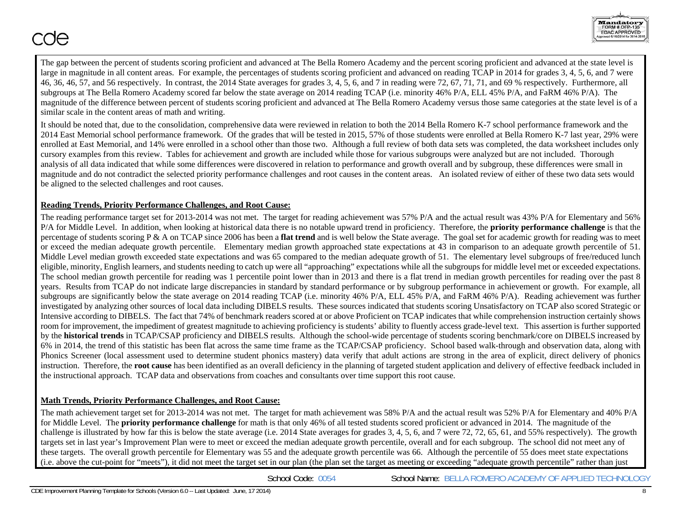

The gap between the percent of students scoring proficient and advanced at The Bella Romero Academy and the percent scoring proficient and advanced at the state level is large in magnitude in all content areas. For example, the percentages of students scoring proficient and advanced on reading TCAP in 2014 for grades 3, 4, 5, 6, and 7 were 46, 36, 46, 57, and 56 respectively. In contrast, the 2014 State averages for grades 3, 4, 5, 6, and 7 in reading were 72, 67, 71, 71, and 69 % respectively. Furthermore, all subgroups at The Bella Romero Academy scored far below the state average on 2014 reading TCAP (i.e. minority 46% P/A, ELL 45% P/A, and FaRM 46% P/A). The magnitude of the difference between percent of students scoring proficient and advanced at The Bella Romero Academy versus those same categories at the state level is of a similar scale in the content areas of math and writing.

It should be noted that, due to the consolidation, comprehensive data were reviewed in relation to both the 2014 Bella Romero K-7 school performance framework and the 2014 East Memorial school performance framework. Of the grades that will be tested in 2015, 57% of those students were enrolled at Bella Romero K-7 last year, 29% were enrolled at East Memorial, and 14% were enrolled in a school other than those two. Although a full review of both data sets was completed, the data worksheet includes only cursory examples from this review. Tables for achievement and growth are included while those for various subgroups were analyzed but are not included. Thorough analysis of all data indicated that while some differences were discovered in relation to performance and growth overall and by subgroup, these differences were small in magnitude and do not contradict the selected priority performance challenges and root causes in the content areas. An isolated review of either of these two data sets would be aligned to the selected challenges and root causes.

### **Reading Trends, Priority Performance Challenges, and Root Cause:**

The reading performance target set for 2013-2014 was not met. The target for reading achievement was 57% P/A and the actual result was 43% P/A for Elementary and 56% P/A for Middle Level. In addition, when looking at historical data there is no notable upward trend in proficiency. Therefore, the **priority performance challenge** is that the percentage of students scoring P & A on TCAP since 2006 has been a **flat trend** and is well below the State average. The goal set for academic growth for reading was to meet or exceed the median adequate growth percentile. Elementary median growth approached state expectations at 43 in comparison to an adequate growth percentile of 51. Middle Level median growth exceeded state expectations and was 65 compared to the median adequate growth of 51. The elementary level subgroups of free/reduced lunch eligible, minority, English learners, and students needing to catch up were all "approaching" expectations while all the subgroups for middle level met or exceeded expectations. The school median growth percentile for reading was 1 percentile point lower than in 2013 and there is a flat trend in median growth percentiles for reading over the past 8 years. Results from TCAP do not indicate large discrepancies in standard by standard performance or by subgroup performance in achievement or growth. For example, all subgroups are significantly below the state average on 2014 reading TCAP (i.e. minority 46% P/A, ELL 45% P/A, and FaRM 46% P/A). Reading achievement was further investigated by analyzing other sources of local data including DIBELS results. These sources indicated that students scoring Unsatisfactory on TCAP also scored Strategic or Intensive according to DIBELS. The fact that 74% of benchmark readers scored at or above Proficient on TCAP indicates that while comprehension instruction certainly shows room for improvement, the impediment of greatest magnitude to achieving proficiency is students' ability to fluently access grade-level text. This assertion is further supported by the **historical trends** in TCAP/CSAP proficiency and DIBELS results. Although the school-wide percentage of students scoring benchmark/core on DIBELS increased by 6% in 2014, the trend of this statistic has been flat across the same time frame as the TCAP/CSAP proficiency. School based walk-through and observation data, along with Phonics Screener (local assessment used to determine student phonics mastery) data verify that adult actions are strong in the area of explicit, direct delivery of phonics instruction. Therefore, the **root cause** has been identified as an overall deficiency in the planning of targeted student application and delivery of effective feedback included in the instructional approach. TCAP data and observations from coaches and consultants over time support this root cause.

## **Math Trends, Priority Performance Challenges, and Root Cause:**

The math achievement target set for 2013-2014 was not met. The target for math achievement was 58% P/A and the actual result was 52% P/A for Elementary and 40% P/A for Middle Level. The **priority performance challenge** for math is that only 46% of all tested students scored proficient or advanced in 2014. The magnitude of the challenge is illustrated by how far this is below the state average (i.e. 2014 State averages for grades 3, 4, 5, 6, and 7 were 72, 72, 65, 61, and 55% respectively). The growth targets set in last year's Improvement Plan were to meet or exceed the median adequate growth percentile, overall and for each subgroup. The school did not meet any of these targets. The overall growth percentile for Elementary was 55 and the adequate growth percentile was 66. Although the percentile of 55 does meet state expectations (i.e. above the cut-point for "meets"), it did not meet the target set in our plan (the plan set the target as meeting or exceeding "adequate growth percentile" rather than just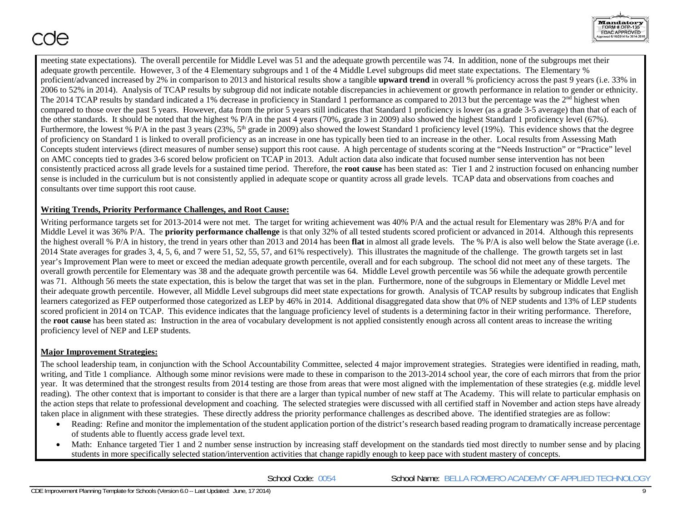

meeting state expectations). The overall percentile for Middle Level was 51 and the adequate growth percentile was 74. In addition, none of the subgroups met their adequate growth percentile. However, 3 of the 4 Elementary subgroups and 1 of the 4 Middle Level subgroups did meet state expectations. The Elementary % proficient/advanced increased by 2% in comparison to 2013 and historical results show a tangible **upward trend** in overall % proficiency across the past 9 years (i.e. 33% in 2006 to 52% in 2014). Analysis of TCAP results by subgroup did not indicate notable discrepancies in achievement or growth performance in relation to gender or ethnicity. The 2014 TCAP results by standard indicated a 1% decrease in proficiency in Standard 1 performance as compared to 2013 but the percentage was the  $2<sup>nd</sup>$  highest when compared to those over the past 5 years. However, data from the prior 5 years still indicates that Standard 1 proficiency is lower (as a grade 3-5 average) than that of each of the other standards. It should be noted that the highest % P/A in the past 4 years (70%, grade 3 in 2009) also showed the highest Standard 1 proficiency level (67%). Furthermore, the lowest % P/A in the past 3 years  $(23\%, 5^{th}$  grade in 2009) also showed the lowest Standard 1 proficiency level (19%). This evidence shows that the degree of proficiency on Standard 1 is linked to overall proficiency as an increase in one has typically been tied to an increase in the other. Local results from Assessing Math Concepts student interviews (direct measures of number sense) support this root cause. A high percentage of students scoring at the "Needs Instruction" or "Practice" level on AMC concepts tied to grades 3-6 scored below proficient on TCAP in 2013. Adult action data also indicate that focused number sense intervention has not been consistently practiced across all grade levels for a sustained time period. Therefore, the **root cause** has been stated as: Tier 1 and 2 instruction focused on enhancing number sense is included in the curriculum but is not consistently applied in adequate scope or quantity across all grade levels. TCAP data and observations from coaches and consultants over time support this root cause.

## **Writing Trends, Priority Performance Challenges, and Root Cause:**

Writing performance targets set for 2013-2014 were not met. The target for writing achievement was 40% P/A and the actual result for Elementary was 28% P/A and for Middle Level it was 36% P/A. The **priority performance challenge** is that only 32% of all tested students scored proficient or advanced in 2014. Although this represents the highest overall % P/A in history, the trend in years other than 2013 and 2014 has been **flat** in almost all grade levels. The % P/A is also well below the State average (i.e. 2014 State averages for grades 3, 4, 5, 6, and 7 were 51, 52, 55, 57, and 61% respectively). This illustrates the magnitude of the challenge. The growth targets set in last year's Improvement Plan were to meet or exceed the median adequate growth percentile, overall and for each subgroup. The school did not meet any of these targets. The overall growth percentile for Elementary was 38 and the adequate growth percentile was 64. Middle Level growth percentile was 56 while the adequate growth percentile was 71. Although 56 meets the state expectation, this is below the target that was set in the plan. Furthermore, none of the subgroups in Elementary or Middle Level met their adequate growth percentile. However, all Middle Level subgroups did meet state expectations for growth. Analysis of TCAP results by subgroup indicates that English learners categorized as FEP outperformed those categorized as LEP by 46% in 2014. Additional disaggregated data show that 0% of NEP students and 13% of LEP students scored proficient in 2014 on TCAP. This evidence indicates that the language proficiency level of students is a determining factor in their writing performance. Therefore, the **root cause** has been stated as: Instruction in the area of vocabulary development is not applied consistently enough across all content areas to increase the writing proficiency level of NEP and LEP students.

## **Major Improvement Strategies:**

The school leadership team, in conjunction with the School Accountability Committee, selected 4 major improvement strategies. Strategies were identified in reading, math, writing, and Title 1 compliance. Although some minor revisions were made to these in comparison to the 2013-2014 school year, the core of each mirrors that from the prior year. It was determined that the strongest results from 2014 testing are those from areas that were most aligned with the implementation of these strategies (e.g. middle level reading). The other context that is important to consider is that there are a larger than typical number of new staff at The Academy. This will relate to particular emphasis on the action steps that relate to professional development and coaching. The selected strategies were discussed with all certified staff in November and action steps have already taken place in alignment with these strategies. These directly address the priority performance challenges as described above. The identified strategies are as follow:

- $\bullet$  Reading: Refine and monitor the implementation of the student application portion of the district's research based reading program to dramatically increase percentage of students able to fluently access grade level text.
- 0 Math: Enhance targeted Tier 1 and 2 number sense instruction by increasing staff development on the standards tied most directly to number sense and by placing students in more specifically selected station/intervention activities that change rapidly enough to keep pace with student mastery of concepts.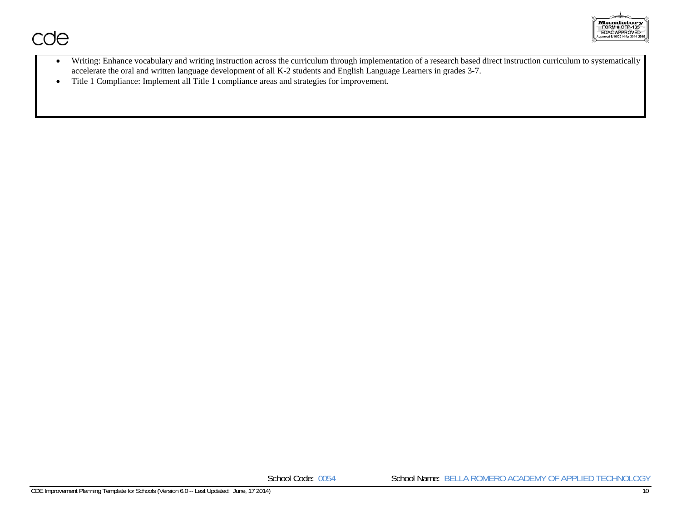

- $\bullet$  Writing: Enhance vocabulary and writing instruction across the curriculum through implementation of a research based direct instruction curriculum to systematically accelerate the oral and written language development of all K-2 students and English Language Learners in grades 3-7.
- $\bullet$ Title 1 Compliance: Implement all Title 1 compliance areas and strategies for improvement.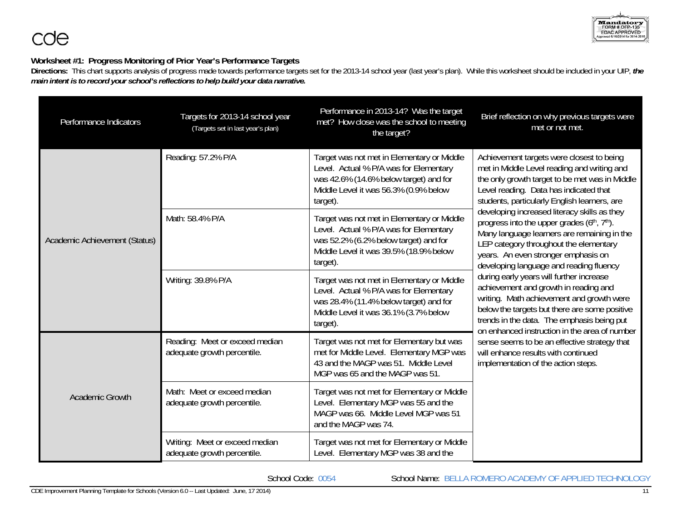# **Worksheet #1: Progress Monitoring of Prior Year's Performance Targets**

**Directions:** This chart supports analysis of progress made towards performance targets set for the 2013-14 school year (last year's plan). While this worksheet should be included in your UIP, *the main intent is to record your school's reflections to help build your data narrative.*

| Performance Indicators        | Targets for 2013-14 school year<br>(Targets set in last year's plan) | Performance in 2013-14? Was the target<br>met? How close was the school to meeting<br>the target?                                                                                   | Brief reflection on why previous targets were<br>met or not met.                                                                                                                                                                                                                                                                                                                                                                                                                                              |  |
|-------------------------------|----------------------------------------------------------------------|-------------------------------------------------------------------------------------------------------------------------------------------------------------------------------------|---------------------------------------------------------------------------------------------------------------------------------------------------------------------------------------------------------------------------------------------------------------------------------------------------------------------------------------------------------------------------------------------------------------------------------------------------------------------------------------------------------------|--|
|                               | Reading: 57.2% P/A                                                   | Target was not met in Elementary or Middle<br>Level. Actual % P/A was for Elementary<br>was 42.6% (14.6% below target) and for<br>Middle Level it was 56.3% (0.9% below<br>target). | Achievement targets were closest to being<br>met in Middle Level reading and writing and<br>the only growth target to be met was in Middle<br>Level reading. Data has indicated that<br>students, particularly English learners, are<br>developing increased literacy skills as they<br>progress into the upper grades (6th, 7th).<br>Many language learners are remaining in the<br>LEP category throughout the elementary<br>years. An even stronger emphasis on<br>developing language and reading fluency |  |
| Academic Achievement (Status) | Math: 58.4% P/A                                                      | Target was not met in Elementary or Middle<br>Level. Actual % P/A was for Elementary<br>was 52.2% (6.2% below target) and for<br>Middle Level it was 39.5% (18.9% below<br>target). |                                                                                                                                                                                                                                                                                                                                                                                                                                                                                                               |  |
|                               | Writing: 39.8% P/A                                                   | Target was not met in Elementary or Middle<br>Level. Actual % P/A was for Elementary<br>was 28.4% (11.4% below target) and for<br>Middle Level it was 36.1% (3.7% below<br>target). | during early years will further increase<br>achievement and growth in reading and<br>writing. Math achievement and growth were<br>below the targets but there are some positive<br>trends in the data. The emphasis being put<br>on enhanced instruction in the area of number                                                                                                                                                                                                                                |  |
|                               | Reading: Meet or exceed median<br>adequate growth percentile.        | Target was not met for Elementary but was<br>met for Middle Level. Elementary MGP was<br>43 and the MAGP was 51. Middle Level<br>MGP was 65 and the MAGP was 51.                    | sense seems to be an effective strategy that<br>will enhance results with continued<br>implementation of the action steps.                                                                                                                                                                                                                                                                                                                                                                                    |  |
| <b>Academic Growth</b>        | Math: Meet or exceed median<br>adequate growth percentile.           | Target was not met for Elementary or Middle<br>Level. Elementary MGP was 55 and the<br>MAGP was 66. Middle Level MGP was 51<br>and the MAGP was 74.                                 |                                                                                                                                                                                                                                                                                                                                                                                                                                                                                                               |  |
|                               | Writing: Meet or exceed median<br>adequate growth percentile.        | Target was not met for Elementary or Middle<br>Level. Elementary MGP was 38 and the                                                                                                 |                                                                                                                                                                                                                                                                                                                                                                                                                                                                                                               |  |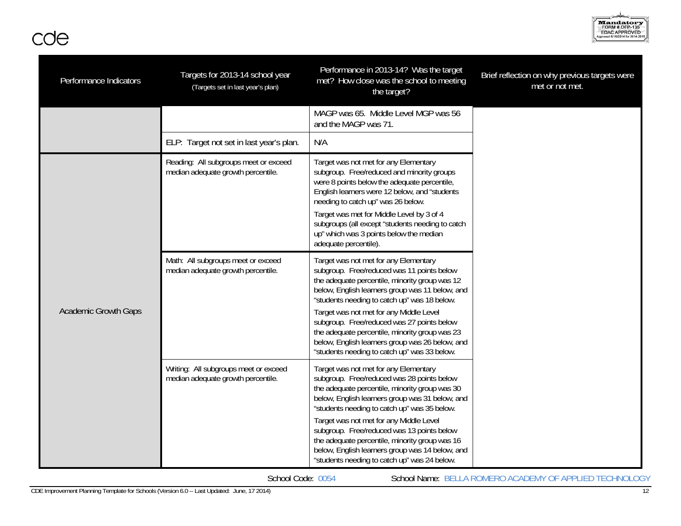

| Performance Indicators      | Targets for 2013-14 school year<br>(Targets set in last year's plan)        | Performance in 2013-14? Was the target<br>met? How close was the school to meeting<br>the target?                                                                                                                                                                                                                                                                                                                                                                                      | Brief reflection on why previous targets were<br>met or not met. |
|-----------------------------|-----------------------------------------------------------------------------|----------------------------------------------------------------------------------------------------------------------------------------------------------------------------------------------------------------------------------------------------------------------------------------------------------------------------------------------------------------------------------------------------------------------------------------------------------------------------------------|------------------------------------------------------------------|
|                             |                                                                             | MAGP was 65. Middle Level MGP was 56<br>and the MAGP was 71.                                                                                                                                                                                                                                                                                                                                                                                                                           |                                                                  |
|                             | ELP: Target not set in last year's plan.                                    | N/A                                                                                                                                                                                                                                                                                                                                                                                                                                                                                    |                                                                  |
|                             | Reading: All subgroups meet or exceed<br>median adequate growth percentile. | Target was not met for any Elementary<br>subgroup. Free/reduced and minority groups<br>were 8 points below the adequate percentile,<br>English learners were 12 below, and "students<br>needing to catch up" was 26 below.<br>Target was met for Middle Level by 3 of 4<br>subgroups (all except "students needing to catch<br>up" which was 3 points below the median<br>adequate percentile).                                                                                        |                                                                  |
| <b>Academic Growth Gaps</b> | Math: All subgroups meet or exceed<br>median adequate growth percentile.    | Target was not met for any Elementary<br>subgroup. Free/reduced was 11 points below<br>the adequate percentile, minority group was 12<br>below, English learners group was 11 below, and<br>"students needing to catch up" was 18 below.<br>Target was not met for any Middle Level<br>subgroup. Free/reduced was 27 points below<br>the adequate percentile, minority group was 23<br>below, English learners group was 26 below, and<br>"students needing to catch up" was 33 below. |                                                                  |
|                             | Writing: All subgroups meet or exceed<br>median adequate growth percentile. | Target was not met for any Elementary<br>subgroup. Free/reduced was 28 points below<br>the adequate percentile, minority group was 30<br>below, English learners group was 31 below, and<br>"students needing to catch up" was 35 below.<br>Target was not met for any Middle Level<br>subgroup. Free/reduced was 13 points below<br>the adequate percentile, minority group was 16<br>below, English learners group was 14 below, and<br>"students needing to catch up" was 24 below. |                                                                  |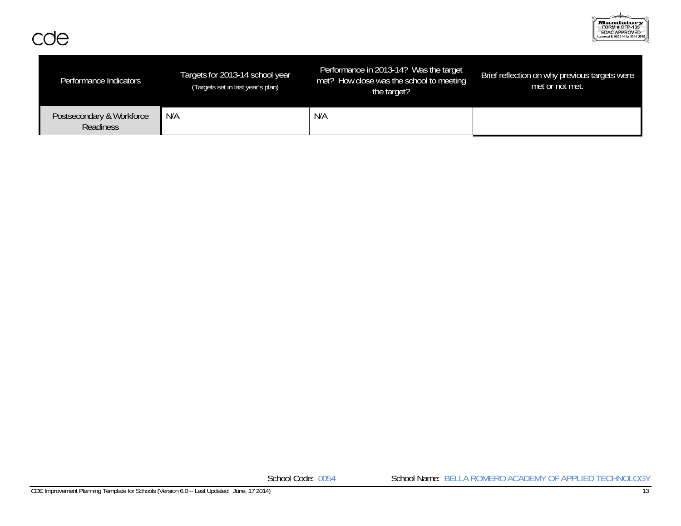

| Performance Indicators                 | Targets for 2013-14 school year<br>(Targets set in last year's plan) | Performance in 2013-14? Was the target<br>met? How close was the school to meeting<br>the target? | Brief reflection on why previous targets were<br>met or not met. |
|----------------------------------------|----------------------------------------------------------------------|---------------------------------------------------------------------------------------------------|------------------------------------------------------------------|
| Postsecondary & Workforce<br>Readiness | N/A                                                                  | N/A                                                                                               |                                                                  |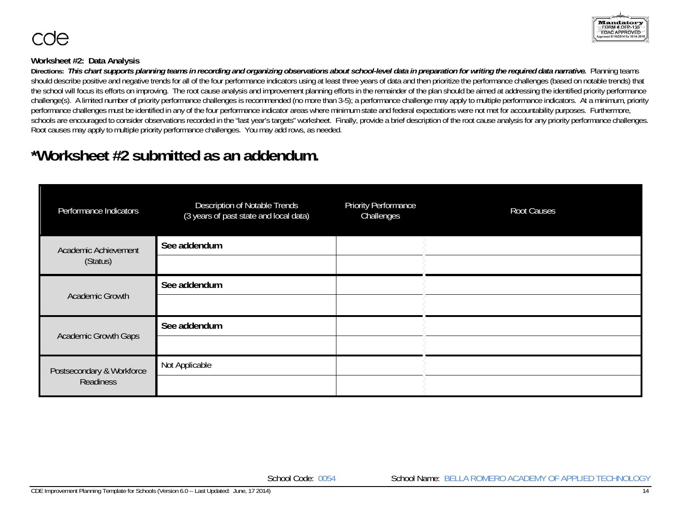

# **Worksheet #2: Data Analysis**

Directions: This chart supports planning teams in recording and organizing observations about school-level data in preparation for writing the required data narrative. Planning teams should describe positive and negative trends for all of the four performance indicators using at least three years of data and then prioritize the performance challenges (based on notable trends) that the school will focus its efforts on improving. The root cause analysis and improvement planning efforts in the remainder of the plan should be aimed at addressing the identified priority performance challenge(s). A limited number of priority performance challenges is recommended (no more than 3-5); a performance challenge may apply to multiple performance indicators. At a minimum, priority performance challenges must be identified in any of the four performance indicator areas where minimum state and federal expectations were not met for accountability purposes. Furthermore, schools are encouraged to consider observations recorded in the "last year's targets" worksheet. Finally, provide a brief description of the root cause analysis for any priority performance challenges. Root causes may apply to multiple priority performance challenges. You may add rows, as needed.

# **\*Worksheet #2 submitted as an addendum.**

| Performance Indicators           | Description of Notable Trends<br>(3 years of past state and local data) | <b>Priority Performance</b><br>Challenges | <b>Root Causes</b> |
|----------------------------------|-------------------------------------------------------------------------|-------------------------------------------|--------------------|
| Academic Achievement<br>(Status) | See addendum                                                            |                                           |                    |
|                                  |                                                                         |                                           |                    |
|                                  | See addendum                                                            |                                           |                    |
| Academic Growth                  |                                                                         |                                           |                    |
| <b>Academic Growth Gaps</b>      | See addendum                                                            |                                           |                    |
|                                  |                                                                         |                                           |                    |
| Postsecondary & Workforce        | Not Applicable                                                          |                                           |                    |
| Readiness                        |                                                                         |                                           |                    |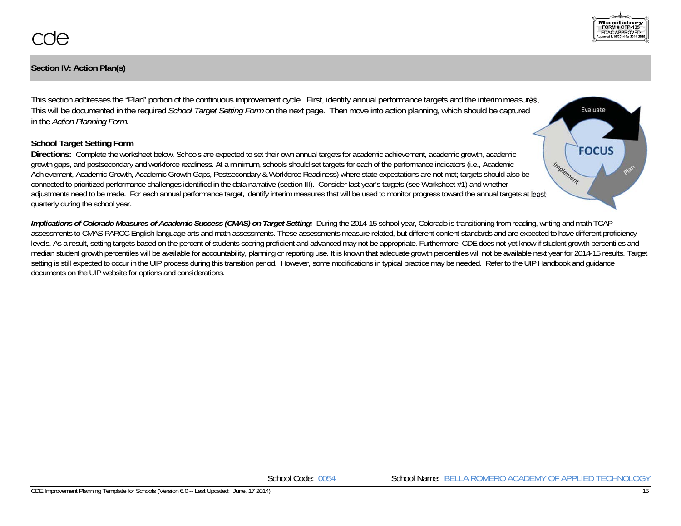# **Section IV: Action Plan(s)**

This section addresses the "Plan" portion of the continuous improvement cycle. First, identify annual performance targets and the interim measures. This will be documented in the required *School Target Setting Form* on the next page. Then move into action planning, which should be captured in the *Action Planning Form*.

# **School Target Setting Form**

**Directions:** Complete the worksheet below. Schools are expected to set their own annual targets for academic achievement, academic growth, academic growth gaps, and postsecondary and workforce readiness. At a minimum, schools should set targets for each of the performance indicators (i.e., Academic Achievement, Academic Growth, Academic Growth Gaps, Postsecondary & Workforce Readiness) where state expectations are not met; targets should also be connected to prioritized performance challenges identified in the data narrative (section III). Consider last year's targets (see Worksheet #1) and whether adjustments need to be made. For each annual performance target, identify interim measures that will be used to monitor progress toward the annual targets at least quarterly during the school year.

*Implications of Colorado Measures of Academic Success (CMAS) on Target Setting:* During the 2014-15 school year, Colorado is transitioning from reading, writing and math TCAP assessments to CMAS PARCC English language arts and math assessments. These assessments measure related, but different content standards and are expected to have different proficiency levels. As a result, setting targets based on the percent of students scoring proficient and advanced may not be appropriate. Furthermore, CDE does not yet know if student growth percentiles and median student growth percentiles will be available for accountability, planning or reporting use. It is known that adequate growth percentiles will not be available next year for 2014-15 results. Target setting is still expected to occur in the UIP process during this transition period. However, some modifications in typical practice may be needed. Refer to the UIP Handbook and quidance documents on the UIP website for options and considerations.



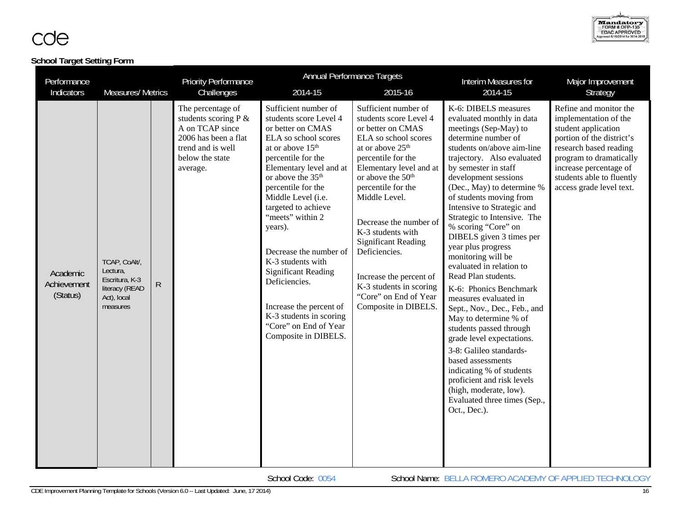# **School Target Setting Form**

| Performance                         |                                                                                          |              | <b>Priority Performance</b>                                                                                                              | <b>Annual Performance Targets</b>                                                                                                                                                                                                                                                                                                                                                                                                                                                                                    |                                                                                                                                                                                                                                                                                                                                                                                                                                                           | Interim Measures for                                                                                                                                                                                                                                                                                                                                                                                                                                                                                                                                                                                                                                                                                                                                                                                                                          | Major Improvement                                                                                                                                                                                                                           |
|-------------------------------------|------------------------------------------------------------------------------------------|--------------|------------------------------------------------------------------------------------------------------------------------------------------|----------------------------------------------------------------------------------------------------------------------------------------------------------------------------------------------------------------------------------------------------------------------------------------------------------------------------------------------------------------------------------------------------------------------------------------------------------------------------------------------------------------------|-----------------------------------------------------------------------------------------------------------------------------------------------------------------------------------------------------------------------------------------------------------------------------------------------------------------------------------------------------------------------------------------------------------------------------------------------------------|-----------------------------------------------------------------------------------------------------------------------------------------------------------------------------------------------------------------------------------------------------------------------------------------------------------------------------------------------------------------------------------------------------------------------------------------------------------------------------------------------------------------------------------------------------------------------------------------------------------------------------------------------------------------------------------------------------------------------------------------------------------------------------------------------------------------------------------------------|---------------------------------------------------------------------------------------------------------------------------------------------------------------------------------------------------------------------------------------------|
| Indicators                          | <b>Measures/ Metrics</b>                                                                 |              | Challenges                                                                                                                               | 2014-15                                                                                                                                                                                                                                                                                                                                                                                                                                                                                                              | 2015-16                                                                                                                                                                                                                                                                                                                                                                                                                                                   | 2014-15                                                                                                                                                                                                                                                                                                                                                                                                                                                                                                                                                                                                                                                                                                                                                                                                                                       | Strategy                                                                                                                                                                                                                                    |
| Academic<br>Achievement<br>(Status) | TCAP, CoAlt/,<br>Lectura,<br>Escritura, K-3<br>literacy (READ<br>Act), local<br>measures | $\mathsf{R}$ | The percentage of<br>students scoring P &<br>A on TCAP since<br>2006 has been a flat<br>trend and is well<br>below the state<br>average. | Sufficient number of<br>students score Level 4<br>or better on CMAS<br>ELA so school scores<br>at or above 15 <sup>th</sup><br>percentile for the<br>Elementary level and at<br>or above the 35 <sup>th</sup><br>percentile for the<br>Middle Level (i.e.<br>targeted to achieve<br>"meets" within 2<br>years).<br>Decrease the number of<br>K-3 students with<br><b>Significant Reading</b><br>Deficiencies.<br>Increase the percent of<br>K-3 students in scoring<br>"Core" on End of Year<br>Composite in DIBELS. | Sufficient number of<br>students score Level 4<br>or better on CMAS<br>ELA so school scores<br>at or above 25 <sup>th</sup><br>percentile for the<br>Elementary level and at<br>or above the 50 <sup>th</sup><br>percentile for the<br>Middle Level.<br>Decrease the number of<br>K-3 students with<br><b>Significant Reading</b><br>Deficiencies.<br>Increase the percent of<br>K-3 students in scoring<br>"Core" on End of Year<br>Composite in DIBELS. | K-6: DIBELS measures<br>evaluated monthly in data<br>meetings (Sep-May) to<br>determine number of<br>students on/above aim-line<br>trajectory. Also evaluated<br>by semester in staff<br>development sessions<br>(Dec., May) to determine %<br>of students moving from<br>Intensive to Strategic and<br>Strategic to Intensive. The<br>% scoring "Core" on<br>DIBELS given 3 times per<br>year plus progress<br>monitoring will be<br>evaluated in relation to<br>Read Plan students.<br>K-6: Phonics Benchmark<br>measures evaluated in<br>Sept., Nov., Dec., Feb., and<br>May to determine % of<br>students passed through<br>grade level expectations.<br>3-8: Galileo standards-<br>based assessments<br>indicating % of students<br>proficient and risk levels<br>(high, moderate, low).<br>Evaluated three times (Sep.,<br>Oct., Dec.). | Refine and monitor the<br>implementation of the<br>student application<br>portion of the district's<br>research based reading<br>program to dramatically<br>increase percentage of<br>students able to fluently<br>access grade level text. |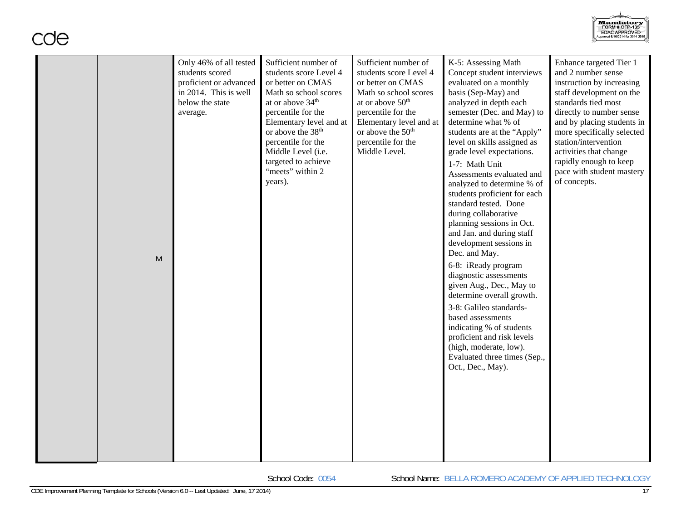|  |  | M | students scored<br>proficient or advanced<br>in 2014. This is well<br>below the state<br>average. | students score Level 4<br>or better on CMAS<br>Math so school scores<br>at or above 34 <sup>th</sup><br>percentile for the<br>Elementary level and at<br>or above the 38 <sup>th</sup><br>percentile for the<br>Middle Level (i.e.<br>targeted to achieve<br>"meets" within 2<br>years). | students score Level 4<br>or better on CMAS<br>Math so school scores<br>at or above $50th$<br>percentile for the<br>Elementary level and at<br>or above the 50 <sup>th</sup><br>percentile for the<br>Middle Level. | Concept student interviews<br>evaluated on a monthly<br>basis (Sep-May) and<br>analyzed in depth each<br>semester (Dec. and May) to<br>determine what % of<br>students are at the "Apply"<br>level on skills assigned as<br>grade level expectations.<br>1-7: Math Unit<br>Assessments evaluated and<br>analyzed to determine % of<br>students proficient for each<br>standard tested. Done<br>during collaborative<br>planning sessions in Oct.<br>and Jan. and during staff<br>development sessions in<br>Dec. and May.<br>6-8: iReady program<br>diagnostic assessments<br>given Aug., Dec., May to<br>determine overall growth.<br>3-8: Galileo standards-<br>based assessments<br>indicating % of students<br>proficient and risk levels<br>(high, moderate, low).<br>Evaluated three times (Sep.,<br>Oct., Dec., May). | and 2 number sense<br>instruction by increasing<br>staff development on the<br>standards tied most<br>directly to number sense<br>and by placing students in<br>more specifically selected<br>station/intervention<br>activities that change<br>rapidly enough to keep<br>pace with student mastery<br>of concepts. |
|--|--|---|---------------------------------------------------------------------------------------------------|------------------------------------------------------------------------------------------------------------------------------------------------------------------------------------------------------------------------------------------------------------------------------------------|---------------------------------------------------------------------------------------------------------------------------------------------------------------------------------------------------------------------|------------------------------------------------------------------------------------------------------------------------------------------------------------------------------------------------------------------------------------------------------------------------------------------------------------------------------------------------------------------------------------------------------------------------------------------------------------------------------------------------------------------------------------------------------------------------------------------------------------------------------------------------------------------------------------------------------------------------------------------------------------------------------------------------------------------------------|---------------------------------------------------------------------------------------------------------------------------------------------------------------------------------------------------------------------------------------------------------------------------------------------------------------------|
|--|--|---|---------------------------------------------------------------------------------------------------|------------------------------------------------------------------------------------------------------------------------------------------------------------------------------------------------------------------------------------------------------------------------------------------|---------------------------------------------------------------------------------------------------------------------------------------------------------------------------------------------------------------------|------------------------------------------------------------------------------------------------------------------------------------------------------------------------------------------------------------------------------------------------------------------------------------------------------------------------------------------------------------------------------------------------------------------------------------------------------------------------------------------------------------------------------------------------------------------------------------------------------------------------------------------------------------------------------------------------------------------------------------------------------------------------------------------------------------------------------|---------------------------------------------------------------------------------------------------------------------------------------------------------------------------------------------------------------------------------------------------------------------------------------------------------------------|

Sufficient number of

Sufficient number of

K-5: Assessing Math

Only 46% of all tested

School Code: 0054 School Name: BELLA ROMERO ACADEMY OF APPLIED TECHNOLOGY



Enhance targeted Tier 1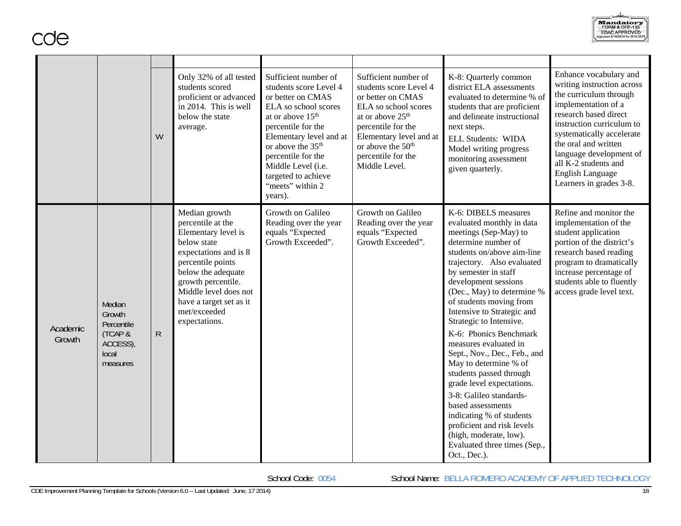

|                    |                                                                            | W           | Only 32% of all tested<br>students scored<br>proficient or advanced<br>in 2014. This is well<br>below the state<br>average.                                                                                                                             | Sufficient number of<br>students score Level 4<br>or better on CMAS<br>ELA so school scores<br>at or above 15 <sup>th</sup><br>percentile for the<br>Elementary level and at<br>or above the 35 <sup>th</sup><br>percentile for the<br>Middle Level (i.e.<br>targeted to achieve<br>"meets" within 2<br>years). | Sufficient number of<br>students score Level 4<br>or better on CMAS<br>ELA so school scores<br>at or above 25 <sup>th</sup><br>percentile for the<br>Elementary level and at<br>or above the 50 <sup>th</sup><br>percentile for the<br>Middle Level. | K-8: Quarterly common<br>district ELA assessments<br>evaluated to determine % of<br>students that are proficient<br>and delineate instructional<br>next steps.<br><b>ELL Students: WIDA</b><br>Model writing progress<br>monitoring assessment<br>given quarterly.                                                                                                                                                                                                                                                                                                                                                                                                                      | Enhance vocabulary and<br>writing instruction across<br>the curriculum through<br>implementation of a<br>research based direct<br>instruction curriculum to<br>systematically accelerate<br>the oral and written<br>language development of<br>all K-2 students and<br>English Language<br>Learners in grades 3-8. |
|--------------------|----------------------------------------------------------------------------|-------------|---------------------------------------------------------------------------------------------------------------------------------------------------------------------------------------------------------------------------------------------------------|-----------------------------------------------------------------------------------------------------------------------------------------------------------------------------------------------------------------------------------------------------------------------------------------------------------------|------------------------------------------------------------------------------------------------------------------------------------------------------------------------------------------------------------------------------------------------------|-----------------------------------------------------------------------------------------------------------------------------------------------------------------------------------------------------------------------------------------------------------------------------------------------------------------------------------------------------------------------------------------------------------------------------------------------------------------------------------------------------------------------------------------------------------------------------------------------------------------------------------------------------------------------------------------|--------------------------------------------------------------------------------------------------------------------------------------------------------------------------------------------------------------------------------------------------------------------------------------------------------------------|
| Academic<br>Growth | Median<br>Growth<br>Percentile<br>(TCAP &<br>ACCESS),<br>local<br>measures | $\mathsf R$ | Median growth<br>percentile at the<br>Elementary level is<br>below state<br>expectations and is 8<br>percentile points<br>below the adequate<br>growth percentile.<br>Middle level does not<br>have a target set as it<br>met/exceeded<br>expectations. | Growth on Galileo<br>Reading over the year<br>equals "Expected<br>Growth Exceeded".                                                                                                                                                                                                                             | Growth on Galileo<br>Reading over the year<br>equals "Expected<br>Growth Exceeded".                                                                                                                                                                  | K-6: DIBELS measures<br>evaluated monthly in data<br>meetings (Sep-May) to<br>determine number of<br>students on/above aim-line<br>trajectory. Also evaluated<br>by semester in staff<br>development sessions<br>(Dec., May) to determine %<br>of students moving from<br>Intensive to Strategic and<br>Strategic to Intensive.<br>K-6: Phonics Benchmark<br>measures evaluated in<br>Sept., Nov., Dec., Feb., and<br>May to determine % of<br>students passed through<br>grade level expectations.<br>3-8: Galileo standards-<br>based assessments<br>indicating % of students<br>proficient and risk levels<br>(high, moderate, low).<br>Evaluated three times (Sep.,<br>Oct., Dec.). | Refine and monitor the<br>implementation of the<br>student application<br>portion of the district's<br>research based reading<br>program to dramatically<br>increase percentage of<br>students able to fluently<br>access grade level text.                                                                        |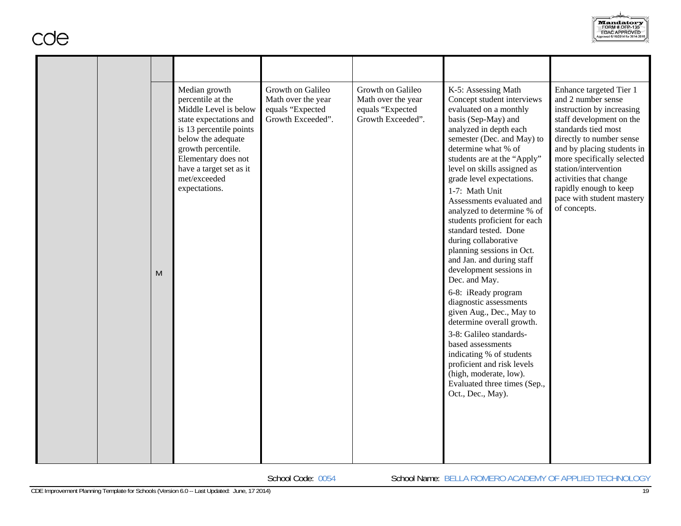|  | M | Median growth<br>percentile at the<br>Middle Level is below<br>state expectations and<br>is 13 percentile points<br>below the adequate<br>growth percentile.<br>Elementary does not<br>have a target set as it<br>met/exceeded<br>expectations. | Growth on Galileo<br>Math over the year<br>equals "Expected<br>Growth Exceeded". | Growth on Galileo<br>Math over the year<br>equals "Expected<br>Growth Exceeded". | K-5: Assessing Math<br>Concept student interviews<br>evaluated on a monthly<br>basis (Sep-May) and<br>analyzed in depth each<br>semester (Dec. and May) to<br>determine what % of<br>students are at the "Apply"<br>level on skills assigned as<br>grade level expectations.<br>1-7: Math Unit<br>Assessments evaluated and<br>analyzed to determine % of<br>students proficient for each<br>standard tested. Done<br>during collaborative<br>planning sessions in Oct.<br>and Jan. and during staff<br>development sessions in<br>Dec. and May.<br>6-8: iReady program<br>diagnostic assessments<br>given Aug., Dec., May to<br>determine overall growth.<br>3-8: Galileo standards-<br>based assessments<br>indicating % of students<br>proficient and risk levels<br>(high, moderate, low).<br>Evaluated three times (Sep.,<br>Oct., Dec., May). | Enhance targeted Tier 1<br>and 2 number sense<br>instruction by increasing<br>staff development on the<br>standards tied most<br>directly to number sense<br>and by placing students in<br>more specifically selected<br>station/intervention<br>activities that change<br>rapidly enough to keep<br>pace with student mastery<br>of concepts. |
|--|---|-------------------------------------------------------------------------------------------------------------------------------------------------------------------------------------------------------------------------------------------------|----------------------------------------------------------------------------------|----------------------------------------------------------------------------------|-----------------------------------------------------------------------------------------------------------------------------------------------------------------------------------------------------------------------------------------------------------------------------------------------------------------------------------------------------------------------------------------------------------------------------------------------------------------------------------------------------------------------------------------------------------------------------------------------------------------------------------------------------------------------------------------------------------------------------------------------------------------------------------------------------------------------------------------------------|------------------------------------------------------------------------------------------------------------------------------------------------------------------------------------------------------------------------------------------------------------------------------------------------------------------------------------------------|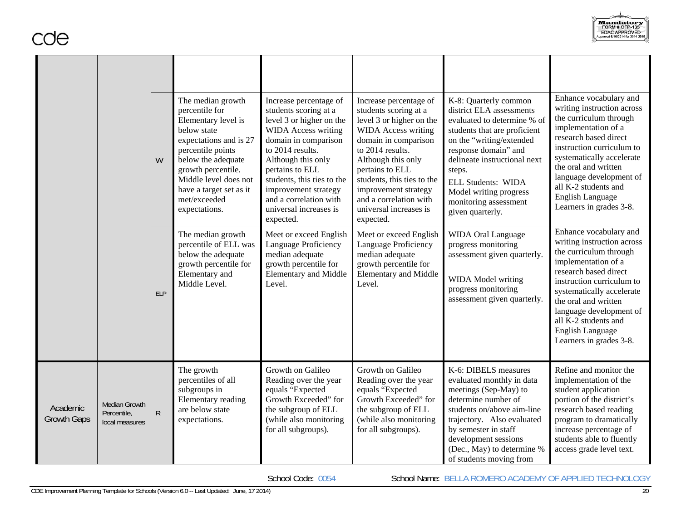|                                |                                                | W          | The median growth<br>percentile for<br>Elementary level is<br>below state<br>expectations and is 27<br>percentile points<br>below the adequate<br>growth percentile.<br>Middle level does not<br>have a target set as it<br>met/exceeded<br>expectations. | Increase percentage of<br>students scoring at a<br>level 3 or higher on the<br><b>WIDA</b> Access writing<br>domain in comparison<br>to 2014 results.<br>Although this only<br>pertains to ELL<br>students, this ties to the<br>improvement strategy<br>and a correlation with<br>universal increases is<br>expected. | Increase percentage of<br>students scoring at a<br>level 3 or higher on the<br><b>WIDA</b> Access writing<br>domain in comparison<br>to 2014 results.<br>Although this only<br>pertains to ELL<br>students, this ties to the<br>improvement strategy<br>and a correlation with<br>universal increases is<br>expected. | K-8: Quarterly common<br>district ELA assessments<br>evaluated to determine % of<br>students that are proficient<br>on the "writing/extended<br>response domain" and<br>delineate instructional next<br>steps.<br><b>ELL Students: WIDA</b><br>Model writing progress<br>monitoring assessment<br>given quarterly. | Enhance vocabulary and<br>writing instruction across<br>the curriculum through<br>implementation of a<br>research based direct<br>instruction curriculum to<br>systematically accelerate<br>the oral and written<br>language development of<br>all K-2 students and<br><b>English Language</b><br>Learners in grades 3-8. |
|--------------------------------|------------------------------------------------|------------|-----------------------------------------------------------------------------------------------------------------------------------------------------------------------------------------------------------------------------------------------------------|-----------------------------------------------------------------------------------------------------------------------------------------------------------------------------------------------------------------------------------------------------------------------------------------------------------------------|-----------------------------------------------------------------------------------------------------------------------------------------------------------------------------------------------------------------------------------------------------------------------------------------------------------------------|--------------------------------------------------------------------------------------------------------------------------------------------------------------------------------------------------------------------------------------------------------------------------------------------------------------------|---------------------------------------------------------------------------------------------------------------------------------------------------------------------------------------------------------------------------------------------------------------------------------------------------------------------------|
|                                |                                                | <b>ELP</b> | The median growth<br>percentile of ELL was<br>below the adequate<br>growth percentile for<br>Elementary and<br>Middle Level.                                                                                                                              | Meet or exceed English<br>Language Proficiency<br>median adequate<br>growth percentile for<br><b>Elementary and Middle</b><br>Level.                                                                                                                                                                                  | Meet or exceed English<br>Language Proficiency<br>median adequate<br>growth percentile for<br><b>Elementary and Middle</b><br>Level.                                                                                                                                                                                  | <b>WIDA Oral Language</b><br>progress monitoring<br>assessment given quarterly.<br>WIDA Model writing<br>progress monitoring<br>assessment given quarterly.                                                                                                                                                        | Enhance vocabulary and<br>writing instruction across<br>the curriculum through<br>implementation of a<br>research based direct<br>instruction curriculum to<br>systematically accelerate<br>the oral and written<br>language development of<br>all K-2 students and<br><b>English Language</b><br>Learners in grades 3-8. |
| Academic<br><b>Growth Gaps</b> | Median Growth<br>Percentile,<br>local measures | R          | The growth<br>percentiles of all<br>subgroups in<br>Elementary reading<br>are below state<br>expectations.                                                                                                                                                | Growth on Galileo<br>Reading over the year<br>equals "Expected<br>Growth Exceeded" for<br>the subgroup of ELL<br>(while also monitoring<br>for all subgroups).                                                                                                                                                        | Growth on Galileo<br>Reading over the year<br>equals "Expected<br>Growth Exceeded" for<br>the subgroup of ELL<br>(while also monitoring<br>for all subgroups).                                                                                                                                                        | K-6: DIBELS measures<br>evaluated monthly in data<br>meetings (Sep-May) to<br>determine number of<br>students on/above aim-line<br>trajectory. Also evaluated<br>by semester in staff<br>development sessions<br>(Dec., May) to determine %<br>of students moving from                                             | Refine and monitor the<br>implementation of the<br>student application<br>portion of the district's<br>research based reading<br>program to dramatically<br>increase percentage of<br>students able to fluently<br>access grade level text.                                                                               |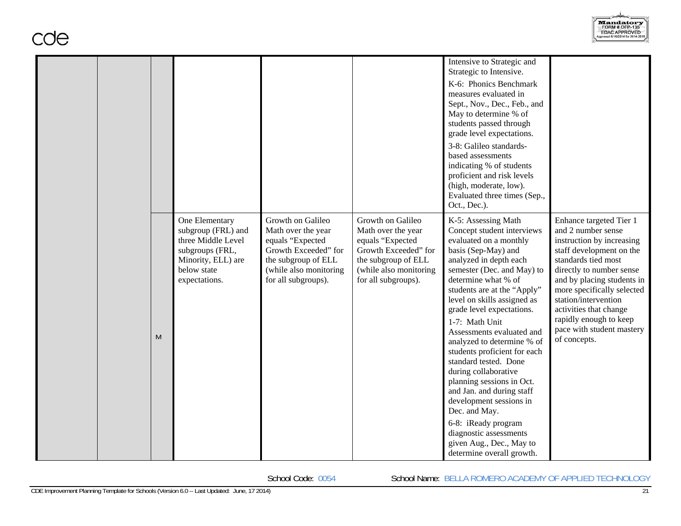

|   |                                                                                                                                     |                                                                                                                                                             |                                                                                                                                                             | Intensive to Strategic and<br>Strategic to Intensive.<br>K-6: Phonics Benchmark<br>measures evaluated in<br>Sept., Nov., Dec., Feb., and<br>May to determine % of<br>students passed through<br>grade level expectations.<br>3-8: Galileo standards-<br>based assessments<br>indicating % of students<br>proficient and risk levels<br>(high, moderate, low).<br>Evaluated three times (Sep.,<br>Oct., Dec.).                                                                                                                                                                                                                                              |                                                                                                                                                                                                                                                                                                                                                |
|---|-------------------------------------------------------------------------------------------------------------------------------------|-------------------------------------------------------------------------------------------------------------------------------------------------------------|-------------------------------------------------------------------------------------------------------------------------------------------------------------|------------------------------------------------------------------------------------------------------------------------------------------------------------------------------------------------------------------------------------------------------------------------------------------------------------------------------------------------------------------------------------------------------------------------------------------------------------------------------------------------------------------------------------------------------------------------------------------------------------------------------------------------------------|------------------------------------------------------------------------------------------------------------------------------------------------------------------------------------------------------------------------------------------------------------------------------------------------------------------------------------------------|
| M | One Elementary<br>subgroup (FRL) and<br>three Middle Level<br>subgroups (FRL,<br>Minority, ELL) are<br>below state<br>expectations. | Growth on Galileo<br>Math over the year<br>equals "Expected<br>Growth Exceeded" for<br>the subgroup of ELL<br>(while also monitoring<br>for all subgroups). | Growth on Galileo<br>Math over the year<br>equals "Expected<br>Growth Exceeded" for<br>the subgroup of ELL<br>(while also monitoring<br>for all subgroups). | K-5: Assessing Math<br>Concept student interviews<br>evaluated on a monthly<br>basis (Sep-May) and<br>analyzed in depth each<br>semester (Dec. and May) to<br>determine what % of<br>students are at the "Apply"<br>level on skills assigned as<br>grade level expectations.<br>1-7: Math Unit<br>Assessments evaluated and<br>analyzed to determine % of<br>students proficient for each<br>standard tested. Done<br>during collaborative<br>planning sessions in Oct.<br>and Jan. and during staff<br>development sessions in<br>Dec. and May.<br>6-8: iReady program<br>diagnostic assessments<br>given Aug., Dec., May to<br>determine overall growth. | Enhance targeted Tier 1<br>and 2 number sense<br>instruction by increasing<br>staff development on the<br>standards tied most<br>directly to number sense<br>and by placing students in<br>more specifically selected<br>station/intervention<br>activities that change<br>rapidly enough to keep<br>pace with student mastery<br>of concepts. |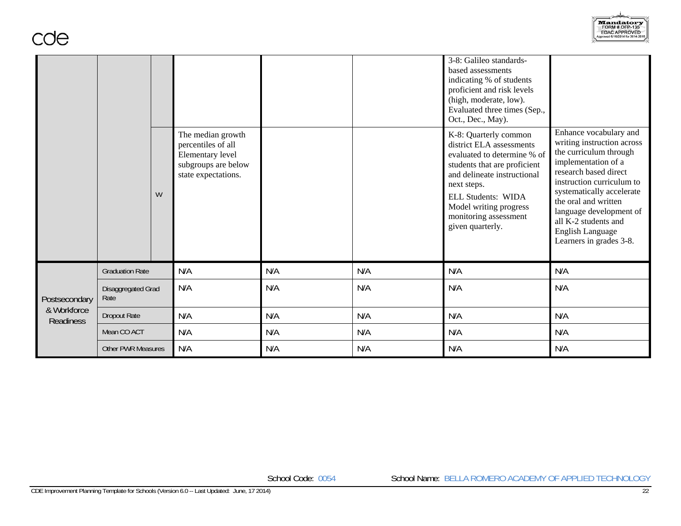

|                                 |                            |   |                                                                                                           |     |     | 3-8: Galileo standards-<br>based assessments<br>indicating % of students<br>proficient and risk levels<br>(high, moderate, low).<br>Evaluated three times (Sep.,<br>Oct., Dec., May).                                                                              |                                                                                                                                                                                                                                                                                                                           |
|---------------------------------|----------------------------|---|-----------------------------------------------------------------------------------------------------------|-----|-----|--------------------------------------------------------------------------------------------------------------------------------------------------------------------------------------------------------------------------------------------------------------------|---------------------------------------------------------------------------------------------------------------------------------------------------------------------------------------------------------------------------------------------------------------------------------------------------------------------------|
|                                 |                            | W | The median growth<br>percentiles of all<br>Elementary level<br>subgroups are below<br>state expectations. |     |     | K-8: Quarterly common<br>district ELA assessments<br>evaluated to determine % of<br>students that are proficient<br>and delineate instructional<br>next steps.<br><b>ELL Students: WIDA</b><br>Model writing progress<br>monitoring assessment<br>given quarterly. | Enhance vocabulary and<br>writing instruction across<br>the curriculum through<br>implementation of a<br>research based direct<br>instruction curriculum to<br>systematically accelerate<br>the oral and written<br>language development of<br>all K-2 students and<br><b>English Language</b><br>Learners in grades 3-8. |
|                                 | <b>Graduation Rate</b>     |   | N/A                                                                                                       | N/A | N/A | N/A                                                                                                                                                                                                                                                                | N/A                                                                                                                                                                                                                                                                                                                       |
| Postsecondary                   | Disaggregated Grad<br>Rate |   | N/A                                                                                                       | N/A | N/A | N/A                                                                                                                                                                                                                                                                | N/A                                                                                                                                                                                                                                                                                                                       |
| & Workforce<br><b>Readiness</b> | <b>Dropout Rate</b>        |   | N/A                                                                                                       | N/A | N/A | N/A                                                                                                                                                                                                                                                                | N/A                                                                                                                                                                                                                                                                                                                       |
|                                 | Mean CO ACT                |   | N/A                                                                                                       | N/A | N/A | N/A                                                                                                                                                                                                                                                                | N/A                                                                                                                                                                                                                                                                                                                       |
|                                 | <b>Other PWR Measures</b>  |   | N/A                                                                                                       | N/A | N/A | N/A                                                                                                                                                                                                                                                                | N/A                                                                                                                                                                                                                                                                                                                       |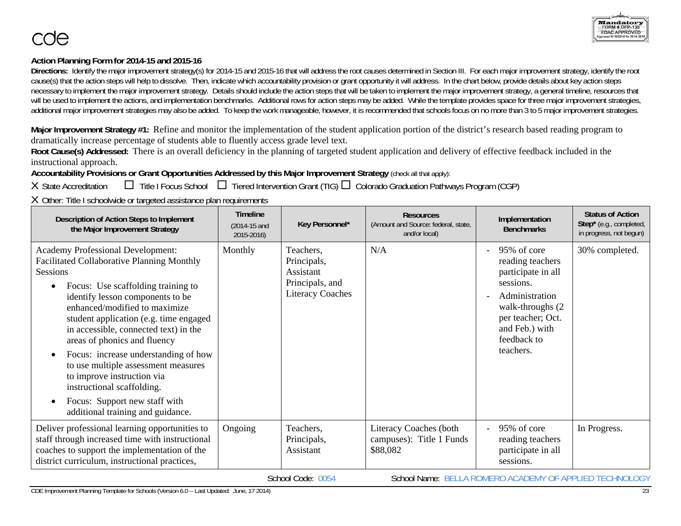## **Action Planning Form for 2014-15 and 2015-16**

Directions: Identify the major improvement strategy(s) for 2014-15 and 2015-16 that will address the root causes determined in Section III. For each major improvement strategy, identify the root cause(s) that the action steps will help to dissolve. Then, indicate which accountability provision or grant opportunity it will address. In the chart below, provide details about key action steps necessary to implement the major improvement strategy. Details should include the action steps that will be taken to implement the major improvement strategy, a general timeline, resources that will be used to implement the actions, and implementation benchmarks. Additional rows for action steps may be added. While the template provides space for three major improvement strategies, additional major improvement strategies may also be added. To keep the work manageable, however, it is recommended that schools focus on no more than 3 to 5 major improvement strategies.

**Major Improvement Strategy #1:** Refine and monitor the implementation of the student application portion of the district's research based reading program to dramatically increase percentage of students able to fluently access grade level text.

**Root Cause(s) Addressed:** There is an overall deficiency in the planning of targeted student application and delivery of effective feedback included in the instructional approach.

**Accountability Provisions or Grant Opportunities Addressed by this Major Improvement Strategy** (check all that apply):

X State Accreditation  $\square$  Title I Focus School  $\square$  Tiered Intervention Grant (TIG)  $\square$  Colorado Graduation Pathways Program (CGP)

X Other: Title I schoolwide or targeted assistance plan requirements

| Description of Action Steps to Implement<br>the Major Improvement Strategy                                                                                                                                                                                                                                                                                                                                                                                                                                                                                                               | <b>Timeline</b><br>(2014-15 and<br>2015-2016) | Key Personnel*                                                                      | <b>Resources</b><br>(Amount and Source: federal, state,<br>and/or local) | Implementation<br><b>Benchmarks</b>                                                                                                                                          | <b>Status of Action</b><br>Step* (e.g., completed,<br>in progress, not begun) |
|------------------------------------------------------------------------------------------------------------------------------------------------------------------------------------------------------------------------------------------------------------------------------------------------------------------------------------------------------------------------------------------------------------------------------------------------------------------------------------------------------------------------------------------------------------------------------------------|-----------------------------------------------|-------------------------------------------------------------------------------------|--------------------------------------------------------------------------|------------------------------------------------------------------------------------------------------------------------------------------------------------------------------|-------------------------------------------------------------------------------|
| <b>Academy Professional Development:</b><br>Facilitated Collaborative Planning Monthly<br>Sessions<br>Focus: Use scaffolding training to<br>$\bullet$<br>identify lesson components to be<br>enhanced/modified to maximize<br>student application (e.g. time engaged<br>in accessible, connected text) in the<br>areas of phonics and fluency<br>Focus: increase understanding of how<br>$\bullet$<br>to use multiple assessment measures<br>to improve instruction via<br>instructional scaffolding.<br>Focus: Support new staff with<br>$\bullet$<br>additional training and guidance. | Monthly                                       | Teachers,<br>Principals,<br>Assistant<br>Principals, and<br><b>Literacy Coaches</b> | N/A                                                                      | 95% of core<br>reading teachers<br>participate in all<br>sessions.<br>Administration<br>walk-throughs (2)<br>per teacher; Oct.<br>and Feb.) with<br>feedback to<br>teachers. | 30% completed.                                                                |
| Deliver professional learning opportunities to<br>staff through increased time with instructional<br>coaches to support the implementation of the<br>district curriculum, instructional practices,                                                                                                                                                                                                                                                                                                                                                                                       | Ongoing                                       | Teachers,<br>Principals,<br>Assistant                                               | Literacy Coaches (both<br>campuses): Title 1 Funds<br>\$88,082           | 95% of core<br>$\sim$<br>reading teachers<br>participate in all<br>sessions.                                                                                                 | In Progress.                                                                  |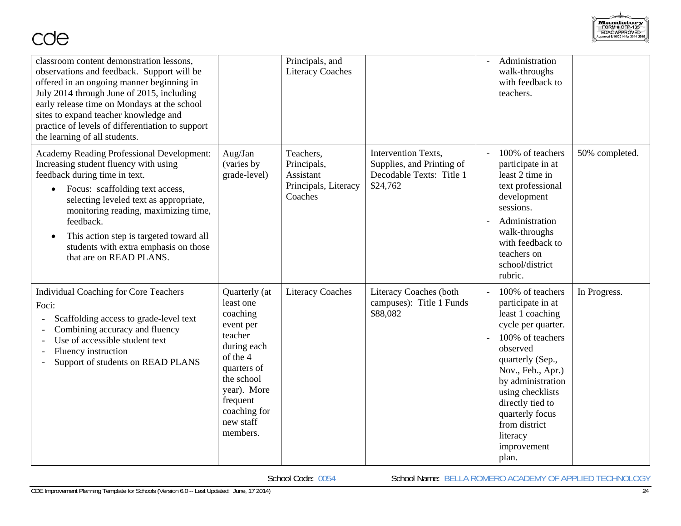

| classroom content demonstration lessons,<br>observations and feedback. Support will be<br>offered in an ongoing manner beginning in<br>July 2014 through June of 2015, including<br>early release time on Mondays at the school<br>sites to expand teacher knowledge and<br>practice of levels of differentiation to support<br>the learning of all students.                            |                                                                                                                                                                                            | Principals, and<br><b>Literacy Coaches</b>                               |                                                                                          | Administration<br>walk-throughs<br>with feedback to<br>teachers.                                                                                                                                                                                                                              |                |
|------------------------------------------------------------------------------------------------------------------------------------------------------------------------------------------------------------------------------------------------------------------------------------------------------------------------------------------------------------------------------------------|--------------------------------------------------------------------------------------------------------------------------------------------------------------------------------------------|--------------------------------------------------------------------------|------------------------------------------------------------------------------------------|-----------------------------------------------------------------------------------------------------------------------------------------------------------------------------------------------------------------------------------------------------------------------------------------------|----------------|
| <b>Academy Reading Professional Development:</b><br>Increasing student fluency with using<br>feedback during time in text.<br>Focus: scaffolding text access,<br>$\bullet$<br>selecting leveled text as appropriate,<br>monitoring reading, maximizing time,<br>feedback.<br>This action step is targeted toward all<br>students with extra emphasis on those<br>that are on READ PLANS. | Aug/Jan<br>(varies by<br>grade-level)                                                                                                                                                      | Teachers,<br>Principals,<br>Assistant<br>Principals, Literacy<br>Coaches | Intervention Texts,<br>Supplies, and Printing of<br>Decodable Texts: Title 1<br>\$24,762 | 100% of teachers<br>participate in at<br>least 2 time in<br>text professional<br>development<br>sessions.<br>Administration<br>walk-throughs<br>with feedback to<br>teachers on<br>school/district<br>rubric.                                                                                 | 50% completed. |
| <b>Individual Coaching for Core Teachers</b><br>Foci:<br>Scaffolding access to grade-level text<br>Combining accuracy and fluency<br>Use of accessible student text<br>Fluency instruction<br>Support of students on READ PLANS                                                                                                                                                          | Quarterly (at<br>least one<br>coaching<br>event per<br>teacher<br>during each<br>of the 4<br>quarters of<br>the school<br>year). More<br>frequent<br>coaching for<br>new staff<br>members. | <b>Literacy Coaches</b>                                                  | Literacy Coaches (both<br>campuses): Title 1 Funds<br>\$88,082                           | 100% of teachers<br>participate in at<br>least 1 coaching<br>cycle per quarter.<br>100% of teachers<br>observed<br>quarterly (Sep.,<br>Nov., Feb., Apr.)<br>by administration<br>using checklists<br>directly tied to<br>quarterly focus<br>from district<br>literacy<br>improvement<br>plan. | In Progress.   |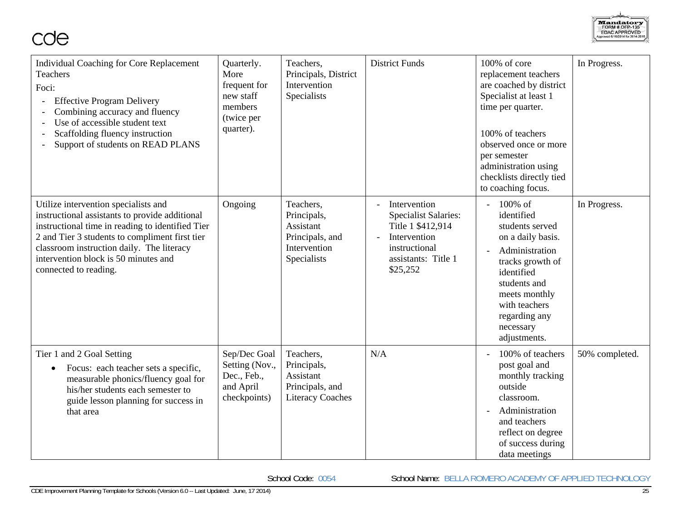

| <b>Individual Coaching for Core Replacement</b><br>Teachers<br>Foci:<br><b>Effective Program Delivery</b><br>Combining accuracy and fluency<br>Use of accessible student text<br>$\overline{a}$<br>Scaffolding fluency instruction<br>Support of students on READ PLANS                                    | Quarterly.<br>More<br>frequent for<br>new staff<br>members<br>(twice per<br>quarter). | Teachers,<br>Principals, District<br>Intervention<br>Specialists                        | <b>District Funds</b>                                                                                                                | 100% of core<br>replacement teachers<br>are coached by district<br>Specialist at least 1<br>time per quarter.<br>100% of teachers<br>observed once or more<br>per semester<br>administration using<br>checklists directly tied<br>to coaching focus. | In Progress.   |
|------------------------------------------------------------------------------------------------------------------------------------------------------------------------------------------------------------------------------------------------------------------------------------------------------------|---------------------------------------------------------------------------------------|-----------------------------------------------------------------------------------------|--------------------------------------------------------------------------------------------------------------------------------------|------------------------------------------------------------------------------------------------------------------------------------------------------------------------------------------------------------------------------------------------------|----------------|
| Utilize intervention specialists and<br>instructional assistants to provide additional<br>instructional time in reading to identified Tier<br>2 and Tier 3 students to compliment first tier<br>classroom instruction daily. The literacy<br>intervention block is 50 minutes and<br>connected to reading. | Ongoing                                                                               | Teachers.<br>Principals,<br>Assistant<br>Principals, and<br>Intervention<br>Specialists | Intervention<br><b>Specialist Salaries:</b><br>Title 1 \$412,914<br>Intervention<br>instructional<br>assistants: Title 1<br>\$25,252 | 100% of<br>$\overline{\phantom{a}}$<br>identified<br>students served<br>on a daily basis.<br>Administration<br>tracks growth of<br>identified<br>students and<br>meets monthly<br>with teachers<br>regarding any<br>necessary<br>adjustments.        | In Progress.   |
| Tier 1 and 2 Goal Setting<br>Focus: each teacher sets a specific,<br>measurable phonics/fluency goal for<br>his/her students each semester to<br>guide lesson planning for success in<br>that area                                                                                                         | Sep/Dec Goal<br>Setting (Nov.,<br>Dec., Feb.,<br>and April<br>checkpoints)            | Teachers,<br>Principals,<br>Assistant<br>Principals, and<br><b>Literacy Coaches</b>     | N/A                                                                                                                                  | 100% of teachers<br>post goal and<br>monthly tracking<br>outside<br>classroom.<br>Administration<br>and teachers<br>reflect on degree<br>of success during<br>data meetings                                                                          | 50% completed. |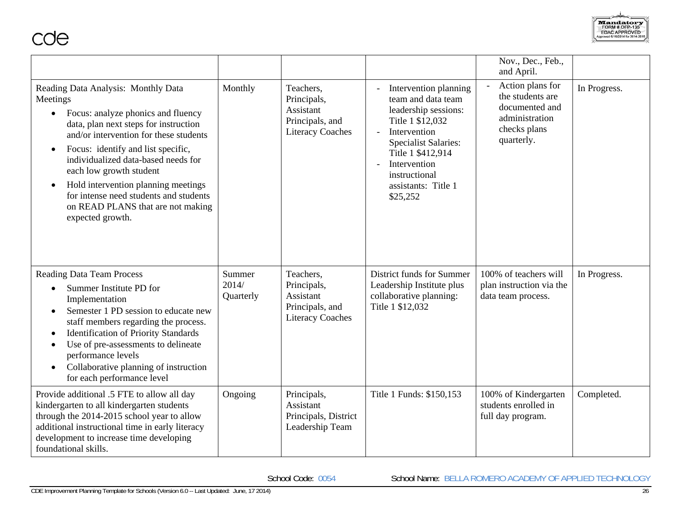Mandatory<br>FORM # OFP-135<br>EDAC APPROVED<br>Approved 6/16/2014 for 2014-2014

cde

|                                                                                                                                                                                                                                                                                                                                                                                                                            |                              |                                                                                     |                                                                                                                                                                                                                                                   | Nov., Dec., Feb.,<br>and April.                                                                        |              |
|----------------------------------------------------------------------------------------------------------------------------------------------------------------------------------------------------------------------------------------------------------------------------------------------------------------------------------------------------------------------------------------------------------------------------|------------------------------|-------------------------------------------------------------------------------------|---------------------------------------------------------------------------------------------------------------------------------------------------------------------------------------------------------------------------------------------------|--------------------------------------------------------------------------------------------------------|--------------|
| Reading Data Analysis: Monthly Data<br>Meetings<br>Focus: analyze phonics and fluency<br>data, plan next steps for instruction<br>and/or intervention for these students<br>Focus: identify and list specific,<br>individualized data-based needs for<br>each low growth student<br>Hold intervention planning meetings<br>for intense need students and students<br>on READ PLANS that are not making<br>expected growth. | Monthly                      | Teachers,<br>Principals,<br>Assistant<br>Principals, and<br><b>Literacy Coaches</b> | Intervention planning<br>team and data team<br>leadership sessions:<br>Title 1 \$12,032<br>Intervention<br>$\overline{a}$<br><b>Specialist Salaries:</b><br>Title 1 \$412,914<br>Intervention<br>instructional<br>assistants: Title 1<br>\$25,252 | Action plans for<br>the students are<br>documented and<br>administration<br>checks plans<br>quarterly. | In Progress. |
| <b>Reading Data Team Process</b><br>Summer Institute PD for<br>$\bullet$<br>Implementation<br>Semester 1 PD session to educate new<br>staff members regarding the process.<br><b>Identification of Priority Standards</b><br>Use of pre-assessments to delineate<br>$\bullet$<br>performance levels<br>Collaborative planning of instruction<br>for each performance level                                                 | Summer<br>2014/<br>Quarterly | Teachers,<br>Principals,<br>Assistant<br>Principals, and<br><b>Literacy Coaches</b> | District funds for Summer<br>Leadership Institute plus<br>collaborative planning:<br>Title 1 \$12,032                                                                                                                                             | 100% of teachers will<br>plan instruction via the<br>data team process.                                | In Progress. |
| Provide additional .5 FTE to allow all day<br>kindergarten to all kindergarten students<br>through the 2014-2015 school year to allow<br>additional instructional time in early literacy<br>development to increase time developing<br>foundational skills.                                                                                                                                                                | Ongoing                      | Principals,<br>Assistant<br>Principals, District<br>Leadership Team                 | Title 1 Funds: \$150,153                                                                                                                                                                                                                          | 100% of Kindergarten<br>students enrolled in<br>full day program.                                      | Completed.   |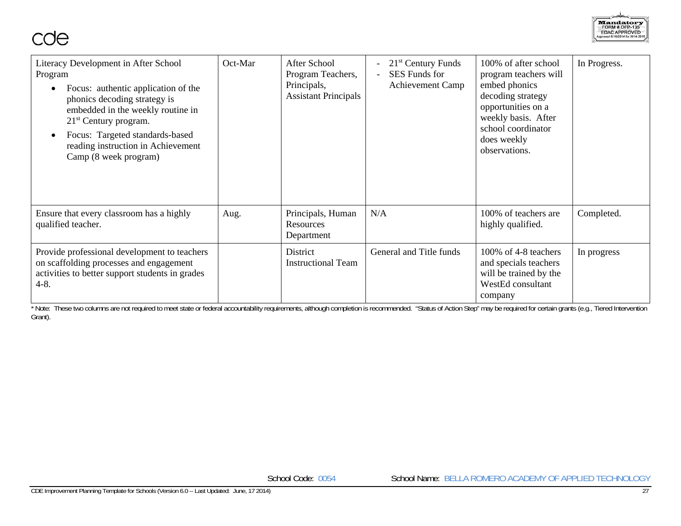

| Literacy Development in After School<br>Program<br>Focus: authentic application of the<br>$\bullet$<br>phonics decoding strategy is<br>embedded in the weekly routine in<br>$21st$ Century program.<br>Focus: Targeted standards-based<br>reading instruction in Achievement<br>Camp (8 week program) | Oct-Mar | After School<br>Program Teachers,<br>Principals,<br><b>Assistant Principals</b> | $21st$ Century Funds<br><b>SES</b> Funds for<br><b>Achievement Camp</b> | 100% of after school<br>program teachers will<br>embed phonics<br>decoding strategy<br>opportunities on a<br>weekly basis. After<br>school coordinator<br>does weekly<br>observations. | In Progress. |
|-------------------------------------------------------------------------------------------------------------------------------------------------------------------------------------------------------------------------------------------------------------------------------------------------------|---------|---------------------------------------------------------------------------------|-------------------------------------------------------------------------|----------------------------------------------------------------------------------------------------------------------------------------------------------------------------------------|--------------|
| Ensure that every classroom has a highly<br>qualified teacher.                                                                                                                                                                                                                                        | Aug.    | Principals, Human<br><b>Resources</b><br>Department                             | N/A                                                                     | 100% of teachers are<br>highly qualified.                                                                                                                                              | Completed.   |
| Provide professional development to teachers<br>on scaffolding processes and engagement<br>activities to better support students in grades<br>$4 - 8$ .                                                                                                                                               |         | District<br><b>Instructional Team</b>                                           | General and Title funds                                                 | 100% of 4-8 teachers<br>and specials teachers<br>will be trained by the<br>WestEd consultant<br>company                                                                                | In progress  |

that these two columns are not required to meet state or federal accountability requirements, although completion is recommended. "Status of Action Step" may be required for certain grants (e.g., Tiered Intervention Grant).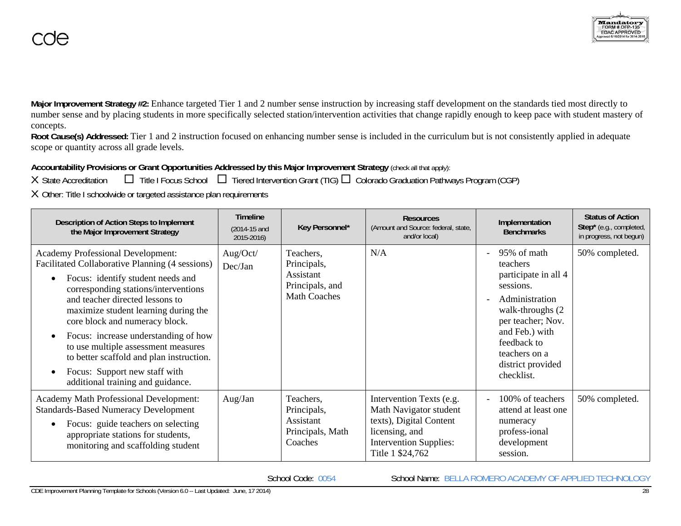**Major Improvement Strategy #2:** Enhance targeted Tier 1 and 2 number sense instruction by increasing staff development on the standards tied most directly to number sense and by placing students in more specifically selected station/intervention activities that change rapidly enough to keep pace with student mastery of concepts.

**Root Cause(s) Addressed:** Tier 1 and 2 instruction focused on enhancing number sense is included in the curriculum but is not consistently applied in adequate scope or quantity across all grade levels.

# **Accountability Provisions or Grant Opportunities Addressed by this Major Improvement Strategy** (check all that apply):

X State Accreditation  $\square$  Title I Focus School  $\square$  Tiered Intervention Grant (TIG)  $\square$  Colorado Graduation Pathways Program (CGP)

X Other: Title I schoolwide or targeted assistance plan requirements

| Description of Action Steps to Implement<br>the Major Improvement Strategy                                                                                                                                                                                                                                                                                                                                                                                                                                                    | <b>Timeline</b><br>(2014-15 and<br>2015-2016) | Key Personnel*                                                                  | <b>Resources</b><br>(Amount and Source: federal, state,<br>and/or local)                                                                             | Implementation<br><b>Benchmarks</b>                                                                                                                                                                           | <b>Status of Action</b><br>Step* (e.g., completed,<br>in progress, not begun) |
|-------------------------------------------------------------------------------------------------------------------------------------------------------------------------------------------------------------------------------------------------------------------------------------------------------------------------------------------------------------------------------------------------------------------------------------------------------------------------------------------------------------------------------|-----------------------------------------------|---------------------------------------------------------------------------------|------------------------------------------------------------------------------------------------------------------------------------------------------|---------------------------------------------------------------------------------------------------------------------------------------------------------------------------------------------------------------|-------------------------------------------------------------------------------|
| <b>Academy Professional Development:</b><br>Facilitated Collaborative Planning (4 sessions)<br>Focus: identify student needs and<br>$\bullet$<br>corresponding stations/interventions<br>and teacher directed lessons to<br>maximize student learning during the<br>core block and numeracy block.<br>Focus: increase understanding of how<br>$\bullet$<br>to use multiple assessment measures<br>to better scaffold and plan instruction.<br>Focus: Support new staff with<br>$\bullet$<br>additional training and guidance. | Aug/Oct/<br>Dec/Jan                           | Teachers,<br>Principals,<br>Assistant<br>Principals, and<br><b>Math Coaches</b> | N/A                                                                                                                                                  | 95% of math<br>teachers<br>participate in all 4<br>sessions.<br>Administration<br>walk-throughs (2)<br>per teacher; Nov.<br>and Feb.) with<br>feedback to<br>teachers on a<br>district provided<br>checklist. | 50% completed.                                                                |
| Academy Math Professional Development:<br><b>Standards-Based Numeracy Development</b><br>Focus: guide teachers on selecting<br>$\bullet$<br>appropriate stations for students,<br>monitoring and scaffolding student                                                                                                                                                                                                                                                                                                          | Aug/Jan                                       | Teachers,<br>Principals,<br>Assistant<br>Principals, Math<br>Coaches            | Intervention Texts (e.g.<br>Math Navigator student<br>texts), Digital Content<br>licensing, and<br><b>Intervention Supplies:</b><br>Title 1 \$24,762 | 100% of teachers<br>attend at least one.<br>numeracy<br>profess-ional<br>development<br>session.                                                                                                              | 50% completed.                                                                |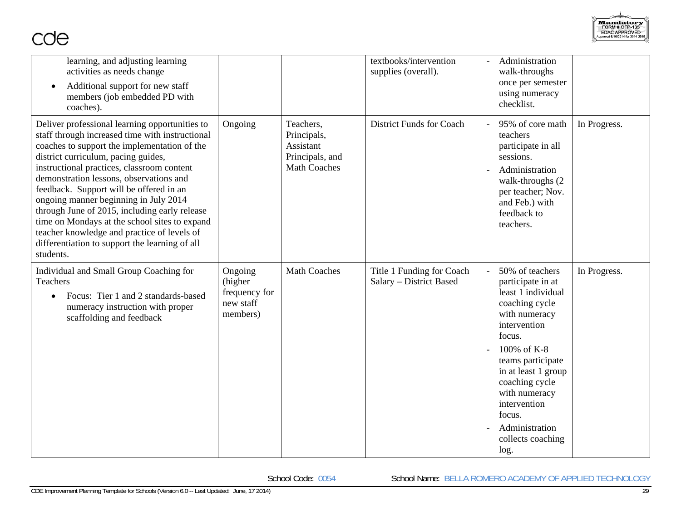

| learning, and adjusting learning<br>activities as needs change<br>Additional support for new staff<br>members (job embedded PD with<br>coaches).                                                                                                                                                                                                                                                                                                                                                                                                                                      |                                                              |                                                                                 | textbooks/intervention<br>supplies (overall).        | Administration<br>walk-throughs<br>once per semester<br>using numeracy<br>checklist.                                                                                                                                                                                                           |              |
|---------------------------------------------------------------------------------------------------------------------------------------------------------------------------------------------------------------------------------------------------------------------------------------------------------------------------------------------------------------------------------------------------------------------------------------------------------------------------------------------------------------------------------------------------------------------------------------|--------------------------------------------------------------|---------------------------------------------------------------------------------|------------------------------------------------------|------------------------------------------------------------------------------------------------------------------------------------------------------------------------------------------------------------------------------------------------------------------------------------------------|--------------|
| Deliver professional learning opportunities to<br>staff through increased time with instructional<br>coaches to support the implementation of the<br>district curriculum, pacing guides,<br>instructional practices, classroom content<br>demonstration lessons, observations and<br>feedback. Support will be offered in an<br>ongoing manner beginning in July 2014<br>through June of 2015, including early release<br>time on Mondays at the school sites to expand<br>teacher knowledge and practice of levels of<br>differentiation to support the learning of all<br>students. | Ongoing                                                      | Teachers,<br>Principals,<br>Assistant<br>Principals, and<br><b>Math Coaches</b> | <b>District Funds for Coach</b>                      | 95% of core math<br>teachers<br>participate in all<br>sessions.<br>Administration<br>walk-throughs (2)<br>per teacher; Nov.<br>and Feb.) with<br>feedback to<br>teachers.                                                                                                                      | In Progress. |
| Individual and Small Group Coaching for<br>Teachers<br>Focus: Tier 1 and 2 standards-based<br>numeracy instruction with proper<br>scaffolding and feedback                                                                                                                                                                                                                                                                                                                                                                                                                            | Ongoing<br>(higher<br>frequency for<br>new staff<br>members) | <b>Math Coaches</b>                                                             | Title 1 Funding for Coach<br>Salary - District Based | 50% of teachers<br>participate in at<br>least 1 individual<br>coaching cycle<br>with numeracy<br>intervention<br>focus.<br>100% of K-8<br>teams participate<br>in at least 1 group<br>coaching cycle<br>with numeracy<br>intervention<br>focus.<br>Administration<br>collects coaching<br>log. | In Progress. |

School Code: 0054 School Name: BELLA ROMERO ACADEMY OF APPLIED TECHNOLOGY

cde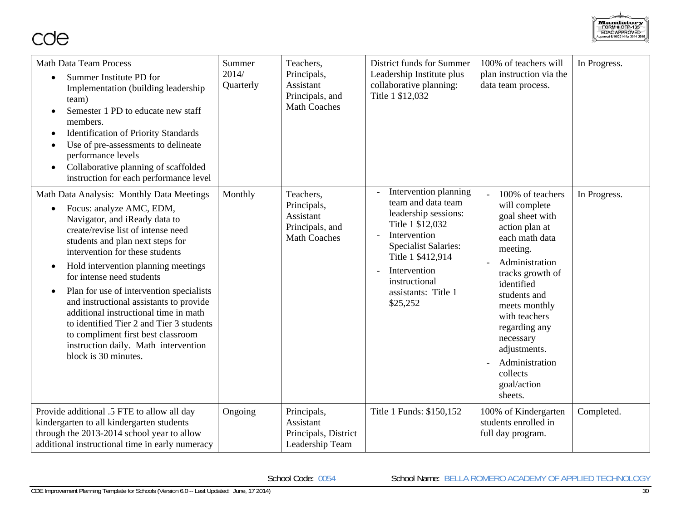

| <b>Math Data Team Process</b><br>Summer Institute PD for<br>$\bullet$<br>Implementation (building leadership<br>team)<br>Semester 1 PD to educate new staff<br>members.<br><b>Identification of Priority Standards</b><br>$\bullet$<br>Use of pre-assessments to delineate<br>performance levels<br>Collaborative planning of scaffolded<br>$\bullet$<br>instruction for each performance level                                                                                                                                                                                                                  | Summer<br>2014/<br>Quarterly | Teachers,<br>Principals,<br>Assistant<br>Principals, and<br><b>Math Coaches</b> | District funds for Summer<br>Leadership Institute plus<br>collaborative planning:<br>Title 1 \$12,032                                                                                                                           | 100% of teachers will<br>plan instruction via the<br>data team process.                                                                                                                                                                                                                                          | In Progress. |
|------------------------------------------------------------------------------------------------------------------------------------------------------------------------------------------------------------------------------------------------------------------------------------------------------------------------------------------------------------------------------------------------------------------------------------------------------------------------------------------------------------------------------------------------------------------------------------------------------------------|------------------------------|---------------------------------------------------------------------------------|---------------------------------------------------------------------------------------------------------------------------------------------------------------------------------------------------------------------------------|------------------------------------------------------------------------------------------------------------------------------------------------------------------------------------------------------------------------------------------------------------------------------------------------------------------|--------------|
| Math Data Analysis: Monthly Data Meetings<br>Focus: analyze AMC, EDM,<br>$\bullet$<br>Navigator, and iReady data to<br>create/revise list of intense need<br>students and plan next steps for<br>intervention for these students<br>Hold intervention planning meetings<br>$\bullet$<br>for intense need students<br>Plan for use of intervention specialists<br>$\bullet$<br>and instructional assistants to provide<br>additional instructional time in math<br>to identified Tier 2 and Tier 3 students<br>to compliment first best classroom<br>instruction daily. Math intervention<br>block is 30 minutes. | Monthly                      | Teachers,<br>Principals,<br>Assistant<br>Principals, and<br><b>Math Coaches</b> | Intervention planning<br>team and data team<br>leadership sessions:<br>Title 1 \$12,032<br>Intervention<br><b>Specialist Salaries:</b><br>Title 1 \$412,914<br>Intervention<br>instructional<br>assistants: Title 1<br>\$25,252 | 100% of teachers<br>will complete<br>goal sheet with<br>action plan at<br>each math data<br>meeting.<br>Administration<br>tracks growth of<br>identified<br>students and<br>meets monthly<br>with teachers<br>regarding any<br>necessary<br>adjustments.<br>Administration<br>collects<br>goal/action<br>sheets. | In Progress. |
| Provide additional .5 FTE to allow all day<br>kindergarten to all kindergarten students<br>through the 2013-2014 school year to allow<br>additional instructional time in early numeracy                                                                                                                                                                                                                                                                                                                                                                                                                         | Ongoing                      | Principals,<br>Assistant<br>Principals, District<br>Leadership Team             | Title 1 Funds: \$150,152                                                                                                                                                                                                        | 100% of Kindergarten<br>students enrolled in<br>full day program.                                                                                                                                                                                                                                                | Completed.   |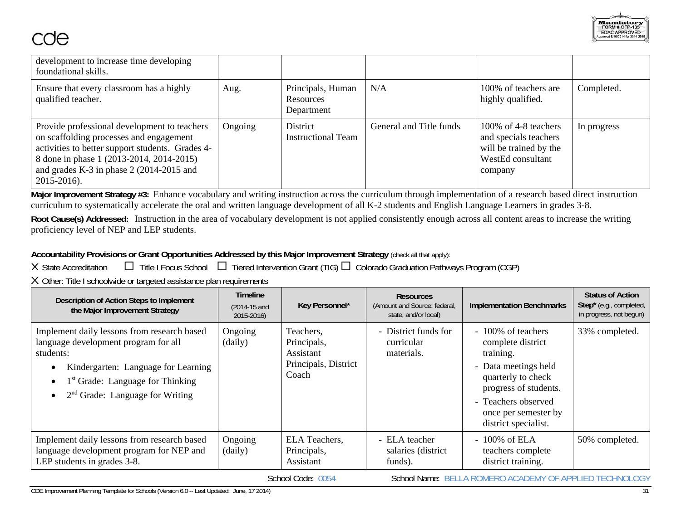| development to increase time developing<br>foundational skills.                                                                                                                                                                                     |         |                                              |                         |                                                                                                          |             |
|-----------------------------------------------------------------------------------------------------------------------------------------------------------------------------------------------------------------------------------------------------|---------|----------------------------------------------|-------------------------|----------------------------------------------------------------------------------------------------------|-------------|
| Ensure that every classroom has a highly<br>qualified teacher.                                                                                                                                                                                      | Aug.    | Principals, Human<br>Resources<br>Department | N/A                     | 100% of teachers are<br>highly qualified.                                                                | Completed.  |
| Provide professional development to teachers<br>on scaffolding processes and engagement<br>activities to better support students. Grades 4-<br>8 done in phase 1 (2013-2014, 2014-2015)<br>and grades K-3 in phase $2(2014-2015$ and<br>2015-2016). | Ongoing | District<br><b>Instructional Team</b>        | General and Title funds | 100\% of 4-8 teachers<br>and specials teachers<br>will be trained by the<br>WestEd consultant<br>company | In progress |

**Major Improvement Strategy #3:** Enhance vocabulary and writing instruction across the curriculum through implementation of a research based direct instruction curriculum to systematically accelerate the oral and written language development of all K-2 students and English Language Learners in grades 3-8.

**Root Cause(s) Addressed:** Instruction in the area of vocabulary development is not applied consistently enough across all content areas to increase the writing proficiency level of NEP and LEP students.

# **Accountability Provisions or Grant Opportunities Addressed by this Major Improvement Strategy** (check all that apply):

X State Accreditation  $\Box$  Title I Focus School  $\Box$  Tiered Intervention Grant (TIG)  $\Box$  Colorado Graduation Pathways Program (CGP)

X Other: Title I schoolwide or targeted assistance plan requirements

| Description of Action Steps to Implement<br>the Major Improvement Strategy                                                                                                                                                   | <b>Timeline</b><br>$(2014-15$ and<br>2015-2016) | Key Personnel*                                                                | <b>Resources</b><br>(Amount and Source: federal,<br>state, and/or local) | <b>Implementation Benchmarks</b>                                                                                                                                                                   | <b>Status of Action</b><br>Step* (e.g., completed,<br>in progress, not begun) |
|------------------------------------------------------------------------------------------------------------------------------------------------------------------------------------------------------------------------------|-------------------------------------------------|-------------------------------------------------------------------------------|--------------------------------------------------------------------------|----------------------------------------------------------------------------------------------------------------------------------------------------------------------------------------------------|-------------------------------------------------------------------------------|
| Implement daily lessons from research based<br>language development program for all<br>students:<br>Kindergarten: Language for Learning<br>1 <sup>st</sup> Grade: Language for Thinking<br>$2nd$ Grade: Language for Writing | Ongoing<br>(daily)                              | Teachers,<br>Principals,<br><b>Assistant</b><br>Principals, District<br>Coach | - District funds for<br>curricular<br>materials.                         | - 100% of teachers<br>complete district<br>training.<br>- Data meetings held<br>quarterly to check<br>progress of students.<br>- Teachers observed<br>once per semester by<br>district specialist. | 33% completed.                                                                |
| Implement daily lessons from research based<br>language development program for NEP and<br>LEP students in grades 3-8.                                                                                                       | Ongoing<br>(daily)                              | ELA Teachers,<br>Principals,<br>Assistant                                     | - ELA teacher<br>salaries (district)<br>funds).                          | $-100\%$ of ELA<br>teachers complete<br>district training.                                                                                                                                         | 50% completed.                                                                |
|                                                                                                                                                                                                                              |                                                 | School Code: 0054                                                             |                                                                          | School Name: BELLA ROMERO ACADEMY OF APPLIED TECHNOLOGY                                                                                                                                            |                                                                               |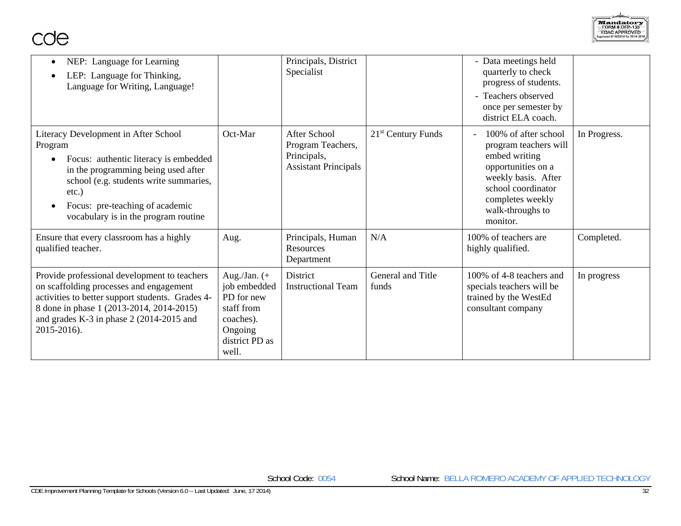

| NEP: Language for Learning<br>$\bullet$<br>LEP: Language for Thinking,<br>Language for Writing, Language!                                                                                                                                                                     |                                                                                                                | Principals, District<br>Specialist                                                     |                            | - Data meetings held<br>quarterly to check<br>progress of students.<br>- Teachers observed<br>once per semester by<br>district ELA coach.                                             |              |
|-------------------------------------------------------------------------------------------------------------------------------------------------------------------------------------------------------------------------------------------------------------------------------|----------------------------------------------------------------------------------------------------------------|----------------------------------------------------------------------------------------|----------------------------|---------------------------------------------------------------------------------------------------------------------------------------------------------------------------------------|--------------|
| Literacy Development in After School<br>Program<br>Focus: authentic literacy is embedded<br>$\bullet$<br>in the programming being used after<br>school (e.g. students write summaries,<br>$etc.$ )<br>Focus: pre-teaching of academic<br>vocabulary is in the program routine | Oct-Mar                                                                                                        | <b>After School</b><br>Program Teachers,<br>Principals,<br><b>Assistant Principals</b> | $21st$ Century Funds       | 100% of after school<br>program teachers will<br>embed writing<br>opportunities on a<br>weekly basis. After<br>school coordinator<br>completes weekly<br>walk-throughs to<br>monitor. | In Progress. |
| Ensure that every classroom has a highly<br>qualified teacher.                                                                                                                                                                                                                | Aug.                                                                                                           | Principals, Human<br><b>Resources</b><br>Department                                    | N/A                        | 100% of teachers are<br>highly qualified.                                                                                                                                             | Completed.   |
| Provide professional development to teachers<br>on scaffolding processes and engagement<br>activities to better support students. Grades 4-<br>8 done in phase 1 (2013-2014, 2014-2015)<br>and grades K-3 in phase $2(2014-2015$ and<br>2015-2016).                           | Aug./Jan. $(+)$<br>job embedded<br>PD for new<br>staff from<br>coaches).<br>Ongoing<br>district PD as<br>well. | <b>District</b><br><b>Instructional Team</b>                                           | General and Title<br>funds | 100% of 4-8 teachers and<br>specials teachers will be<br>trained by the WestEd<br>consultant company                                                                                  | In progress  |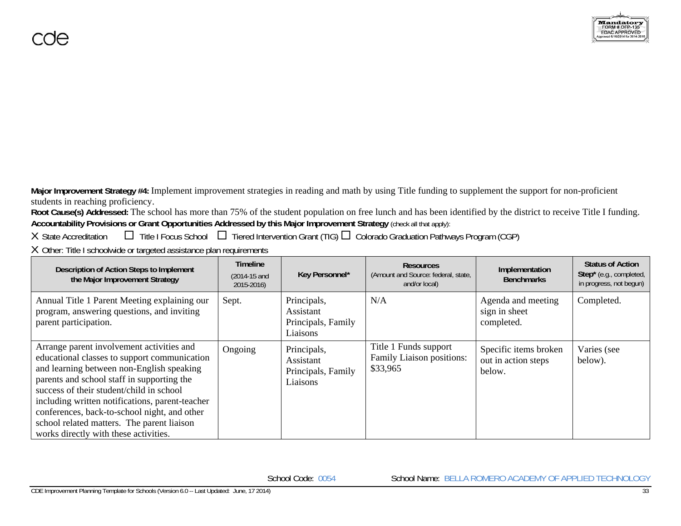**Major Improvement Strategy #4:** Implement improvement strategies in reading and math by using Title funding to supplement the support for non-proficient students in reaching proficiency.

**Root Cause(s) Addressed:** The school has more than 75% of the student population on free lunch and has been identified by the district to receive Title I funding. **Accountability Provisions or Grant Opportunities Addressed by this Major Improvement Strategy** (check all that apply):

X State Accreditation  $\Box$  Title I Focus School  $\Box$  Tiered Intervention Grant (TIG)  $\Box$  Colorado Graduation Pathways Program (CGP)

X Other: Title I schoolwide or targeted assistance plan requirements

| Description of Action Steps to Implement<br>the Major Improvement Strategy                                                                                                                                                                                                                                                                                                                                                 | <b>Timeline</b><br><b>Resources</b><br>Key Personnel*<br>(Amount and Source: federal, state,<br>$(2014-15$ and<br>and/or local)<br>2015-2016)<br>Principals,<br>N/A<br>Sept.<br>Assistant<br>Principals, Family<br>Liaisons<br>Title 1 Funds support<br>Principals,<br>Ongoing<br>Family Liaison positions:<br>Assistant<br>\$33,965<br>Principals, Family<br>Liaisons | Implementation<br><b>Benchmarks</b> | <b>Status of Action</b><br>Step* (e.g., completed,<br>in progress, not begun) |                        |
|----------------------------------------------------------------------------------------------------------------------------------------------------------------------------------------------------------------------------------------------------------------------------------------------------------------------------------------------------------------------------------------------------------------------------|------------------------------------------------------------------------------------------------------------------------------------------------------------------------------------------------------------------------------------------------------------------------------------------------------------------------------------------------------------------------|-------------------------------------|-------------------------------------------------------------------------------|------------------------|
| Annual Title 1 Parent Meeting explaining our<br>program, answering questions, and inviting<br>parent participation.                                                                                                                                                                                                                                                                                                        |                                                                                                                                                                                                                                                                                                                                                                        |                                     | Agenda and meeting<br>sign in sheet<br>completed.                             | Completed.             |
| Arrange parent involvement activities and<br>educational classes to support communication<br>and learning between non-English speaking<br>parents and school staff in supporting the<br>success of their student/child in school<br>including written notifications, parent-teacher<br>conferences, back-to-school night, and other<br>school related matters. The parent liaison<br>works directly with these activities. |                                                                                                                                                                                                                                                                                                                                                                        |                                     | Specific items broken<br>out in action steps<br>below.                        | Varies (see<br>below). |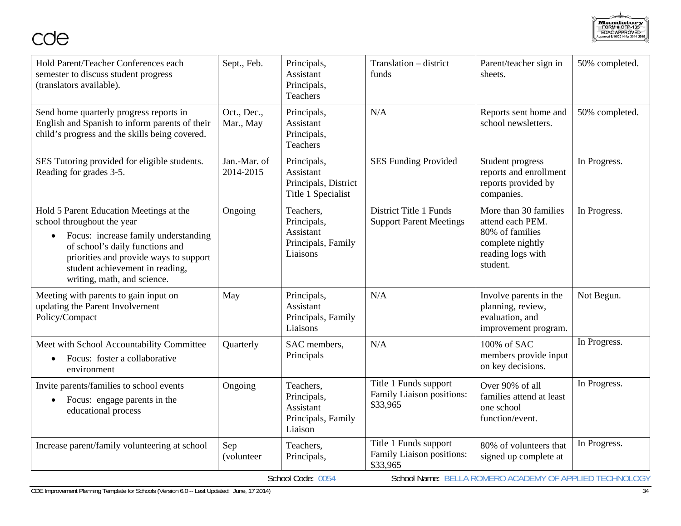

| Oct., Dec.,<br>N/A<br>Send home quarterly progress reports in<br>Principals,<br>Reports sent home and<br>50% completed.<br>English and Spanish to inform parents of their<br>school newsletters.<br>Mar., May<br>Assistant<br>child's progress and the skills being covered.<br>Principals,<br>Teachers<br>SES Tutoring provided for eligible students.<br>Jan.-Mar. of<br><b>SES Funding Provided</b><br>Principals,<br>Student progress<br>In Progress.<br>2014-2015<br>reports and enrollment<br>Reading for grades 3-5.<br>Assistant<br>reports provided by<br>Principals, District<br>companies.<br>Title 1 Specialist<br>Hold 5 Parent Education Meetings at the<br>Ongoing<br>District Title 1 Funds<br>More than 30 families<br>In Progress.<br>Teachers,<br>school throughout the year<br><b>Support Parent Meetings</b><br>attend each PEM.<br>Principals,<br>Assistant<br>80% of families<br>Focus: increase family understanding<br>$\bullet$<br>Principals, Family<br>complete nightly<br>of school's daily functions and<br>Liaisons<br>reading logs with<br>priorities and provide ways to support<br>student.<br>student achievement in reading,<br>writing, math, and science.<br>Principals,<br>N/A<br>Involve parents in the<br>Not Begun.<br>Meeting with parents to gain input on<br>May<br>updating the Parent Involvement<br>Assistant<br>planning, review,<br>Policy/Compact<br>Principals, Family<br>evaluation, and<br>Liaisons<br>improvement program.<br>In Progress.<br>Meet with School Accountability Committee<br>N/A<br>100% of SAC<br>Quarterly<br>SAC members,<br>members provide input<br>Principals<br>Focus: foster a collaborative<br>on key decisions.<br>environment<br>Title 1 Funds support<br>In Progress.<br>Over 90% of all<br>Teachers,<br>Invite parents/families to school events<br>Ongoing<br>Family Liaison positions:<br>families attend at least<br>Principals,<br>Focus: engage parents in the<br>\$33,965<br>Assistant<br>one school<br>educational process<br>Principals, Family<br>function/event.<br>Liaison<br>Title 1 Funds support<br>In Progress.<br>80% of volunteers that<br>Increase parent/family volunteering at school<br>Sep<br>Teachers,<br>Family Liaison positions:<br>Principals,<br>(volunteer<br>signed up complete at<br>\$33,965 | Hold Parent/Teacher Conferences each<br>semester to discuss student progress<br>(translators available). | Sept., Feb. | Principals,<br>Assistant<br>Principals,<br>Teachers | Translation - district<br>funds | Parent/teacher sign in<br>sheets. | 50% completed. |
|----------------------------------------------------------------------------------------------------------------------------------------------------------------------------------------------------------------------------------------------------------------------------------------------------------------------------------------------------------------------------------------------------------------------------------------------------------------------------------------------------------------------------------------------------------------------------------------------------------------------------------------------------------------------------------------------------------------------------------------------------------------------------------------------------------------------------------------------------------------------------------------------------------------------------------------------------------------------------------------------------------------------------------------------------------------------------------------------------------------------------------------------------------------------------------------------------------------------------------------------------------------------------------------------------------------------------------------------------------------------------------------------------------------------------------------------------------------------------------------------------------------------------------------------------------------------------------------------------------------------------------------------------------------------------------------------------------------------------------------------------------------------------------------------------------------------------------------------------------------------------------------------------------------------------------------------------------------------------------------------------------------------------------------------------------------------------------------------------------------------------------------------------------------------------------------------------------------------------------------------------------------------------------------------------------------|----------------------------------------------------------------------------------------------------------|-------------|-----------------------------------------------------|---------------------------------|-----------------------------------|----------------|
|                                                                                                                                                                                                                                                                                                                                                                                                                                                                                                                                                                                                                                                                                                                                                                                                                                                                                                                                                                                                                                                                                                                                                                                                                                                                                                                                                                                                                                                                                                                                                                                                                                                                                                                                                                                                                                                                                                                                                                                                                                                                                                                                                                                                                                                                                                                |                                                                                                          |             |                                                     |                                 |                                   |                |
|                                                                                                                                                                                                                                                                                                                                                                                                                                                                                                                                                                                                                                                                                                                                                                                                                                                                                                                                                                                                                                                                                                                                                                                                                                                                                                                                                                                                                                                                                                                                                                                                                                                                                                                                                                                                                                                                                                                                                                                                                                                                                                                                                                                                                                                                                                                |                                                                                                          |             |                                                     |                                 |                                   |                |
|                                                                                                                                                                                                                                                                                                                                                                                                                                                                                                                                                                                                                                                                                                                                                                                                                                                                                                                                                                                                                                                                                                                                                                                                                                                                                                                                                                                                                                                                                                                                                                                                                                                                                                                                                                                                                                                                                                                                                                                                                                                                                                                                                                                                                                                                                                                |                                                                                                          |             |                                                     |                                 |                                   |                |
|                                                                                                                                                                                                                                                                                                                                                                                                                                                                                                                                                                                                                                                                                                                                                                                                                                                                                                                                                                                                                                                                                                                                                                                                                                                                                                                                                                                                                                                                                                                                                                                                                                                                                                                                                                                                                                                                                                                                                                                                                                                                                                                                                                                                                                                                                                                |                                                                                                          |             |                                                     |                                 |                                   |                |
|                                                                                                                                                                                                                                                                                                                                                                                                                                                                                                                                                                                                                                                                                                                                                                                                                                                                                                                                                                                                                                                                                                                                                                                                                                                                                                                                                                                                                                                                                                                                                                                                                                                                                                                                                                                                                                                                                                                                                                                                                                                                                                                                                                                                                                                                                                                |                                                                                                          |             |                                                     |                                 |                                   |                |
|                                                                                                                                                                                                                                                                                                                                                                                                                                                                                                                                                                                                                                                                                                                                                                                                                                                                                                                                                                                                                                                                                                                                                                                                                                                                                                                                                                                                                                                                                                                                                                                                                                                                                                                                                                                                                                                                                                                                                                                                                                                                                                                                                                                                                                                                                                                |                                                                                                          |             |                                                     |                                 |                                   |                |
| School Name: BELLA ROMERO ACADEMY OF APPLIED TECHNOLOGY<br>School Code: 0054                                                                                                                                                                                                                                                                                                                                                                                                                                                                                                                                                                                                                                                                                                                                                                                                                                                                                                                                                                                                                                                                                                                                                                                                                                                                                                                                                                                                                                                                                                                                                                                                                                                                                                                                                                                                                                                                                                                                                                                                                                                                                                                                                                                                                                   |                                                                                                          |             |                                                     |                                 |                                   |                |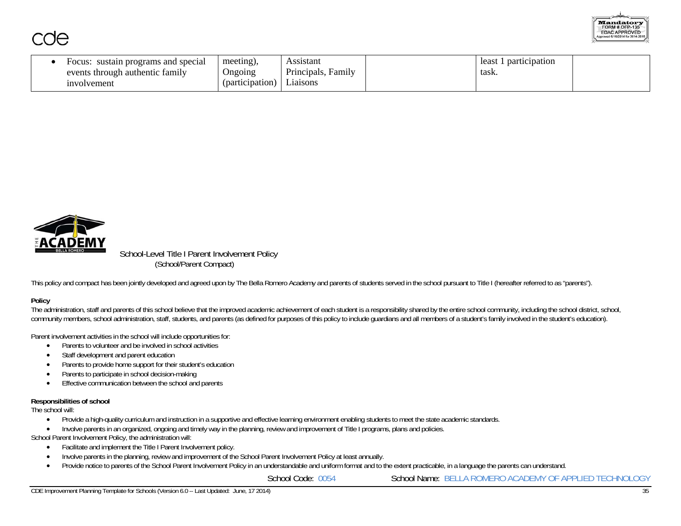

| special<br>sustain programs and<br>-ocu.<br>s through authentic family<br>events | meeting),<br><b>Ongoing</b> | sistant<br>$\cdot$ $\cdot$<br>$\mathbf{\mathbf{r}}$<br>Family<br>Principals, | least<br>participation<br>task. |  |
|----------------------------------------------------------------------------------|-----------------------------|------------------------------------------------------------------------------|---------------------------------|--|
| ınvolvement                                                                      | (participation)             | L1a1sons                                                                     |                                 |  |



 School-Level Title I Parent Involvement Policy (School/Parent Compact)

This policy and compact has been jointly developed and agreed upon by The Bella Romero Academy and parents of students served in the school pursuant to Title I (hereafter referred to as "parents").

### **Policy**

The administration, staff and parents of this school believe that the improved academic achievement of each student is a responsibility shared by the entire school community, including the school district, school, community members, school administration, staff, students, and parents (as defined for purposes of this policy to include guardians and all members of a student's family involved in the student's education).

Parent involvement activities in the school will include opportunities for:

- Parents to volunteer and be involved in school activities
- Staff development and parent education
- 0 Parents to provide home support for their student's education
- 0 Parents to participate in school decision-making
- $\bullet$ Effective communication between the school and parents

### **Responsibilities of school**

The school will:

- $\bullet$ Provide a high-quality curriculum and instruction in a supportive and effective learning environment enabling students to meet the state academic standards.
- 0 Involve parents in an organized, ongoing and timely way in the planning, review and improvement of Title I programs, plans and policies.

School Parent Involvement Policy, the administration will:

- $\bullet$ Facilitate and implement the Title I Parent Involvement policy.
- 0 Involve parents in the planning, review and improvement of the School Parent Involvement Policy at least annually.
- $\bullet$ Provide notice to parents of the School Parent Involvement Policy in an understandable and uniform format and to the extent practicable, in a language the parents can understand.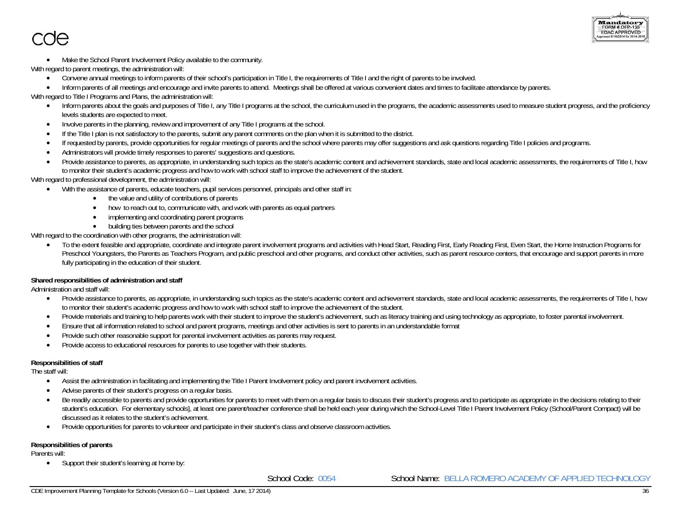

- Make the School Parent Involvement Policy available to the community.
- With regard to parent meetings, the administration will:
	- Convene annual meetings to inform parents of their school's participation in Title I, the requirements of Title I and the right of parents to be involved.
	- Inform parents of all meetings and encourage and invite parents to attend. Meetings shall be offered at various convenient dates and times to facilitate attendance by parents.
- With regard to Title I Programs and Plans, the administration will:
	- Inform parents about the goals and purposes of Title I, any Title I programs at the school, the curriculum used in the programs, the academic assessments used to measure student progress, and the proficiency levels students are expected to meet.
	- c Involve parents in the planning, review and improvement of any Title I programs at the school.
	- c If the Title I plan is not satisfactory to the parents, submit any parent comments on the plan when it is submitted to the district.
	- $\bullet$ If requested by parents, provide opportunities for regular meetings of parents and the school where parents may offer suggestions and ask questions regarding Title I policies and programs.
	- $\bullet$ Administrators will provide timely responses to parents' suggestions and questions.
	- c Provide assistance to parents, as appropriate, in understanding such topics as the state's academic content and achievement standards, state and local academic assessments, the requirements of Title I, how to monitor their student's academic progress and how to work with school staff to improve the achievement of the student.

With regard to professional development, the administration will:

- With the assistance of parents, educate teachers, pupil services personnel, principals and other staff in:
	- the value and utility of contributions of parents
	- how to reach out to, communicate with, and work with parents as equal partners
	- implementing and coordinating parent programs
	- building ties between parents and the school

With regard to the coordination with other programs, the administration will:

 $\bullet$  To the extent feasible and appropriate, coordinate and integrate parent involvement programs and activities with Head Start, Reading First, Early Reading First, Even Start, the Home Instruction Programs for Preschool Youngsters, the Parents as Teachers Program, and public preschool and other programs, and conduct other activities, such as parent resource centers, that encourage and support parents in more fully participating in the education of their student.

### **Shared responsibilities of administration and staff**

Administration and staff will:

- Provide assistance to parents, as appropriate, in understanding such topics as the state's academic content and achievement standards, state and local academic assessments, the requirements of Title I, how to monitor their student's academic progress and how to work with school staff to improve the achievement of the student.
- c Provide materials and training to help parents work with their student to improve the student's achievement, such as literacy training and using technology as appropriate, to foster parental involvement.
- c Ensure that all information related to school and parent programs, meetings and other activities is sent to parents in an understandable format
- $\bullet$ Provide such other reasonable support for parental involvement activities as parents may request.
- $\bullet$ Provide access to educational resources for parents to use together with their students.

### **Responsibilities of staff**

The staff will:

- Assist the administration in facilitating and implementing the Title I Parent Involvement policy and parent involvement activities.
- c Advise parents of their student's progress on a regular basis.
- c Be readily accessible to parents and provide opportunities for parents to meet with them on a regular basis to discuss their student's progress and to participate as appropriate in the decisions relating to their student's education. For elementary schools], at least one parent/teacher conference shall be held each year during which the School-Level Title I Parent Involvement Policy (School/Parent Compact) will be discussed as it relates to the student's achievement.
- Provide opportunities for parents to volunteer and participate in their student's class and observe classroom activities.

### **Responsibilities of parents**

Parents will:

 $\bullet$ Support their student's learning at home by: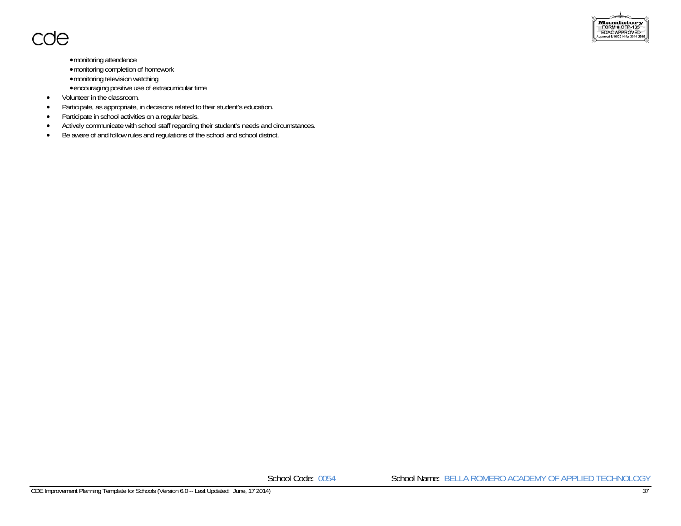

- monitoring attendance
- monitoring completion of homework
- monitoring television watching
- encouraging positive use of extracurricular time
- $\bullet$ Volunteer in the classroom.
- $\bullet$ Participate, as appropriate, in decisions related to their student's education.
- $\bullet$ Participate in school activities on a regular basis.
- $\bullet$ Actively communicate with school staff regarding their student's needs and circumstances.
- $\bullet$ Be aware of and follow rules and regulations of the school and school district.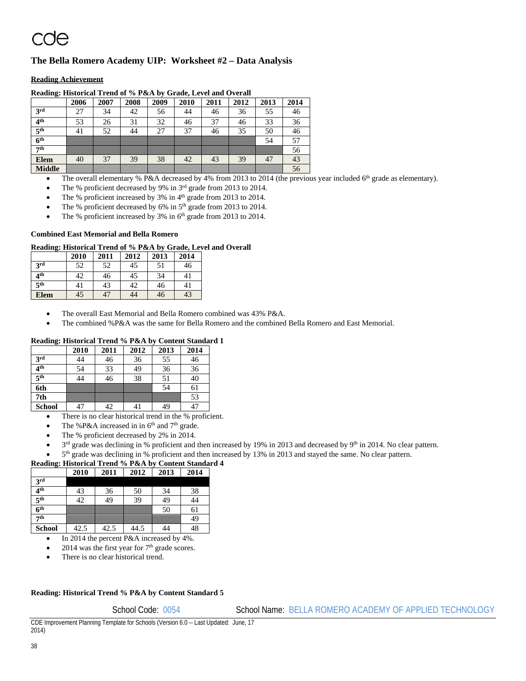## **The Bella Romero Academy UIP: Worksheet #2 – Data Analysis**

### **Reading Achievement**

| $\frac{1}{2}$       | 2006 | 2007 | 2008 | 2009 | 2010 | 2011 | 2012 | 2013 | 2014 |
|---------------------|------|------|------|------|------|------|------|------|------|
| 3 <sup>rd</sup>     | 27   | 34   | 42   | 56   | 44   | 46   | 36   | 55   | 46   |
| 4 <sup>th</sup>     | 53   | 26   | 31   | 32   | 46   | 37   | 46   | 33   | 36   |
| $\overline{5^{th}}$ | 41   | 52   | 44   | 27   | 37   | 46   | 35   | 50   | 46   |
| $\overline{6^{th}}$ |      |      |      |      |      |      |      | 54   | 57   |
| 7 <sup>th</sup>     |      |      |      |      |      |      |      |      | 56   |
| <b>Elem</b>         | 40   | 37   | 39   | 38   | 42   | 43   | 39   | 47   | 43   |
| <b>Middle</b>       |      |      |      |      |      |      |      |      | 56   |

**Reading: Historical Trend of % P&A by Grade, Level and Overall** 

The overall elementary % P&A decreased by 4% from 2013 to 2014 (the previous year included 6<sup>th</sup> grade as elementary).

The % proficient decreased by 9% in 3rd grade from 2013 to 2014.

The % proficient increased by 3% in 4<sup>th</sup> grade from 2013 to 2014.

The % proficient decreased by 6% in 5<sup>th</sup> grade from 2013 to 2014.

The % proficient increased by 3% in 6<sup>th</sup> grade from 2013 to 2014.

### **Combined East Memorial and Bella Romero**

### **Reading: Historical Trend of % P&A by Grade, Level and Overall**

|                 | 2010 | 2011 | 2012 | 2013 | 2014 |
|-----------------|------|------|------|------|------|
| 2rd             | 52   | 52   | 45   | 51   | 46   |
| ⊿th             | 42   | 46   | 45   | 34   | 41   |
| 5 <sup>th</sup> | 41   | 43   | 42   | 46   | 41   |
| <b>Elem</b>     | 45   | 47   | 44   | 46   | 43   |

The overall East Memorial and Bella Romero combined was 43% P&A.

The combined %P&A was the same for Bella Romero and the combined Bella Romero and East Memorial.

### **Reading: Historical Trend % P&A by Content Standard 1**

|                 | 2010 | 2011 | 2012 | 2013 | 2014 |
|-----------------|------|------|------|------|------|
| 3rd             | 44   | 46   | 36   | 55   | 46   |
| 4 <sup>th</sup> | 54   | 33   | 49   | 36   | 36   |
| 5 <sup>th</sup> | 44   | 46   | 38   | 51   | 40   |
| 6th             |      |      |      | 54   | 61   |
| 7th             |      |      |      |      | 53   |
| <b>School</b>   | 47   | 42   | 41   | 49   | 47   |

• There is no clear historical trend in the % proficient.

- The %P&A increased in in  $6<sup>th</sup>$  and  $7<sup>th</sup>$  grade.
- The % proficient decreased by 2% in 2014.
- $3^{rd}$  grade was declining in % proficient and then increased by 19% in 2013 and decreased by 9<sup>th</sup> in 2014. No clear pattern.
- 5<sup>th</sup> grade was declining in % proficient and then increased by 13% in 2013 and stayed the same. No clear pattern.

### **Reading: Historical Trend % P&A by Content Standard 4**

| ີ                   |      |      |      |      |      |
|---------------------|------|------|------|------|------|
|                     | 2010 | 2011 | 2012 | 2013 | 2014 |
| 3 <sup>rd</sup>     |      |      |      |      |      |
| 4 <sup>th</sup>     | 43   | 36   | 50   | 34   | 38   |
| 5 <sup>th</sup>     | 42   | 49   | 39   | 49   | 44   |
| $\overline{6^{th}}$ |      |      |      | 50   | 61   |
| 7th                 |      |      |      |      | 49   |
| <b>School</b>       | 42.5 | 42.5 | 44.5 | 44   | 48   |

In 2014 the percent P&A increased by 4%.

2014 was the first year for  $7<sup>th</sup>$  grade scores.

There is no clear historical trend.

### **Reading: Historical Trend % P&A by Content Standard 5**

School Code: 0054 School Name: BELLA ROMERO ACADEMY OF APPLIED TECHNOLOGY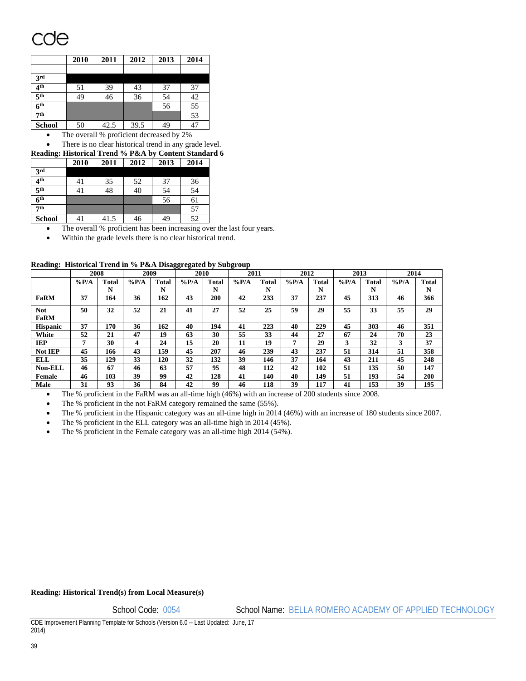# `NA

|                     | 2010 | 2011 | 2012 | 2013 | 2014 |
|---------------------|------|------|------|------|------|
|                     |      |      |      |      |      |
| 3 <sup>rd</sup>     |      |      |      |      |      |
| 4 <sup>th</sup>     | 51   | 39   | 43   | 37   | 37   |
| 5 <sup>th</sup>     | 49   | 46   | 36   | 54   | 42   |
| $\overline{6^{th}}$ |      |      |      | 56   | 55   |
| 7 <sup>th</sup>     |      |      |      |      | 53   |
| <b>School</b>       | 50   | 42.5 | 39.5 | 49   | 47   |

• The overall % proficient decreased by 2%

There is no clear historical trend in any grade level.

**Reading: Historical Trend % P&A by Content Standard 6** 

| $\mathbf{r}$        | 2010 | 2011 | 2012 | 2013 | 2014 |
|---------------------|------|------|------|------|------|
| 3rd                 |      |      |      |      |      |
| 4 <sup>th</sup>     | 41   | 35   | 52   | 37   | 36   |
| $\overline{5^{th}}$ | 41   | 48   | 40   | 54   | 54   |
| 6 <sup>th</sup>     |      |      |      | 56   | 61   |
| 7th                 |      |      |      |      | 57   |
| <b>School</b>       | 41   | 41.5 | 46   | 49   | 52   |

The overall % proficient has been increasing over the last four years.

Within the grade levels there is no clear historical trend.

|  |  |  |  | Reading: Historical Trend in % P&A Disaggregated by Subgroup |  |
|--|--|--|--|--------------------------------------------------------------|--|
|--|--|--|--|--------------------------------------------------------------|--|

|                           | 2008    |              | 2009    |       | 2010     |       | 2011    |              | 2012    |       | 2013    |              | 2014    |              |
|---------------------------|---------|--------------|---------|-------|----------|-------|---------|--------------|---------|-------|---------|--------------|---------|--------------|
|                           | $\%P/A$ | <b>Total</b> | $\%P/A$ | Total | $\%$ P/A | Total | $\%P/A$ | <b>Total</b> | $\%P/A$ | Total | $\%P/A$ | <b>Total</b> | $\%P/A$ | <b>Total</b> |
|                           |         | N            |         | N     |          | N     |         | N            |         | N     |         | N            |         | N            |
| FaRM                      | 37      | 164          | 36      | 162   | 43       | 200   | 42      | 233          | 37      | 237   | 45      | 313          | 46      | 366          |
| <b>Not</b><br><b>FaRM</b> | 50      | 32           | 52      | 21    | 41       | 27    | 52      | 25           | 59      | 29    | 55      | 33           | 55      | 29           |
| <b>Hispanic</b>           | 37      | 170          | 36      | 162   | 40       | 194   | 41      | 223          | 40      | 229   | 45      | 303          | 46      | 351          |
| White                     | 52      | 21           | 47      | 19    | 63       | 30    | 55      | 33           | 44      | 27    | 67      | 24           | 70      | 23           |
| IEP                       | 7       | 30           | 4       | 24    | 15       | 20    | 11      | 19           |         | 29    | 3       | 32           | 3       | 37           |
| Not IEP                   | 45      | 166          | 43      | 159   | 45       | 207   | 46      | 239          | 43      | 237   | 51      | 314          | 51      | 358          |
| ELL                       | 35      | 129          | 33      | 120   | 32       | 132   | 39      | 146          | 37      | 164   | 43      | 211          | 45      | 248          |
| Non-ELL                   | 46      | 67           | 46      | 63    | 57       | 95    | 48      | 112          | 42      | 102   | 51      | 135          | 50      | 147          |
| Female                    | 46      | 103          | 39      | 99    | 42       | 128   | 41      | 140          | 40      | 149   | 51      | 193          | 54      | 200          |
| Male                      | 31      | 93           | 36      | 84    | 42       | 99    | 46      | 118          | 39      | 117   | 41      | 153          | 39      | 195          |

• The % proficient in the FaRM was an all-time high (46%) with an increase of 200 students since 2008.

The % proficient in the not FaRM category remained the same (55%).

The % proficient in the Hispanic category was an all-time high in 2014 (46%) with an increase of 180 students since 2007.

The % proficient in the ELL category was an all-time high in 2014 (45%).

The % proficient in the Female category was an all-time high 2014 (54%).

### **Reading: Historical Trend(s) from Local Measure(s)**

School Code: 0054 School Name: BELLA ROMERO ACADEMY OF APPLIED TECHNOLOGY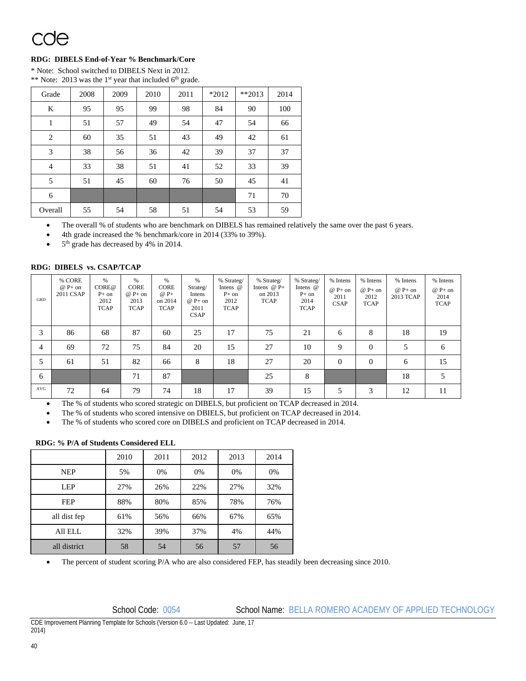# cae

### **RDG: DIBELS End-of-Year % Benchmark/Core**

\* Note: School switched to DIBELS Next in 2012. \*\* Note: 2013 was the 1<sup>st</sup> year that included  $6<sup>th</sup>$  grade.

| Grade          | 2008 | 2009 | 2010 | 2011 | *2012 | $**2013$ | 2014 |
|----------------|------|------|------|------|-------|----------|------|
| K              | 95   | 95   | 99   | 98   | 84    | 90       | 100  |
| $\mathbf{1}$   | 51   | 57   | 49   | 54   | 47    | 54       | 66   |
| 2              | 60   | 35   | 51   | 43   | 49    | 42       | 61   |
| $\mathfrak{Z}$ | 38   | 56   | 36   | 42   | 39    | 37       | 37   |
| $\overline{4}$ | 33   | 38   | 51   | 41   | 52    | 33       | 39   |
| 5              | 51   | 45   | 60   | 76   | 50    | 45       | 41   |
| 6              |      |      |      |      |       | 71       | 70   |
| Overall        | 55   | 54   | 58   | 51   | 54    | 53       | 59   |

The overall % of students who are benchmark on DIBELS has remained relatively the same over the past 6 years.

4th grade increased the % benchmark/core in 2014 (33% to 39%).

5th grade has decreased by 4% in 2014.

### **RDG: DIBELS vs. CSAP/TCAP**

| GRD | % CORE<br>$@P+on$<br>2011 CSAP | $\%$<br>CORE@<br>$P+$ on<br>2012<br><b>TCAP</b> | %<br><b>CORE</b><br>$@P+on$<br>2013<br><b>TCAP</b> | $\%$<br><b>CORE</b><br>$@P+$<br>on 2014<br><b>TCAP</b> | %<br>Strateg/<br>Intens<br>$@P+on$<br>2011<br><b>CSAP</b> | % Strateg/<br>Intens $@$<br>$P+$ on<br>2012<br><b>TCAP</b> | % Strateg/<br>Intens $@P+$<br>on 2013<br><b>TCAP</b> | % Strateg/<br>Intens $@$<br>$P+$ on<br>2014<br><b>TCAP</b> | % Intens<br>$@P+on$<br>2011<br><b>CSAP</b> | % Intens<br>$@P+on$<br>2012<br><b>TCAP</b> | % Intens<br>$@P+on$<br>2013 TCAP | % Intens<br>$@P+on$<br>2014<br><b>TCAP</b> |
|-----|--------------------------------|-------------------------------------------------|----------------------------------------------------|--------------------------------------------------------|-----------------------------------------------------------|------------------------------------------------------------|------------------------------------------------------|------------------------------------------------------------|--------------------------------------------|--------------------------------------------|----------------------------------|--------------------------------------------|
| 3   | 86                             | 68                                              | 87                                                 | 60                                                     | 25                                                        | 17                                                         | 75                                                   | 21                                                         | 6                                          | 8                                          | 18                               | 19                                         |
| 4   | 69                             | 72                                              | 75                                                 | 84                                                     | 20                                                        | 15                                                         | 27                                                   | 10                                                         | 9                                          | $\Omega$                                   |                                  | 6                                          |
| 5   | 61                             | 51                                              | 82                                                 | 66                                                     | 8                                                         | 18                                                         | 27                                                   | 20                                                         | $\overline{0}$                             | $\theta$                                   | 6                                | 15                                         |
| 6   |                                |                                                 | 71                                                 | 87                                                     |                                                           |                                                            | 25                                                   | 8                                                          |                                            |                                            | 18                               | 5                                          |
| AVG | 72                             | 64                                              | 79                                                 | 74                                                     | 18                                                        | 17                                                         | 39                                                   | 15                                                         | 5                                          | 3                                          | 12                               | 11                                         |

The % of students who scored strategic on DIBELS, but proficient on TCAP decreased in 2014.

The % of students who scored intensive on DBIELS, but proficient on TCAP decreased in 2014.

The % of students who scored core on DIBELS and proficient on TCAP decreased in 2014.

### **RDG: % P/A of Students Considered ELL**

|              | 2010 | 2011 | 2012  | 2013 | 2014 |
|--------------|------|------|-------|------|------|
| <b>NEP</b>   | 5%   | 0%   | $0\%$ | 0%   | 0%   |
| <b>LEP</b>   | 27%  | 26%  | 22%   | 27%  | 32%  |
| <b>FEP</b>   | 88%  | 80%  | 85%   | 78%  | 76%  |
| all dist fep | 61%  | 56%  | 66%   | 67%  | 65%  |
| All ELL      | 32%  | 39%  | 37%   | 4%   | 44%  |
| all district | 58   | 54   | 56    | 57   | 56   |

The percent of student scoring P/A who are also considered FEP, has steadily been decreasing since 2010.

### School Code: 0054 School Name: BELLA ROMERO ACADEMY OF APPLIED TECHNOLOGY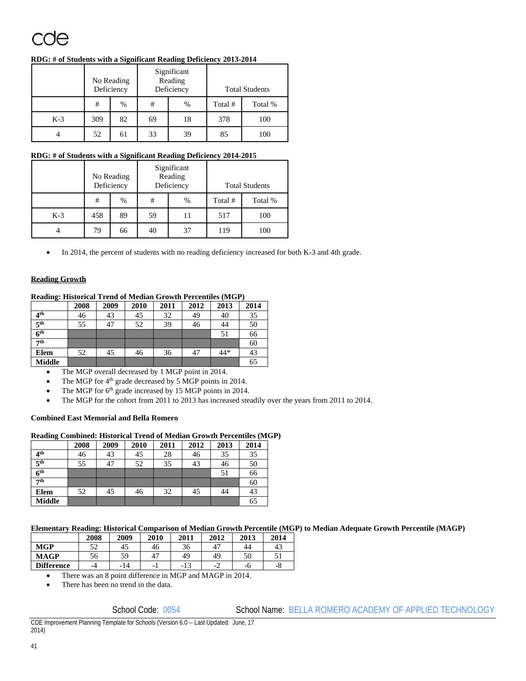### **RDG: # of Students with a Significant Reading Deficiency 2013-2014**

|       | No Reading<br>Deficiency |      |    | Significant<br>Reading<br>Deficiency | <b>Total Students</b> |         |  |
|-------|--------------------------|------|----|--------------------------------------|-----------------------|---------|--|
|       | #                        | $\%$ | #  | %                                    | Total #               | Total % |  |
| $K-3$ | 309                      | 82   | 69 | 18                                   | 378                   | 100     |  |
|       | 52                       | 61   | 33 | 39                                   | 85                    | 100     |  |

### **RDG: # of Students with a Significant Reading Deficiency 2014-2015**

|       | No Reading<br>Deficiency |      |    | Significant<br>Reading<br>Deficiency | <b>Total Students</b> |         |  |
|-------|--------------------------|------|----|--------------------------------------|-----------------------|---------|--|
|       | #                        | $\%$ | #  | %                                    | Total #               | Total % |  |
| $K-3$ | 458                      | 89   | 59 | 11                                   | 517                   | 100     |  |
|       | 79                       | 66   | 40 | 37                                   | 119                   | 100     |  |

In 2014, the percent of students with no reading deficiency increased for both K-3 and 4th grade.

### **Reading Growth**

### **Reading: Historical Trend of Median Growth Percentiles (MGP)**

|                     | 2008 | 2009 | 2010 | 2011 | 2012 | 2013 | 2014 |
|---------------------|------|------|------|------|------|------|------|
| 4 <sup>th</sup>     | 46   | 43   | 45   | 32   | 49   | 40   | 35   |
| 5 <sup>th</sup>     | 55   | 47   | 52   | 39   | 46   | 44   | 50   |
| $\overline{6^{th}}$ |      |      |      |      |      | 51   | 66   |
| 7 <sup>th</sup>     |      |      |      |      |      |      | 60   |
| Elem                | 52   | 45   | 46   | 36   | 47   | 44*  | 43   |
| <b>Middle</b>       |      |      |      |      |      |      | 65   |

The MGP overall decreased by 1 MGP point in 2014.

- The MGP for 4<sup>th</sup> grade decreased by 5 MGP points in 2014.
- The MGP for 6<sup>th</sup> grade increased by 15 MGP points in 2014.
- The MGP for the cohort from 2011 to 2013 has increased steadily over the years from 2011 to 2014.

### **Combined East Memorial and Bella Romero**

### **Reading Combined: Historical Trend of Median Growth Percentiles (MGP)**

|                 | 2008 | 2009 | 2010 | 2011 | 2012 | 2013 | 2014 |
|-----------------|------|------|------|------|------|------|------|
| 4 <sup>th</sup> | 46   | 43   | 45   | 28   | 46   | 35   | 35   |
| 5 <sup>th</sup> | 55   | 47   | 52   | 35   | 43   | 46   | 50   |
| 6 <sup>th</sup> |      |      |      |      |      | 51   | 66   |
| 7th             |      |      |      |      |      |      | 60   |
| Elem            | 52   | 45   | 46   | 32   | 45   | 44   | 43   |
| <b>Middle</b>   |      |      |      |      |      |      | 65   |

### **Elementary Reading: Historical Comparison of Median Growth Percentile (MGP) to Median Adequate Growth Percentile (MAGP)**

|                   | 2008 | 2009 | 2010 | 2011 | 2012 | 2013 | 2014     |
|-------------------|------|------|------|------|------|------|----------|
| <b>MGP</b>        | 52   | -45  | 46   | 36   | 4.   | 44   | 43       |
| <b>MAGP</b>       | 56   | 59   | 47   | 49   | 49   | 50   |          |
| <b>Difference</b> | -4   | -14  | -    | -13  | -4   | -0   | $-\circ$ |

There was an 8 point difference in MGP and MAGP in 2014.

There has been no trend in the data.

### School Code: 0054 School Name: BELLA ROMERO ACADEMY OF APPLIED TECHNOLOGY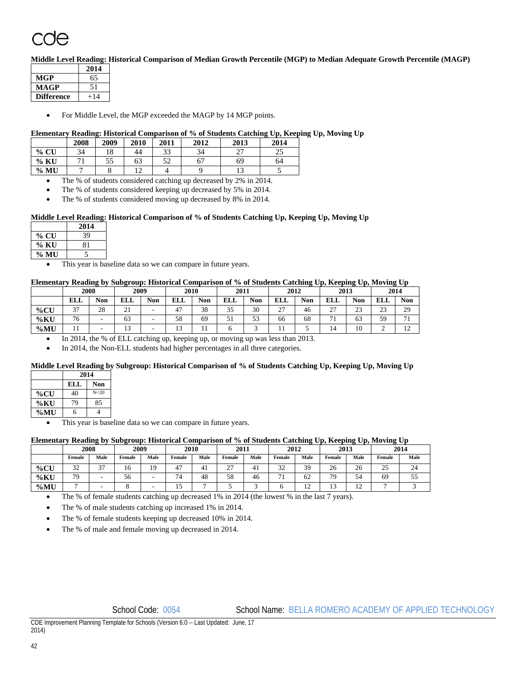**Middle Level Reading: Historical Comparison of Median Growth Percentile (MGP) to Median Adequate Growth Percentile (MAGP)** 

|                   | 2014 |
|-------------------|------|
| <b>MGP</b>        | 65   |
| <b>MAGP</b>       | 51   |
| <b>Difference</b> |      |

For Middle Level, the MGP exceeded the MAGP by 14 MGP points.

### **Elementary Reading: Historical Comparison of % of Students Catching Up, Keeping Up, Moving Up**

|         | 2008                     | 2009 | 2010 | 2011 | 2012 | 2013                 | 2014     |
|---------|--------------------------|------|------|------|------|----------------------|----------|
| $%$ CU  | 34                       | 18   | 44   | 33   | 34   | $\mathcal{L}$<br>، ت | nε<br>رے |
| $\%$ KU | $\overline{\phantom{a}}$ | 55   | 63   | 52   | 67   | 69                   | 64       |
| $\%$ MU |                          |      | ت    |      |      | ⊥⊃                   |          |

The % of students considered catching up decreased by 2% in 2014.

- The % of students considered keeping up decreased by 5% in 2014.
- The % of students considered moving up decreased by 8% in 2014.

### **Middle Level Reading: Historical Comparison of % of Students Catching Up, Keeping Up, Moving Up**

|      | 2014 |  |
|------|------|--|
| % CU | 39   |  |
| % KU | 81   |  |
| % MU |      |  |

This year is baseline data so we can compare in future years.

### **Elementary Reading by Subgroup: Historical Comparison of % of Students Catching Up, Keeping Up, Moving Up**

|         | 2008   |            | 2009                    |            | 2010               |            | 2011                |               | 2012          |            | 2013                     |              | 2014         |                                  |
|---------|--------|------------|-------------------------|------------|--------------------|------------|---------------------|---------------|---------------|------------|--------------------------|--------------|--------------|----------------------------------|
|         | ELL    | <b>Non</b> | ELL                     | <b>Non</b> | ет і<br><b>ELL</b> | <b>Non</b> | ELL                 | <b>Non</b>    | <b>ELL</b>    | <b>Non</b> | <b>ELL</b>               | <b>Non</b>   | <b>ELL</b>   | <b>Non</b>                       |
| $\%$ CU | $\sim$ | 28         | $\mathbf{\Omega}$<br>∠⊥ | -          | 47                 | 38         | $\sim$ $\sim$<br>υJ | 30            | $\sim$<br>ا ت | 46         | $\sim$<br><u>، ب</u>     | $\sim$<br>23 | $\sim$<br>ر_ | 29                               |
| $\%$ KU | 76     | -          | - ^<br>63               | -          | 58                 | 69         |                     | $\sim$<br>ر ر | 66            | 68         | $\overline{\phantom{a}}$ | 63           | 59           | $-1$                             |
| $\%$ MU | . .    | -          | $\sim$<br>1J            | -          | 13                 |            |                     |               | . .           |            | 14                       | 10           | ∼            | 1 <sub>0</sub><br>$\overline{1}$ |

In 2014, the % of ELL catching up, keeping up, or moving up was less than 2013.

In 2014, the Non-ELL students had higher percentages in all three categories.

### **Middle Level Reading by Subgroup: Historical Comparison of % of Students Catching Up, Keeping Up, Moving Up**

|     |     | 2014            |  |  |  |  |  |  |
|-----|-----|-----------------|--|--|--|--|--|--|
|     | ELL | <b>Non</b>      |  |  |  |  |  |  |
| %CU | 40  | N <sub>20</sub> |  |  |  |  |  |  |
| %KU | 79  | 85              |  |  |  |  |  |  |
| %MU | 6   |                 |  |  |  |  |  |  |

This year is baseline data so we can compare in future years.

### **Elementary Reading by Subgroup: Historical Comparison of % of Students Catching Up, Keeping Up, Moving Up**

|         | 2008          |               | 2009   |      |                      | 2010 |             | 2011 |             | 2012        |        | 2013         | 2014           |      |
|---------|---------------|---------------|--------|------|----------------------|------|-------------|------|-------------|-------------|--------|--------------|----------------|------|
|         | Female        | Male          | Female | Male | Female               | Male | Female      | Male | Female      | Male        | Female | Male         | Female         | Male |
| $\%$ CU | $\sim$<br>ے ر | $\sim$ $\sim$ | 10     | Q    | $\overline{a}$<br>4. | +⊥   | $\sim$<br>∼ | $+1$ | $\sim$<br>◡ | 39          | 26     | $\sim$<br>26 | $\gamma$<br>ىن | 24   |
| $\%$ KU | 79            |               | 56     |      | -<br>≖               | 48   | 58          | 46   | $-1$        | 62          | 79     | -<br>54      | 69             | ر ر  |
| %MU     |               |               |        |      | . .                  |      |             |      |             | $\sim$<br>∸ | . .    | ∸            |                |      |

The % of female students catching up decreased 1% in 2014 (the lowest % in the last 7 years).

The % of male students catching up increased 1% in 2014.

The % of female students keeping up decreased 10% in 2014.

The % of male and female moving up decreased in 2014.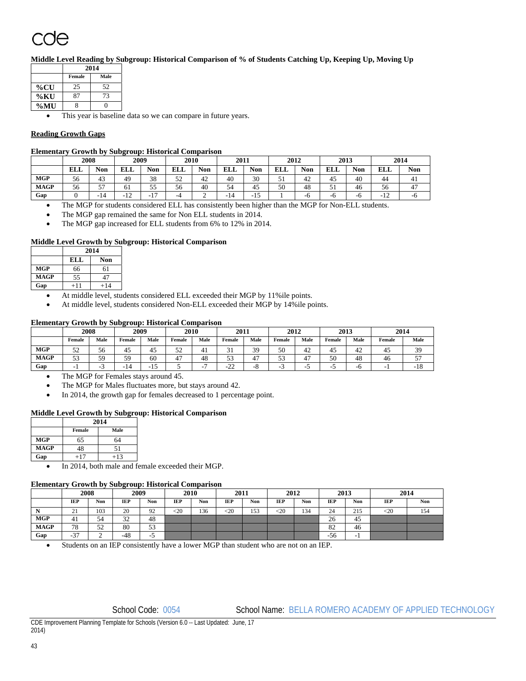# `UA

**Middle Level Reading by Subgroup: Historical Comparison of % of Students Catching Up, Keeping Up, Moving Up** 

|         | 2014   |      |  |  |  |  |  |  |  |
|---------|--------|------|--|--|--|--|--|--|--|
|         | Female | Male |  |  |  |  |  |  |  |
| $\%$ CU | 25     | 52   |  |  |  |  |  |  |  |
| %KU     | 87     | 73   |  |  |  |  |  |  |  |
| $\%$ MU |        |      |  |  |  |  |  |  |  |

This year is baseline data so we can compare in future years.

### **Reading Growth Gaps**

### **Elementary Growth by Subgroup: Historical Comparison**

|             | 2008       |            | 2009                    |                       | 2010       |     | 2011       |                       | 2012       |            | 2013       |            | 2014                    |     |
|-------------|------------|------------|-------------------------|-----------------------|------------|-----|------------|-----------------------|------------|------------|------------|------------|-------------------------|-----|
|             | <b>ELL</b> | <b>Non</b> | ELL                     | Non                   | <b>ELL</b> | Non | <b>ELL</b> | <b>Non</b>            | <b>ELL</b> | <b>Non</b> | <b>ELL</b> | <b>Non</b> | <b>EI</b><br><b>BLL</b> | Non |
| <b>MGP</b>  | 56         | 43         | 49                      | 38                    | 52         | 42  | 40         | 30                    | c<br>◡     | 42         | 45         | 40         | 44                      | 41  |
| <b>MAGP</b> | 56         | --<br>J.,  | 61                      | --<br>. .<br>ر. ر     | 56         | 40  | 54         | 45                    | 50         | 48         | JI         | 46         | 56                      | 47  |
| Gap         |            | $-14$      | 1 <sub>2</sub><br>$-12$ | 1 <sub>7</sub><br>- 1 | -4         | ∼   | 14<br>. .  | 1 <sup>2</sup><br>-15 |            | -6         | -0         | -0         | 1 <sub>2</sub><br>$-12$ | -0  |

The MGP for students considered ELL has consistently been higher than the MGP for Non-ELL students.

- The MGP gap remained the same for Non ELL students in 2014.
- The MGP gap increased for ELL students from 6% to 12% in 2014.

### **Middle Level Growth by Subgroup: Historical Comparison**

|             |            | <b>Non</b><br>47 |  |  |  |  |
|-------------|------------|------------------|--|--|--|--|
|             | <b>ELL</b> |                  |  |  |  |  |
| <b>MGP</b>  | 66         |                  |  |  |  |  |
| <b>MAGP</b> | 55         |                  |  |  |  |  |
| Gap         |            | 2014<br>$+14$    |  |  |  |  |

- At middle level, students considered ELL exceeded their MGP by 11%ile points.
- At middle level, students considered Non-ELL exceeded their MGP by 14%ile points.

### **Elementary Growth by Subgroup: Historical Comparison**

|             | 2008                |      | 2009          |          | 2010   |                | 2011        |              | 2012   |      | 2013   |         | 2014   |       |
|-------------|---------------------|------|---------------|----------|--------|----------------|-------------|--------------|--------|------|--------|---------|--------|-------|
|             | Female              | Male | Female        | Male     | Female | Male           | Female      | Male         | Female | Male | Female | Male    | Female | Male  |
| <b>MGP</b>  | c٠<br>◡             | эo   | 4.,           | 4<br>т., | ◡      | 4 <sub>1</sub> | - -         | $\sim$<br>ັ. | 50     | 42   | т.,    | 4<br>т. | 41     | ر ب   |
| <b>MAGP</b> | $\sim$ $\sim$<br>ີ່ | ر ر  | 59            | 60       |        | 48             | <u>. .</u>  |              | ر ر    |      | 50     | 48      | 46     |       |
| Gap         |                     |      | $-14$<br>- 11 | -<br>    |        |                | $\sim$<br>∸ | - 0          | ∽<br>- |      |        | -       |        | $-10$ |

• The MGP for Females stays around 45.

- The MGP for Males fluctuates more, but stays around 42.
- In 2014, the growth gap for females decreased to 1 percentage point.

### **Middle Level Growth by Subgroup: Historical Comparison**

|             | 2014   |       |  |  |  |  |  |
|-------------|--------|-------|--|--|--|--|--|
|             | Female | Male  |  |  |  |  |  |
| <b>MGP</b>  | 65     | 64    |  |  |  |  |  |
| <b>MAGP</b> | 48     | 51    |  |  |  |  |  |
| Gap         | $+17$  | $+13$ |  |  |  |  |  |

• In 2014, both male and female exceeded their MGP.

### **Elementary Growth by Subgroup: Historical Comparison**

|             | 2008               |            | 2009       |                   | 2010       |     | 2011       |     | 2012        |     | 2013       |                          | 2014        |     |
|-------------|--------------------|------------|------------|-------------------|------------|-----|------------|-----|-------------|-----|------------|--------------------------|-------------|-----|
|             | IEP                | <b>Non</b> | <b>IEP</b> | <b>Non</b>        | <b>IEP</b> | Non | <b>IEP</b> | Non | <b>IEP</b>  | Non | <b>IEP</b> | Non                      | IEP         | Non |
| -17         | $\sim$<br>$\sim$ 1 | 103        | 20         | 92                | $\leq$ 20  | 136 | $\leq$ 20  | 153 | $< \!\! 20$ | 134 | 24         | 215                      | $< \!\! 20$ | 154 |
| <b>MGP</b>  | 41                 | 54         | 32<br>ے د  | 48                |            |     |            |     |             |     | 26         | 45                       |             |     |
| <b>MAGP</b> | 78                 | 50<br>ے ر  | 80         | $\epsilon$<br>ر ر |            |     |            |     |             |     | 82         | 46                       |             |     |
| Gap         | $\sim$<br>$-51$    | ∸          | $-48$      | -                 |            |     |            |     |             |     | $-56$      | $\overline{\phantom{a}}$ |             |     |

Students on an IEP consistently have a lower MGP than student who are not on an IEP.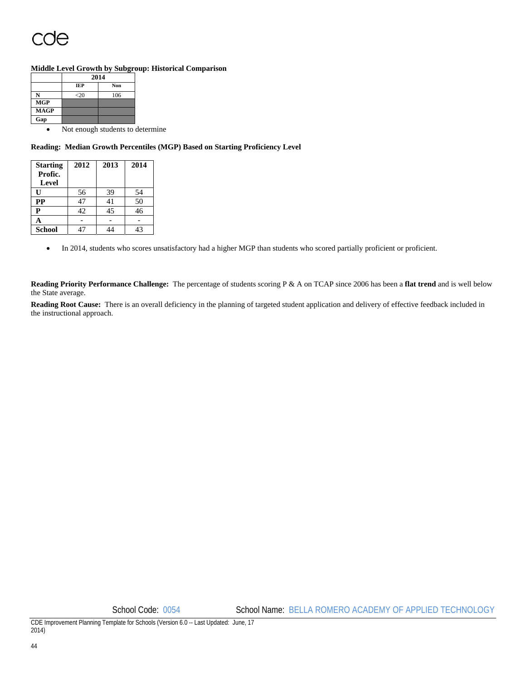### **Middle Level Growth by Subgroup: Historical Comparison**

|             |            | 2014 |  |  |  |  |  |  |  |
|-------------|------------|------|--|--|--|--|--|--|--|
|             | <b>IEP</b> | Non  |  |  |  |  |  |  |  |
|             | $<$ 20     | 106  |  |  |  |  |  |  |  |
| <b>MGP</b>  |            |      |  |  |  |  |  |  |  |
| <b>MAGP</b> |            |      |  |  |  |  |  |  |  |
| Gap         |            |      |  |  |  |  |  |  |  |
|             | - -        |      |  |  |  |  |  |  |  |

• Not enough students to determine

### **Reading: Median Growth Percentiles (MGP) Based on Starting Proficiency Level**

| <b>Starting</b><br>Profic.<br>Level | 2012 | 2013 | 2014 |
|-------------------------------------|------|------|------|
| וז                                  | 56   | 39   | 54   |
| <b>PP</b>                           | 47   | 41   | 50   |
| P                                   | 42   | 45   | 46   |
|                                     |      |      |      |
| <b>School</b>                       |      |      | 43   |

In 2014, students who scores unsatisfactory had a higher MGP than students who scored partially proficient or proficient.

**Reading Priority Performance Challenge:** The percentage of students scoring P & A on TCAP since 2006 has been a **flat trend** and is well below the State average.

**Reading Root Cause:** There is an overall deficiency in the planning of targeted student application and delivery of effective feedback included in the instructional approach.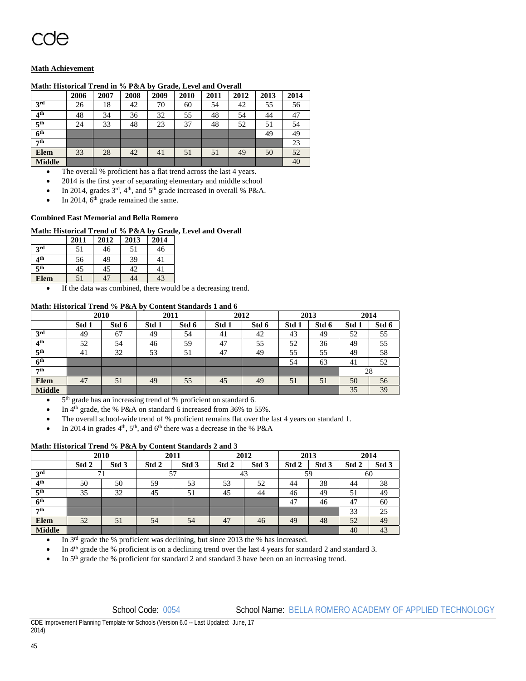### **Math Achievement**

### **Math: Historical Trend in % P&A by Grade, Level and Overall**

|                 | 2006 | 2007 | 2008 | 2009 | 2010 | 2011 | 2012 | 2013 | 2014 |
|-----------------|------|------|------|------|------|------|------|------|------|
| 3rd             | 26   | 18   | 42   | 70   | 60   | 54   | 42   | 55   | 56   |
| 4 <sup>th</sup> | 48   | 34   | 36   | 32   | 55   | 48   | 54   | 44   | 47   |
| 5 <sup>th</sup> | 24   | 33   | 48   | 23   | 37   | 48   | 52   | 51   | 54   |
| 6 <sup>th</sup> |      |      |      |      |      |      |      | 49   | 49   |
| 7th             |      |      |      |      |      |      |      |      | 23   |
| <b>Elem</b>     | 33   | 28   | 42   | 41   | 51   | 51   | 49   | 50   | 52   |
| <b>Middle</b>   |      |      |      |      |      |      |      |      | 40   |

The overall % proficient has a flat trend across the last 4 years.

2014 is the first year of separating elementary and middle school

In 2014, grades 3<sup>rd</sup>, 4<sup>th</sup>, and 5<sup>th</sup> grade increased in overall % P&A.

 $\bullet$  In 2014, 6<sup>th</sup> grade remained the same.

### **Combined East Memorial and Bella Romero**

#### **Math: Historical Trend of % P&A by Grade, Level and Overall**

|                 | 2011 | 2012 | 2013 | 2014 |
|-----------------|------|------|------|------|
| 3rd             | 51   | 46   | 51   | 46   |
| 4 <sup>th</sup> | 56   | 49   | 39   | 41   |
| 5 <sup>th</sup> | 45   | 45   | 42   | 41   |
| <b>Elem</b>     | 51   | 47   | 44   | 43   |

If the data was combined, there would be a decreasing trend.

#### **Math: Historical Trend % P&A by Content Standards 1 and 6**

|                     |       | 2010  | 2011  |       | 2012  |       | 2013  |       | 2014  |       |
|---------------------|-------|-------|-------|-------|-------|-------|-------|-------|-------|-------|
|                     | Std 1 | Std 6 | Std 1 | Std 6 | Std 1 | Std 6 | Std 1 | Std 6 | Std 1 | Std 6 |
| 3 <sup>rd</sup>     | 49    | 67    | 49    | 54    | 41    | 42    | 43    | 49    | 52    | 55    |
| 4 <sup>th</sup>     | 52    | 54    | 46    | 59    | 47    | 55    | 52    | 36    | 49    | 55    |
| 5 <sup>th</sup>     | 41    | 32    | 53    | 51    | 47    | 49    | 55    | 55    | 49    | 58    |
| $\overline{6^{th}}$ |       |       |       |       |       |       | 54    | 63    | 41    | 52    |
| 7 <sup>th</sup>     |       |       |       |       |       |       |       |       |       | 28    |
| <b>Elem</b>         | 47    | 51    | 49    | 55    | 45    | 49    | 51    | 51    | 50    | 56    |
| <b>Middle</b>       |       |       |       |       |       |       |       |       | 35    | 39    |

5<sup>th</sup> grade has an increasing trend of % proficient on standard 6.

- In 4th grade, the % P&A on standard 6 increased from 36% to 55%.
- The overall school-wide trend of % proficient remains flat over the last 4 years on standard 1.
- In 2014 in grades  $4<sup>th</sup>$ ,  $5<sup>th</sup>$ , and  $6<sup>th</sup>$  there was a decrease in the % P&A

### **Math: Historical Trend % P&A by Content Standards 2 and 3**

|                            | 2010  |       | 2011  |                  | 2012  |                  | 2013  |                  | 2014  |                  |
|----------------------------|-------|-------|-------|------------------|-------|------------------|-------|------------------|-------|------------------|
|                            | Std 2 | Std 3 | Std 2 | Std <sub>3</sub> | Std 2 | Std <sub>3</sub> | Std 2 | Std <sub>3</sub> | Std 2 | Std <sub>3</sub> |
| 3 <sup>rd</sup>            |       |       | 57    |                  | 43    |                  | 59    |                  | 60    |                  |
| 4 <sup>th</sup>            | 50    | 50    | 59    | 53               | 53    | 52               | 44    | 38               | 44    | 38               |
| 5 <sup>th</sup>            | 35    | 32    | 45    | 51               | 45    | 44               | 46    | 49               | 51    | 49               |
| $\overline{6}^{\text{th}}$ |       |       |       |                  |       |                  | 47    | 46               | 47    | 60               |
| 7 <sup>th</sup>            |       |       |       |                  |       |                  |       |                  | 33    | 25               |
| <b>Elem</b>                | 52    | 51    | 54    | 54               | 47    | 46               | 49    | 48               | 52    | 49               |
| <b>Middle</b>              |       |       |       |                  |       |                  |       |                  | 40    | 43               |

In 3rd grade the % proficient was declining, but since 2013 the % has increased.

In 4<sup>th</sup> grade the % proficient is on a declining trend over the last 4 years for standard 2 and standard 3.

In 5<sup>th</sup> grade the % proficient for standard 2 and standard 3 have been on an increasing trend.

### School Code: 0054 School Name: BELLA ROMERO ACADEMY OF APPLIED TECHNOLOGY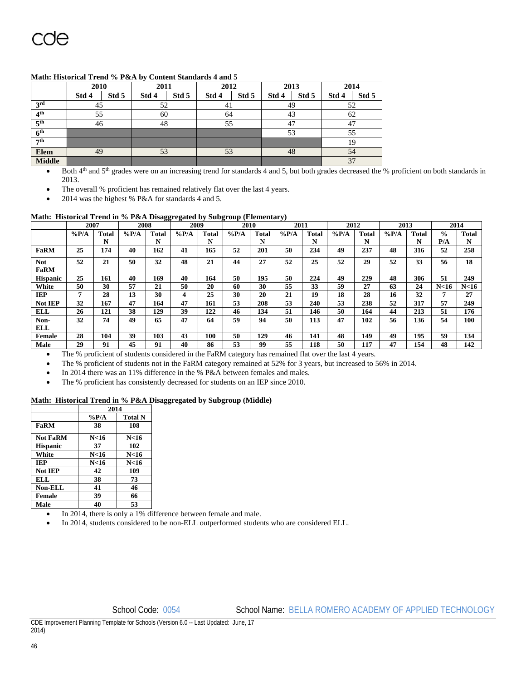|  |  |  | Math: Historical Trend % P&A by Content Standards 4 and 5 |
|--|--|--|-----------------------------------------------------------|
|--|--|--|-----------------------------------------------------------|

|                     | 2010  |       | 2011  |       | 2012  |       |    | 2013  |       | 2014  |    |  |  |    |  |  |  |  |    |  |
|---------------------|-------|-------|-------|-------|-------|-------|----|-------|-------|-------|----|--|--|----|--|--|--|--|----|--|
|                     | Std 4 | Std 5 | Std 4 | Std 5 | Std 4 | Std 5 |    | Std 5 | Std 4 | Std 5 |    |  |  |    |  |  |  |  |    |  |
| 3 <sup>rd</sup>     | 45    |       | 52    |       |       | 41    |    | 49    |       | 52    |    |  |  |    |  |  |  |  |    |  |
| 4 <sup>th</sup>     | 55    |       | 60    |       | 64    |       | 43 |       |       | 62    |    |  |  |    |  |  |  |  |    |  |
| $\overline{5^{th}}$ | 46    |       |       | 48    |       | 55    | 47 |       | 47    |       |    |  |  |    |  |  |  |  |    |  |
| $\overline{6^{th}}$ |       |       |       |       |       | 53    |    | 55    |       |       |    |  |  |    |  |  |  |  |    |  |
| 7 <sup>th</sup>     |       |       |       |       |       |       |    |       |       |       |    |  |  | 19 |  |  |  |  |    |  |
| <b>Elem</b>         | 49    |       | 53    |       |       |       | 53 |       |       |       | 48 |  |  |    |  |  |  |  | 54 |  |
| <b>Middle</b>       |       |       |       |       |       |       |    |       | 37    |       |    |  |  |    |  |  |  |  |    |  |

Both 4<sup>th</sup> and 5<sup>th</sup> grades were on an increasing trend for standards 4 and 5, but both grades decreased the % proficient on both standards in 2013.

The overall % proficient has remained relatively flat over the last 4 years.

2014 was the highest % P&A for standards 4 and 5.

### **Math: Historical Trend in % P&A Disaggregated by Subgroup (Elementary)**

|                 | 2007    |       | 2008    |       | 2009    |       | 2010    |       | 2011    |              | 2012    |       | 2013    |              |               | 2014            |
|-----------------|---------|-------|---------|-------|---------|-------|---------|-------|---------|--------------|---------|-------|---------|--------------|---------------|-----------------|
|                 | $\%P/A$ | Total | $\%P/A$ | Total | $\%P/A$ | Total | $\%P/A$ | Total | $\%P/A$ | <b>Total</b> | $\%P/A$ | Total | $\%P/A$ | <b>Total</b> | $\frac{0}{0}$ | Total           |
|                 |         | N     |         | N     |         | N     |         | N     |         | N            |         | N     |         | N            | P/A           | N               |
| <b>FaRM</b>     | 25      | 174   | 40      | 162   | 41      | 165   | 52      | 201   | 50      | 234          | 49      | 237   | 48      | 316          | 52            | 258             |
| <b>Not</b>      | 52      | 21    | 50      | 32    | 48      | 21    | 44      | 27    | 52      | 25           | 52      | 29    | 52      | 33           | 56            | 18              |
| <b>FaRM</b>     |         |       |         |       |         |       |         |       |         |              |         |       |         |              |               |                 |
| <b>Hispanic</b> | 25      | 161   | 40      | 169   | 40      | 164   | 50      | 195   | 50      | 224          | 49      | 229   | 48      | 306          | 51            | 249             |
| White           | 50      | 30    | 57      | 21    | 50      | 20    | 60      | 30    | 55      | 33           | 59      | 27    | 63      | 24           | N<16          | N <sub>16</sub> |
| IEP             | 7       | 28    | 13      | 30    | 4       | 25    | 30      | 20    | 21      | 19           | 18      | 28    | 16      | 32           |               | 27              |
| <b>Not IEP</b>  | 32      | 167   | 47      | 164   | 47      | 161   | 53      | 208   | 53      | 240          | 53      | 238   | 52      | 317          | 57            | 249             |
| ELL             | 26      | 121   | 38      | 129   | 39      | 122   | 46      | 134   | 51      | 146          | 50      | 164   | 44      | 213          | 51            | 176             |
| Non-            | 32      | 74    | 49      | 65    | 47      | 64    | 59      | 94    | 50      | 113          | 47      | 102   | 56      | 136          | 54            | 100             |
| <b>ELL</b>      |         |       |         |       |         |       |         |       |         |              |         |       |         |              |               |                 |
| <b>Female</b>   | 28      | 104   | 39      | 103   | 43      | 100   | 50      | 129   | 46      | 141          | 48      | 149   | 49      | 195          | 59            | 134             |
| Male            | 29      | 91    | 45      | 91    | 40      | 86    | 53      | 99    | 55      | 118          | 50      | 117   | 47      | 154          | 48            | 142             |

The % proficient of students considered in the FaRM category has remained flat over the last 4 years.

• The % proficient of students not in the FaRM category remained at 52% for 3 years, but increased to 56% in 2014.

In 2014 there was an 11% difference in the % P&A between females and males.

• The % proficient has consistently decreased for students on an IEP since 2010.

### **Math: Historical Trend in % P&A Disaggregated by Subgroup (Middle)**

|                 | 2014            |                 |  |  |  |  |  |  |
|-----------------|-----------------|-----------------|--|--|--|--|--|--|
|                 | $\%P/A$         | <b>Total N</b>  |  |  |  |  |  |  |
| FaRM            | 38              | 108             |  |  |  |  |  |  |
| <b>Not FaRM</b> | N <sub>16</sub> | N <sub>16</sub> |  |  |  |  |  |  |
| <b>Hispanic</b> | 37              | 102             |  |  |  |  |  |  |
| White           | N<16            | N <sub>16</sub> |  |  |  |  |  |  |
| IEP             | N<16            | N <sub>16</sub> |  |  |  |  |  |  |
| Not IEP         | 42              | 109             |  |  |  |  |  |  |
| ELL.            | 38              | 73              |  |  |  |  |  |  |
| <b>Non-ELL</b>  | 41              | 46              |  |  |  |  |  |  |
| <b>Female</b>   | 39              | 66              |  |  |  |  |  |  |
| Male            | 40              | 53              |  |  |  |  |  |  |

In 2014, there is only a 1% difference between female and male.

In 2014, students considered to be non-ELL outperformed students who are considered ELL.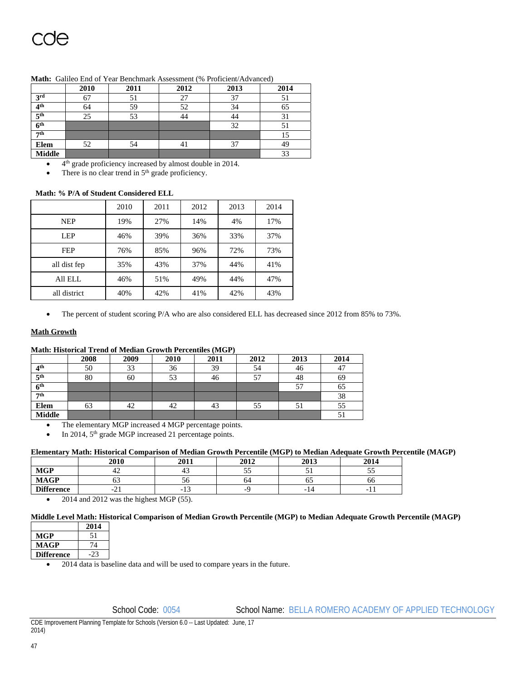|                 | 2010 | 2011 | 2012 | 2013 | 2014 |
|-----------------|------|------|------|------|------|
| 3 <sup>rd</sup> | 67   | 51   | 27   | 37   | 51   |
| 4 <sup>th</sup> | 64   | 59   | 52   | 34   | 65   |
| 5 <sup>th</sup> | 25   | 53   | 44   | 44   |      |
| 6 <sup>th</sup> |      |      |      | 32   | ЭĪ   |
| 7th             |      |      |      |      | 15   |
| Elem            | 52   | 54   | 41   | 37   |      |
| <b>Middle</b>   |      |      |      |      | 33   |

#### **Math:** Galileo End of Year Benchmark Assessment (% Proficient/Advanced)

4th grade proficiency increased by almost double in 2014.

There is no clear trend in 5<sup>th</sup> grade proficiency.

### **Math: % P/A of Student Considered ELL**

|              | 2010 | 2011 | 2012 | 2013 | 2014 |
|--------------|------|------|------|------|------|
| <b>NEP</b>   | 19%  | 27%  | 14%  | 4%   | 17%  |
| <b>LEP</b>   | 46%  | 39%  | 36%  | 33%  | 37%  |
| <b>FEP</b>   | 76%  | 85%  | 96%  | 72%  | 73%  |
| all dist fep | 35%  | 43%  | 37%  | 44%  | 41%  |
| All ELL      | 46%  | 51%  | 49%  | 44%  | 47%  |
| all district | 40%  | 42%  | 41%  | 42%  | 43%  |

• The percent of student scoring P/A who are also considered ELL has decreased since 2012 from 85% to 73%.

### **Math Growth**

### **Math: Historical Trend of Median Growth Percentiles (MGP)**

|                 | 2008 | 2009 | 2010 | 2011 | 2012 | 2013 | 2014 |
|-----------------|------|------|------|------|------|------|------|
| 4 <sup>th</sup> | 50   | 33   | 36   | 39   | 54   | 46   | 47   |
| 5 <sup>th</sup> | 80   | 60   | 53   | 46   |      | 48   | 69   |
| 6 <sup>th</sup> |      |      |      |      |      | 57   | 65   |
| 7th             |      |      |      |      |      |      | 38   |
| Elem            | 63   | 42   | 42   | 43   | 55   | 51   | 55   |
| <b>Middle</b>   |      |      |      |      |      |      | JІ   |

The elementary MGP increased 4 MGP percentage points.

In 2014, 5<sup>th</sup> grade MGP increased 21 percentage points.

#### **Elementary Math: Historical Comparison of Median Growth Percentile (MGP) to Median Adequate Growth Percentile (MAGP)**

|                   | 2010<br>40 I.U | 2011 | 2012 | 2013                     | 2014     |
|-------------------|----------------|------|------|--------------------------|----------|
| <b>MGP</b>        | 44             | 43   | ັ    |                          | ັ        |
| <b>MAGP</b>       | ິ              | υU   | 04   | ບຸ                       | 66       |
| <b>Difference</b> | $-L1$          | -15  |      | $\overline{\phantom{0}}$ | -<br>. . |

 $\bullet$  2014 and 2012 was the highest MGP (55).

### **Middle Level Math: Historical Comparison of Median Growth Percentile (MGP) to Median Adequate Growth Percentile (MAGP)**

|                   | 2014 |  |
|-------------------|------|--|
| MGP               | 51   |  |
| <b>MAGP</b>       | 74   |  |
| <b>Difference</b> |      |  |

• 2014 data is baseline data and will be used to compare years in the future.

School Code: 0054 School Name: BELLA ROMERO ACADEMY OF APPLIED TECHNOLOGY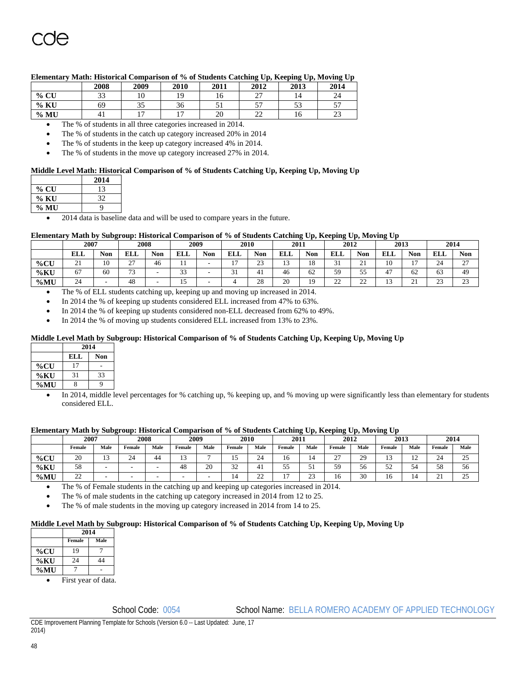|      | 2008           | 2009 | 2010           | 2011 | 2012                               | 2013 | 2014                             |
|------|----------------|------|----------------|------|------------------------------------|------|----------------------------------|
| % CU | າາ<br>ر ر      |      | 19             |      | $\sim$<br>$\overline{\phantom{0}}$ | 14   | 24                               |
| % KU | 69             | ر ر  | 36             |      | --<br>$\overline{\phantom{a}}$     | ر ر  | $-1$<br>$\overline{\phantom{a}}$ |
| % MU | 4 <sub>1</sub> |      | $\overline{ }$ | 20   | nn<br>∼                            | 10   | n q<br>رے                        |

### **Elementary Math: Historical Comparison of % of Students Catching Up, Keeping Up, Moving Up**

The % of students in all three categories increased in 2014.

The % of students in the catch up category increased 20% in 2014

The % of students in the keep up category increased 4% in 2014.

The % of students in the move up category increased 27% in 2014.

### **Middle Level Math: Historical Comparison of % of Students Catching Up, Keeping Up, Moving Up**

|                                   | 2014                            |
|-----------------------------------|---------------------------------|
| $%$ CU                            | 13                              |
| % KU                              | 32                              |
| $\%$ MU                           |                                 |
| <b>Contract Contract Contract</b> | <b>Service</b><br>$\sim$ $\sim$ |

2014 data is baseline data and will be used to compare years in the future.

#### **Elementary Math by Subgroup: Historical Comparison of % of Students Catching Up, Keeping Up, Moving Up**

| -------------- | --------<br>----------<br>-<br>------------- |                |               |            |               |            |                          |              |                          |                |             |               |              |                          |               |               |  |
|----------------|----------------------------------------------|----------------|---------------|------------|---------------|------------|--------------------------|--------------|--------------------------|----------------|-------------|---------------|--------------|--------------------------|---------------|---------------|--|
|                | 2007                                         |                | 2008          |            | 2009          |            |                          | 2010         |                          | 2011           |             | 2012          |              | 2013                     |               | 2014          |  |
|                | <b>ELL</b>                                   | Non            | <b>ELL</b>    | <b>Non</b> | <b>ELL</b>    | <b>Non</b> | ELL                      | Non          | <b>ELL</b>               | Non            | <b>ELL</b>  | <b>Non</b>    | <b>ELL</b>   | Non                      | <b>ELL</b>    | Non           |  |
| $\%$ CU        | $\sim$<br><u>.</u>                           | 1 <sub>0</sub> | $\sim$<br>-   | 46         |               |            | $\overline{\phantom{a}}$ | $\sim$<br>رے | $\overline{\phantom{a}}$ | $\sim$         | $\sim$      | $\sim$<br>- - | $\sim$<br>ιv | $\overline{\phantom{a}}$ | 24            | $\sim$<br>. . |  |
| $\%$ KU        |                                              | 60             | $\sim$<br>ر . |            | $\sim$<br>ر ر |            | $\sim$<br>- 1            | 41           | 46                       | $\sim$<br>62   | 59          | - -<br>ر ر    | 47           | 62                       | 63            | 49            |  |
| $\%$ MU        | $\sim$<br>24                                 | -              | 48            |            |               |            |                          | 28           | 20                       | 1 <sub>0</sub> | $\sim$<br>∸ | $\sim$<br>∸   | . .          | $\sim$<br><u>.</u>       | $\sim$<br>ر ے | $\cap$<br>رے  |  |

The % of ELL students catching up, keeping up and moving up increased in 2014.

In 2014 the % of keeping up students considered ELL increased from 47% to 63%.

In 2014 the % of keeping up students considered non-ELL decreased from 62% to 49%.

In 2014 the % of moving up students considered ELL increased from 13% to 23%.

### **Middle Level Math by Subgroup: Historical Comparison of % of Students Catching Up, Keeping Up, Moving Up**

|     |     | 2014       |  |  |  |  |  |  |  |  |  |
|-----|-----|------------|--|--|--|--|--|--|--|--|--|
|     | ELL | <b>Non</b> |  |  |  |  |  |  |  |  |  |
| %CU |     |            |  |  |  |  |  |  |  |  |  |
| %KU | 31  | 33         |  |  |  |  |  |  |  |  |  |
| %MU |     |            |  |  |  |  |  |  |  |  |  |

 In 2014, middle level percentages for % catching up, % keeping up, and % moving up were significantly less than elementary for students considered ELL.

#### **Elementary Math by Subgroup: Historical Comparison of % of Students Catching Up, Keeping Up, Moving Up**

|            | 2007        |               | 2008         |      | 2009   |               |               | 2010         |        | 2011        |        | 2012 |           | 2013          |                    | 2014                |  |
|------------|-------------|---------------|--------------|------|--------|---------------|---------------|--------------|--------|-------------|--------|------|-----------|---------------|--------------------|---------------------|--|
|            | Female      | Male          | Female       | Male | Female | Male          | Female        | Male         | Female | Male        | Female | Male | Female    | Male          | Female             | Male                |  |
| % $C\rm U$ | 20          | $\sim$<br>. . | $\sim$<br>24 | 44   | $\sim$ |               |               | $\sim$<br>24 |        |             | $\sim$ | 29   | . .       | $\sim$<br>. . | $\sim$<br>24       | $\cap \subset$<br>ت |  |
| %KU        | 58          | -             |              |      | 48     | $\Delta$<br>້ | $\sim$<br>ے ر | $+1$         | - -    |             | 59     | ჂႩ   | c٥<br>ے ر | ◡             | 58                 | - -<br>υU           |  |
| $\%$ MU    | $\sim$<br>∸ | -             |              | -    |        |               | -14           | $\sim$<br>∸  | $\sim$ | $\sim$<br>ت | 16     | 30   | 1 V       |               | $\sim$<br>$\sim$ 1 | $\sim$ $\sim$<br>ت  |  |

The % of Female students in the catching up and keeping up categories increased in 2014.

The % of male students in the catching up category increased in 2014 from 12 to 25.

The % of male students in the moving up category increased in 2014 from 14 to 25.

#### **Middle Level Math by Subgroup: Historical Comparison of % of Students Catching Up, Keeping Up, Moving Up**

|         |                          | 2014                  |  |  |  |  |  |  |  |  |  |  |
|---------|--------------------------|-----------------------|--|--|--|--|--|--|--|--|--|--|
|         | Female                   | Male                  |  |  |  |  |  |  |  |  |  |  |
| $\%$ CU | 19                       |                       |  |  |  |  |  |  |  |  |  |  |
| $\%$ KU | 24                       | 44                    |  |  |  |  |  |  |  |  |  |  |
| $\%$ MU |                          |                       |  |  |  |  |  |  |  |  |  |  |
|         | $\overline{\phantom{a}}$ | $\tilde{\phantom{a}}$ |  |  |  |  |  |  |  |  |  |  |

First year of data.

School Code: 0054 School Name: BELLA ROMERO ACADEMY OF APPLIED TECHNOLOGY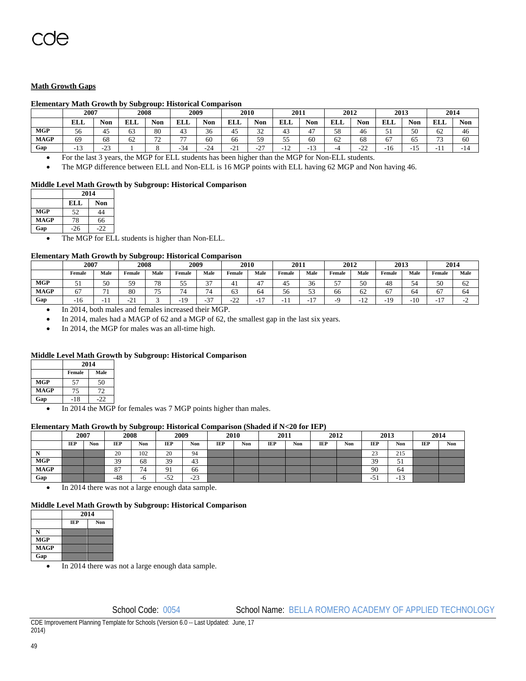### **Math Growth Gaps**

### **Elementary Math Growth by Subgroup: Historical Comparison**

|             | 2007                     |                  | 2008         |                      | 2009                     |                      |                          | 2010             |                      | 2011           |                    | 2012                |              | 2013                  |               | 2014       |  |
|-------------|--------------------------|------------------|--------------|----------------------|--------------------------|----------------------|--------------------------|------------------|----------------------|----------------|--------------------|---------------------|--------------|-----------------------|---------------|------------|--|
|             | ELL                      | <b>Non</b>       | DТ.<br>rit   | <b>Non</b>           | EI I<br>n d              | <b>Non</b>           | <b>ELL</b>               | <b>Non</b>       | <b>ELL</b>           | Non            | <b>TIT T</b><br>பப | $\mathbf{r}$<br>Non | <b>ELL</b>   | $\blacksquare$<br>Non | <b>ELL</b>    | <b>Non</b> |  |
| <b>MGP</b>  | 56                       | 45               | $\sim$<br>63 | 80                   | $\overline{1}$<br>т.,    | $\sim$<br>36         | 45                       | $\sim$<br>32     | 43                   | 4 <sub>7</sub> | 58                 | 46                  | c<br>◡       | 50                    | 62            | 46         |  |
| <b>MAGP</b> | 69                       | 68               | $\sim$<br>62 | $\sim$<br>. <u>.</u> | $\overline{\phantom{a}}$ | 60                   | 66                       | 59               | 55<br>IJ             | 60             | 62                 | 68                  | 67           | 65                    | $\sim$<br>ر ر | 60         |  |
| Gap         | $\sim$<br>. . <i>. .</i> | $\sim$<br>ت کے – |              |                      | $\sim$<br>-34            | $\mathcal{L}$<br>-45 | $^{\sim}$<br>- 1<br>′∸ 1 | $\sim$<br>ا کے ا | $\sim$<br>- 1<br>ے ۔ | $\sim$<br>. .  |                    | $\sim$<br>∸         | . .<br>. I O | . .<br>               | . .           | - 14       |  |

For the last 3 years, the MGP for ELL students has been higher than the MGP for Non-ELL students.

The MGP difference between ELL and Non-ELL is 16 MGP points with ELL having 62 MGP and Non having 46.

### **Middle Level Math Growth by Subgroup: Historical Comparison**

|             | 2014 |            |  |  |  |  |  |  |
|-------------|------|------------|--|--|--|--|--|--|
|             | ELL  | <b>Non</b> |  |  |  |  |  |  |
| <b>MGP</b>  | 52   | 44         |  |  |  |  |  |  |
| <b>MAGP</b> | 78   | 66         |  |  |  |  |  |  |
| Gap         | .26  | .22        |  |  |  |  |  |  |

The MGP for ELL students is higher than Non-ELL.

#### **Elementary Math Growth by Subgroup: Historical Comparison**

|             | 2007       |            | 2008          |                | 2009                     |                | 2010                           |                | 2011   |                          | 2012    |      | 2013    |                       | 2014   |      |
|-------------|------------|------------|---------------|----------------|--------------------------|----------------|--------------------------------|----------------|--------|--------------------------|---------|------|---------|-----------------------|--------|------|
|             | Female     | Male       | Female        | Male           | Female                   | Male           | Female                         | Male           | Female | Male                     | Female  | Male | Female  | Male                  | Female | Male |
| <b>MGP</b>  |            | 50         | 59            | $\neg$<br>۰٥   | - -<br>ັ                 | $\sim$<br>້    |                                | $\overline{a}$ | 45     | 36                       | --<br>້ | 50   | 48      | 54                    | 50     | 62   |
| <b>MAGP</b> | 6.         | - 1<br>, 1 | 80            | $\overline{ }$ | $\sim$                   | 74             | $\overline{\phantom{a}}$<br>ບມ | 64             | 56     | $\epsilon$<br><u>. .</u> | 66      | 62   | 67      | 64                    | 67     | 64   |
| Gap         | . .<br>1 V | .,         | $\sim$<br>-41 |                | 1 <sub>O</sub><br>$\sim$ | $\sim$<br>, د- | $\sim$<br><u>_</u>             | $\sim$         | - 1    | . .                      |         | . .  | 10<br>- | 1 <sub>0</sub><br>1 V | $\sim$ |      |

In 2014, both males and females increased their MGP.

In 2014, males had a MAGP of 62 and a MGP of 62, the smallest gap in the last six years.

• In 2014, the MGP for males was an all-time high.

### **Middle Level Math Growth by Subgroup: Historical Comparison**

|             |        | 2014 |  |  |  |  |  |  |
|-------------|--------|------|--|--|--|--|--|--|
|             | Female | Male |  |  |  |  |  |  |
| <b>MGP</b>  | 57     | 50   |  |  |  |  |  |  |
| <b>MAGP</b> | 75     | 72   |  |  |  |  |  |  |
| Gap         | $-18$  | າາ   |  |  |  |  |  |  |

• In 2014 the MGP for females was 7 MGP points higher than males.

#### **Elementary Math Growth by Subgroup: Historical Comparison (Shaded if N<20 for IEP)**

|             |      |            |            | .          |              |            |            |     |            |     |      |     |              |                            |            |     |  |
|-------------|------|------------|------------|------------|--------------|------------|------------|-----|------------|-----|------|-----|--------------|----------------------------|------------|-----|--|
|             | 2007 |            | 2008       |            | 2009         |            | 2010       |     | 2011       |     | 2012 |     | 2013         |                            | 2014       |     |  |
|             | IEP  | <b>Non</b> | <b>IEP</b> | <b>Non</b> | IEP          | <b>Non</b> | <b>IEP</b> | Non | <b>IEP</b> | Non | IEP  | Non | IEP          | Non                        | <b>IEP</b> | Non |  |
|             |      |            | 20         | 102        | 20           | 94         |            |     |            |     |      |     | $\sim$<br>رے | 215                        |            |     |  |
| <b>MGP</b>  |      |            | 30<br>ر ر  | 68         | 39           | 43         |            |     |            |     |      |     | 39           | E.<br>◡                    |            |     |  |
| <b>MAGP</b> |      |            | 87         | 74         | O.<br>. .    | 66         |            |     |            |     |      |     | 90           | 64                         |            |     |  |
| Gap         |      |            | $-48$      | -6         | $-52$<br>ے ر | $-23$      |            |     |            |     |      |     | $-5.$        | 1 <sub>2</sub><br>د 1<br>- |            |     |  |

• In 2014 there was not a large enough data sample.

### **Middle Level Math Growth by Subgroup: Historical Comparison**

|             | 2014       |     |  |
|-------------|------------|-----|--|
|             | <b>TEP</b> | Non |  |
|             |            |     |  |
| <b>MGP</b>  |            |     |  |
| <b>MAGP</b> |            |     |  |
| Gap         |            |     |  |

In 2014 there was not a large enough data sample.

School Code: 0054 School Name: BELLA ROMERO ACADEMY OF APPLIED TECHNOLOGY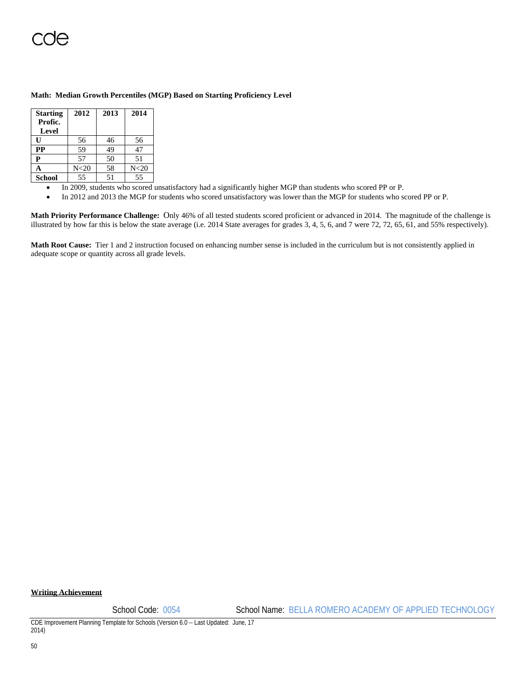### **Math: Median Growth Percentiles (MGP) Based on Starting Proficiency Level**

| <b>Starting</b><br>Profic.<br>Level | 2012            | 2013 | 2014            |
|-------------------------------------|-----------------|------|-----------------|
| Ū                                   | 56              | 46   | 56              |
| <b>PP</b>                           | 59              | 49   | 47              |
| P                                   | 57              | 50   | 51              |
| A                                   | N <sub>20</sub> | 58   | N <sub>20</sub> |
| <b>School</b>                       | 55              | 51   | 55              |

- In 2009, students who scored unsatisfactory had a significantly higher MGP than students who scored PP or P.
- In 2012 and 2013 the MGP for students who scored unsatisfactory was lower than the MGP for students who scored PP or P.

**Math Priority Performance Challenge:** Only 46% of all tested students scored proficient or advanced in 2014. The magnitude of the challenge is illustrated by how far this is below the state average (i.e. 2014 State averages for grades 3, 4, 5, 6, and 7 were 72, 72, 65, 61, and 55% respectively).

**Math Root Cause:** Tier 1 and 2 instruction focused on enhancing number sense is included in the curriculum but is not consistently applied in adequate scope or quantity across all grade levels.

### **Writing Achievement**

School Code: 0054 School Name: BELLA ROMERO ACADEMY OF APPLIED TECHNOLOGY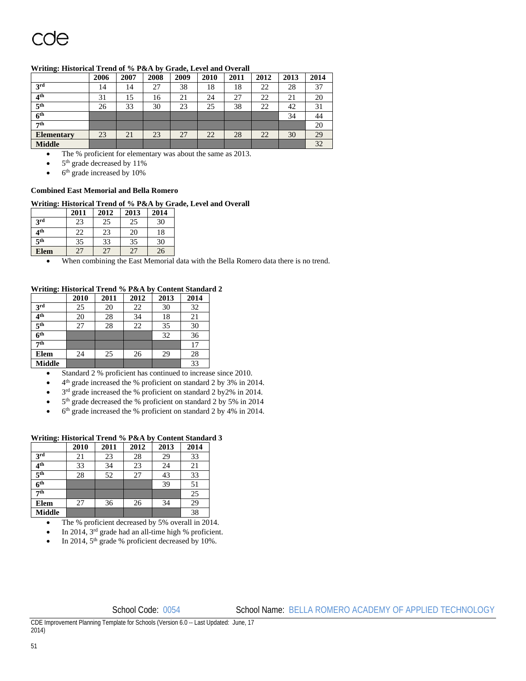### **Writing: Historical Trend of % P&A by Grade, Level and Overall**

|                   | 2006 | 2007 | 2008 | 2009 | 2010 | 2011 | 2012 | 2013 | 2014 |
|-------------------|------|------|------|------|------|------|------|------|------|
| 3rd               | 14   | 14   | 27   | 38   | 18   | 18   | 22   | 28   | 37   |
| 4 <sup>th</sup>   | 31   | 15   | 16   | 21   | 24   | 27   | 22   | 21   | 20   |
| 5 <sup>th</sup>   | 26   | 33   | 30   | 23   | 25   | 38   | 22   | 42   | 31   |
| 6 <sup>th</sup>   |      |      |      |      |      |      |      | 34   | 44   |
| 7 <sup>th</sup>   |      |      |      |      |      |      |      |      | 20   |
| <b>Elementary</b> | 23   | 21   | 23   | 27   | 22   | 28   | 22   | 30   | 29   |
| <b>Middle</b>     |      |      |      |      |      |      |      |      | 32   |

The % proficient for elementary was about the same as 2013.

5th grade decreased by 11%

6th grade increased by 10%

### **Combined East Memorial and Bella Romero**

### **Writing: Historical Trend of % P&A by Grade, Level and Overall**

|                 | 2011 | 2012 | 2013 | 2014 |
|-----------------|------|------|------|------|
| 3 <sup>rd</sup> | 23   | 25   | 25   | 30   |
| 4 <sup>th</sup> | 22   | 23   | 20   | 18   |
| 5 <sup>th</sup> | 35   | 33   | 35   | 30   |
| <b>Elem</b>     | 27   | 27   | 27   | 26   |

When combining the East Memorial data with the Bella Romero data there is no trend.

### **Writing: Historical Trend % P&A by Content Standard 2**

|                 | 2010 | 2011 | 2012 | 2013 | 2014 |
|-----------------|------|------|------|------|------|
| 3rd             | 25   | 20   | 22   | 30   | 32   |
| 4 <sup>th</sup> | 20   | 28   | 34   | 18   | 21   |
| 5 <sup>th</sup> | 27   | 28   | 22   | 35   | 30   |
| 6 <sup>th</sup> |      |      |      | 32   | 36   |
| 7 <sup>th</sup> |      |      |      |      | 17   |
| Elem            | 24   | 25   | 26   | 29   | 28   |
| <b>Middle</b>   |      |      |      |      | 33   |

- Standard 2 % proficient has continued to increase since 2010.
- 4th grade increased the % proficient on standard 2 by 3% in 2014.
- 3rd grade increased the % proficient on standard 2 by2% in 2014.
- 5<sup>th</sup> grade decreased the % proficient on standard 2 by 5% in 2014
- 6th grade increased the % proficient on standard 2 by 4% in 2014.

### **Writing: Historical Trend % P&A by Content Standard 3**

|                 | 2010 | 2011 | 2012 | 2013 | 2014 |
|-----------------|------|------|------|------|------|
| 3rd             | 21   | 23   | 28   | 29   | 33   |
| 4 <sup>th</sup> | 33   | 34   | 23   | 24   | 21   |
| 5 <sup>th</sup> | 28   | 52   | 27   | 43   | 33   |
| 6 <sup>th</sup> |      |      |      | 39   | 51   |
| 7 <sup>th</sup> |      |      |      |      | 25   |
| <b>Elem</b>     | 27   | 36   | 26   | 34   | 29   |
| <b>Middle</b>   |      |      |      |      | 38   |

- The % proficient decreased by 5% overall in 2014.
- In 2014, 3rd grade had an all-time high % proficient.
- In 2014, 5<sup>th</sup> grade % proficient decreased by 10%.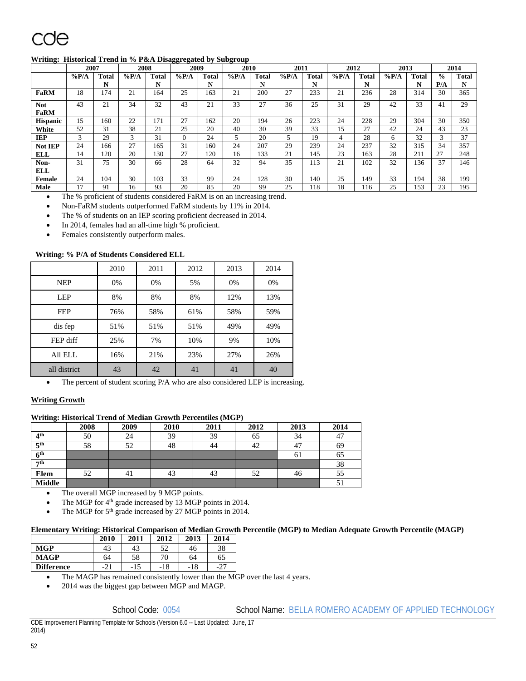# COA

### **Writing: Historical Trend in % P&A Disaggregated by Subgroup**

|                 | 2007    |       | 2008    |              | 2009     |              | 2010    |       | 2011    |       | 2012    |              | 2013    |              |               | 2014  |
|-----------------|---------|-------|---------|--------------|----------|--------------|---------|-------|---------|-------|---------|--------------|---------|--------------|---------------|-------|
|                 | $\%P/A$ | Total | $\%P/A$ | <b>Total</b> | $\%P/A$  | <b>Total</b> | $\%P/A$ | Total | $\%P/A$ | Total | $\%P/A$ | <b>Total</b> | $\%P/A$ | <b>Total</b> | $\frac{6}{9}$ | Total |
|                 |         | N     |         | N            |          | N            |         | N     |         | N     |         | N            |         | N            | P/A           | N     |
| FaRM            | 18      | 174   | 21      | 164          | 25       | 163          | 21      | 200   | 27      | 233   | 21      | 236          | 28      | 314          | 30            | 365   |
| <b>Not</b>      | 43      | 21    | 34      | 32           | 43       | 21           | 33      | 27    | 36      | 25    | 31      | 29           | 42      | 33           | 41            | 29    |
| <b>FaRM</b>     |         |       |         |              |          |              |         |       |         |       |         |              |         |              |               |       |
| <b>Hispanic</b> | 15      | 160   | 22      | 171          | 27       | 162          | 20      | 194   | 26      | 223   | 24      | 228          | 29      | 304          | 30            | 350   |
| White           | 52      | 31    | 38      | 21           | 25       | 20           | 40      | 30    | 39      | 33    | 15      | 27           | 42      | 24           | 43            | 23    |
| IEP             | 3       | 29    | 3       | 31           | $\Omega$ | 24           | 5       | 20    |         | 19    | 4       | 28           | 6       | 32           | 3             | 37    |
| Not IEP         | 24      | 166   | 27      | 165          | 31       | 160          | 24      | 207   | 29      | 239   | 24      | 237          | 32      | 315          | 34            | 357   |
| ELL             | 14      | 120   | 20      | 130          | 27       | 120          | 16      | 133   | 21      | 145   | 23      | 163          | 28      | 211          | 27            | 248   |
| Non-            | 31      | 75    | 30      | 66           | 28       | 64           | 32      | 94    | 35      | 113   | 21      | 102          | 32      | 136          | 37            | 146   |
| ELL             |         |       |         |              |          |              |         |       |         |       |         |              |         |              |               |       |
| Female          | 24      | 104   | 30      | 103          | 33       | 99           | 24      | 128   | 30      | 140   | 25      | 149          | 33      | 194          | 38            | 199   |
| Male            | 17      | 91    | l6      | 93           | 20       | 85           | 20      | 99    | 25      | 118   | 18      | 116          | 25      | 153          | 23            | 195   |

The % proficient of students considered FaRM is on an increasing trend.

Non-FaRM students outperformed FaRM students by 11% in 2014.

The % of students on an IEP scoring proficient decreased in 2014.

In 2014, females had an all-time high % proficient.

Females consistently outperform males.

### **Writing: % P/A of Students Considered ELL**

|              | 2010 | 2011 | 2012 | 2013 | 2014 |
|--------------|------|------|------|------|------|
| <b>NEP</b>   | 0%   | 0%   | 5%   | 0%   | 0%   |
| <b>LEP</b>   | 8%   | 8%   | 8%   | 12%  | 13%  |
| <b>FEP</b>   | 76%  | 58%  | 61%  | 58%  | 59%  |
| dis fep      | 51%  | 51%  | 51%  | 49%  | 49%  |
| FEP diff     | 25%  | 7%   | 10%  | 9%   | 10%  |
| All ELL      | 16%  | 21%  | 23%  | 27%  | 26%  |
| all district | 43   | 42   | 41   | 41   | 40   |

• The percent of student scoring P/A who are also considered LEP is increasing.

### **Writing Growth**

### **Writing: Historical Trend of Median Growth Percentiles (MGP)**

|                 | 2008 | 2009 | 2010 | 2011 | 2012 | 2013 | 2014 |
|-----------------|------|------|------|------|------|------|------|
| $4^{\rm th}$    | 50   | 24   | 39   | 39   | 65   | 34   | 47   |
| 5 <sup>th</sup> | 58   | 52   | 48   | 44   | 42   | 47   | 69   |
| 6 <sup>th</sup> |      |      |      |      |      | 61   | 65   |
| 7th             |      |      |      |      |      |      | 38   |
| <b>Elem</b>     | 52   | 41   | 43   | 43   | 52   | 46   | 55   |
| <b>Middle</b>   |      |      |      |      |      |      | ЭĪ   |

The overall MGP increased by 9 MGP points.

The MGP for 4<sup>th</sup> grade increased by 13 MGP points in 2014.

The MGP for 5<sup>th</sup> grade increased by 27 MGP points in 2014.

### **Elementary Writing: Historical Comparison of Median Growth Percentile (MGP) to Median Adequate Growth Percentile (MAGP)**

|                   | 2010                   | 2011 | 2012 | 2013 | 2014 |
|-------------------|------------------------|------|------|------|------|
| <b>MGP</b>        | 43                     | 43   | 52   | 46   | 38   |
| <b>MAGP</b>       | 64                     | 58   | 70   | 64   | 65   |
| <b>Difference</b> | $\mathcal{D}$ 1<br>-41 | -15  | -18  | -18  | -4.  |

The MAGP has remained consistently lower than the MGP over the last 4 years.

2014 was the biggest gap between MGP and MAGP.

School Code: 0054 School Name: BELLA ROMERO ACADEMY OF APPLIED TECHNOLOGY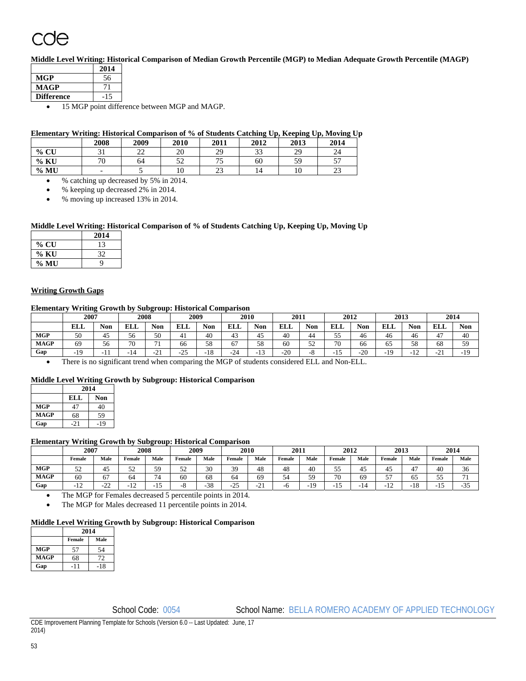# <u>ude</u>

**Middle Level Writing: Historical Comparison of Median Growth Percentile (MGP) to Median Adequate Growth Percentile (MAGP)** 

|                   | 2014 |
|-------------------|------|
| <b>MGP</b>        | 56   |
| MAGP              |      |
| <b>Difference</b> |      |
| ---               |      |

15 MGP point difference between MGP and MAGP.

### **Elementary Writing: Historical Comparison of % of Students Catching Up, Keeping Up, Moving Up**

|      | 2008 | 2009         | 2010      | 2011          | 2012 | 2013      | 2014      |
|------|------|--------------|-----------|---------------|------|-----------|-----------|
| % CU | ◡▴   | $\sim$<br>∠∠ | 20        | 29<br>ر ب     | 33   | 29<br>ر ب | 24        |
| % KU | 70   | 64           | 50<br>ے ر | $-$<br>ر .    | 60   | 50<br>ر ر | ٣٣<br>້   |
| % MU | -    |              | 10        | $\sim$<br>ل ک | 14   |           | n n<br>رے |

% catching up decreased by 5% in 2014.

% keeping up decreased 2% in 2014.

% moving up increased 13% in 2014.

### **Middle Level Writing: Historical Comparison of % of Students Catching Up, Keeping Up, Moving Up**

|         | 2014 |
|---------|------|
| $\%$ CU | 13   |
| $\%$ KU | 32   |
| % MU    | O    |

### **Writing Growth Gaps**

### **Elementary Writing Growth by Subgroup: Historical Comparison**

|             |       |                   |            | . .                       |                 |                      |            |                          |       |                   |            |                      |            |                    |                 |            |
|-------------|-------|-------------------|------------|---------------------------|-----------------|----------------------|------------|--------------------------|-------|-------------------|------------|----------------------|------------|--------------------|-----------------|------------|
|             | 2007  |                   |            | 2008                      |                 | 2009                 | 2010       |                          | 2011  |                   | 2012       |                      | 2013       |                    | 2014            |            |
|             | ELL   | <b>Non</b>        | <b>ELL</b> | <b>Non</b>                | <b>ELL</b>      | $\sim$ $\sim$<br>Non | <b>ELL</b> | <b>Non</b>               | ELL   | <b>Non</b>        | <b>ELL</b> | $\sim$ $\sim$<br>Non | <b>ELL</b> | <b>Non</b>         | <b>ELL</b>      | <b>Non</b> |
| <b>MGP</b>  | 50    | 45                | 56         | 50                        |                 | 40                   | 43         | $\Lambda$ $\Gamma$<br>45 | 40    | 44                | $ -$<br>ັ  | 46                   | 46         | 46                 | 47<br>⊶         | 40         |
| <b>MAGP</b> | 69    | 56                | 70         | 71                        | 66              | $\epsilon$ o<br>ັບ   | 67         | 58                       | 60    | $\epsilon$<br>ے ر | 70         | 66                   | --<br>ບຸ   | 58                 | 68              | 59         |
| Gap         | $-19$ | . .<br>- 1<br>. . |            | $\sim$<br>- 1<br><u>.</u> | $\Omega$<br>ت2- | 10<br>1٥             | $-24$      | $\sim$<br>               | $-20$ | - -               | -<br>-<br> | $-20$                | -19        | $\sim$<br>-<br>1 A | $\bigcap$<br>۰, | $-1^\circ$ |

There is no significant trend when comparing the MGP of students considered ELL and Non-ELL.

### **Middle Level Writing Growth by Subgroup: Historical Comparison**

| 2014              |     |  |  |  |  |  |  |
|-------------------|-----|--|--|--|--|--|--|
| ELL<br><b>Non</b> |     |  |  |  |  |  |  |
|                   | 40  |  |  |  |  |  |  |
| 68                | 59  |  |  |  |  |  |  |
| $-21$             | 1 Q |  |  |  |  |  |  |
|                   |     |  |  |  |  |  |  |

### **Elementary Writing Growth by Subgroup: Historical Comparison**

|             | 2007                  |              | 2008           |            | 2009   |                 | 2010                             |               | 2011   |          | 2012     |      | 2013        |                          | 2014     |                          |
|-------------|-----------------------|--------------|----------------|------------|--------|-----------------|----------------------------------|---------------|--------|----------|----------|------|-------------|--------------------------|----------|--------------------------|
|             | Female                | Male         | Female         | Male       | ∙emale | Male            | Female                           | Male          | Female | Male     | Female   | Male | Female      | Male                     | Female   | Male                     |
| <b>MGP</b>  | ے ر                   | . .<br>45    | ے ر            | 50<br>້    | ے ر    | $\Omega$<br>30  | 39                               | 48            | 48     | 40       | ັ        | 40   | . .<br>-45  | $\overline{a}$           | 40       | 36                       |
| <b>MAGP</b> | 60                    | 67           | 64             | - 1        | 60     | 68              | 64                               | 69            | -<br>◡ | ۲Ο<br>ັ. | 70<br>٠U | 69   | $-$<br>◡    | 65                       | - -<br>ັ | $\overline{\phantom{a}}$ |
| Gap         | - 1<br>$\overline{1}$ | $\sim$<br>-- | $\overline{1}$ | <b>⊥ J</b> |        | $\Omega$<br>-58 | $\Omega$<br>$\sim$ $\prime$<br>ت | $\sim$<br>-41 |        | 10       | . .      | . .  | $\sim$<br>∸ | 1 <sub>O</sub><br>∙ 1. O |          | $\sim$ $\sim$<br>- 22    |

The MGP for Females decreased 5 percentile points in 2014.

The MGP for Males decreased 11 percentile points in 2014.

### **Middle Level Writing Growth by Subgroup: Historical Comparison**

|             | 2014   |       |  |  |  |  |  |
|-------------|--------|-------|--|--|--|--|--|
|             | Female | Male  |  |  |  |  |  |
| <b>MGP</b>  | 57     | 54    |  |  |  |  |  |
| <b>MAGP</b> | 68     | 72    |  |  |  |  |  |
| Gap         |        | $-18$ |  |  |  |  |  |

School Code: 0054 School Name: BELLA ROMERO ACADEMY OF APPLIED TECHNOLOGY